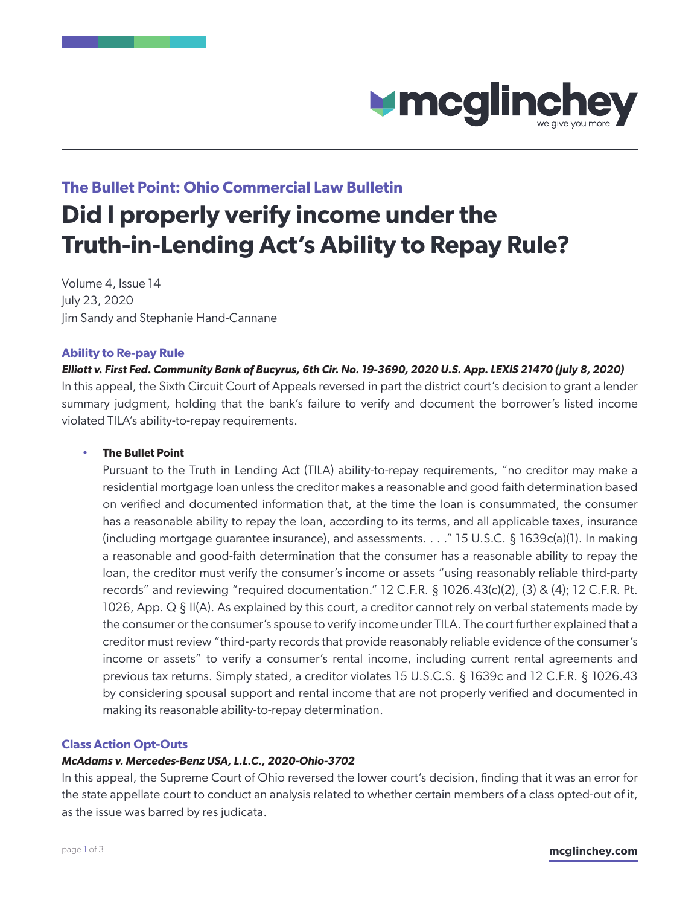

# **The Bullet Point: Ohio Commercial Law Bulletin**

# **Did I properly verify income under the Truth-in-Lending Act's Ability to Repay Rule?**

Volume 4, Issue 14 July 23, 2020 Jim Sandy and Stephanie Hand-Cannane

#### **Ability to Re-pay Rule**

*[Elliott v. First Fed. Community Bank of Bucyrus, 6th Cir. No. 19-3690, 2020 U.S. App. LEXIS 21470 \(July 8, 2020\)](#page-3-0)* In this appeal, the Sixth Circuit Court of Appeals reversed in part the district court's decision to grant a lender summary judgment, holding that the bank's failure to verify and document the borrower's listed income violated TILA's ability-to-repay requirements.

#### • **The Bullet Point**

Pursuant to the Truth in Lending Act (TILA) ability-to-repay requirements, "no creditor may make a residential mortgage loan unless the creditor makes a reasonable and good faith determination based on verified and documented information that, at the time the loan is consummated, the consumer has a reasonable ability to repay the loan, according to its terms, and all applicable taxes, insurance (including mortgage guarantee insurance), and assessments. . . ." 15 U.S.C. § 1639c(a)(1). In making a reasonable and good-faith determination that the consumer has a reasonable ability to repay the loan, the creditor must verify the consumer's income or assets "using reasonably reliable third-party records" and reviewing "required documentation." 12 C.F.R.  $\S$  1026.43(c)(2), (3) & (4); 12 C.F.R. Pt. 1026, App. Q § II(A). As explained by this court, a creditor cannot rely on verbal statements made by the consumer or the consumer's spouse to verify income under TILA. The court further explained that a creditor must review "third-party records that provide reasonably reliable evidence of the consumer's income or assets" to verify a consumer's rental income, including current rental agreements and previous tax returns. Simply stated, a creditor violates 15 U.S.C.S. § 1639c and 12 C.F.R. § 1026.43 by considering spousal support and rental income that are not properly verified and documented in making its reasonable ability-to-repay determination.

#### **Class Action Opt-Outs**

# *[McAdams v. Mercedes-Benz USA, L.L.C., 2020-Ohio-3702](#page-19-0)*

In this appeal, the Supreme Court of Ohio reversed the lower court's decision, finding that it was an error for the state appellate court to conduct an analysis related to whether certain members of a class opted-out of it, as the issue was barred by res judicata.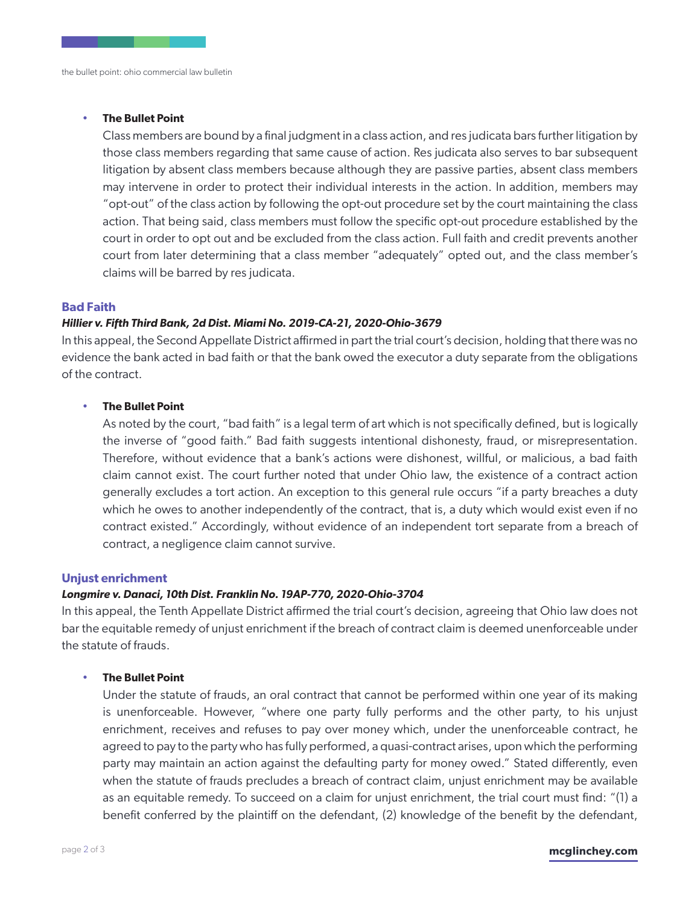#### • **The Bullet Point**

Class members are bound by a final judgment in a class action, and res judicata bars further litigation by those class members regarding that same cause of action. Res judicata also serves to bar subsequent litigation by absent class members because although they are passive parties, absent class members may intervene in order to protect their individual interests in the action. In addition, members may "opt-out" of the class action by following the opt-out procedure set by the court maintaining the class action. That being said, class members must follow the specific opt-out procedure established by the court in order to opt out and be excluded from the class action. Full faith and credit prevents another court from later determining that a class member "adequately" opted out, and the class member's claims will be barred by res judicata.

#### **Bad Faith**

#### *[Hillier v. Fifth Third Bank, 2d Dist. Miami No. 2019-CA-21, 2020-Ohio-3679](#page-30-0)*

In this appeal, the Second Appellate District affirmed in part the trial court's decision, holding that there was no evidence the bank acted in bad faith or that the bank owed the executor a duty separate from the obligations of the contract.

#### • **The Bullet Point**

As noted by the court, "bad faith" is a legal term of art which is not specifically defined, but is logically the inverse of "good faith." Bad faith suggests intentional dishonesty, fraud, or misrepresentation. Therefore, without evidence that a bank's actions were dishonest, willful, or malicious, a bad faith claim cannot exist. The court further noted that under Ohio law, the existence of a contract action generally excludes a tort action. An exception to this general rule occurs "if a party breaches a duty which he owes to another independently of the contract, that is, a duty which would exist even if no contract existed." Accordingly, without evidence of an independent tort separate from a breach of contract, a negligence claim cannot survive.

#### **Unjust enrichment**

#### *[Longmire v. Danaci, 10th Dist. Franklin No. 19AP-770, 2020-Ohio-3704](#page-60-0)*

In this appeal, the Tenth Appellate District affirmed the trial court's decision, agreeing that Ohio law does not bar the equitable remedy of unjust enrichment if the breach of contract claim is deemed unenforceable under the statute of frauds.

#### • **The Bullet Point**

Under the statute of frauds, an oral contract that cannot be performed within one year of its making is unenforceable. However, "where one party fully performs and the other party, to his unjust enrichment, receives and refuses to pay over money which, under the unenforceable contract, he agreed to pay to the party who has fully performed, a quasi-contract arises, upon which the performing party may maintain an action against the defaulting party for money owed." Stated differently, even when the statute of frauds precludes a breach of contract claim, unjust enrichment may be available as an equitable remedy. To succeed on a claim for unjust enrichment, the trial court must find: "(1) a benefit conferred by the plaintiff on the defendant, (2) knowledge of the benefit by the defendant,

#### page 2 of 3 **mcglinchey.com**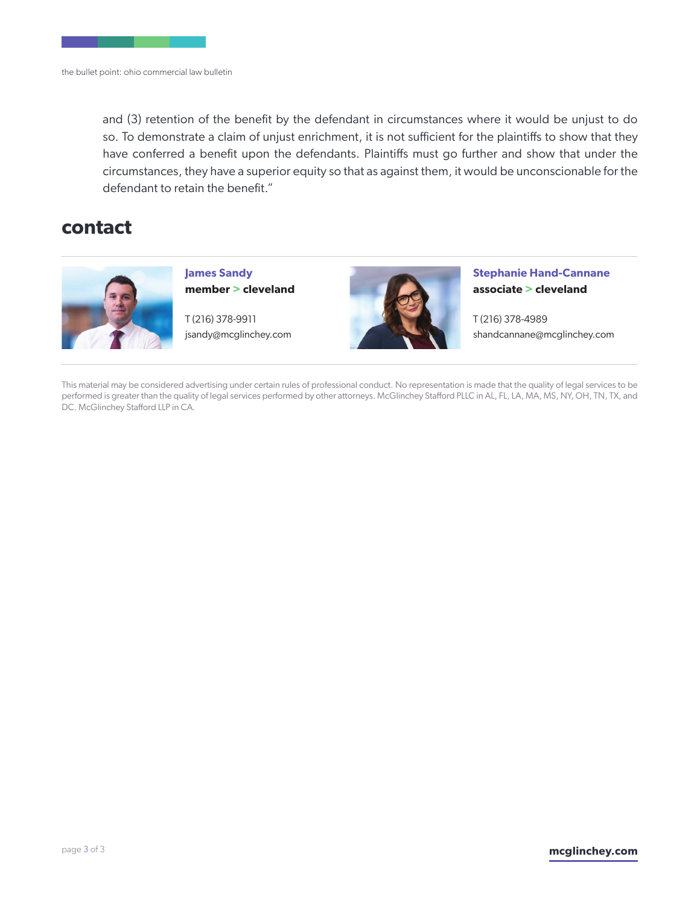and (3) retention of the benefit by the defendant in circumstances where it would be unjust to do so. To demonstrate a claim of unjust enrichment, it is not sufficient for the plaintiffs to show that they have conferred a benefit upon the defendants. Plaintiffs must go further and show that under the circumstances, they have a superior equity so that as against them, it would be unconscionable for the defendant to retain the benefit."

# **contact**



**James Sandy member > cleveland** 

T (216) 378-9911 jsandy@mcglinchey.com



**Stephanie Hand-Cannane associate > cleveland** 

T (216) 378-4989 shandcannane@mcglinchey.com

This material may be considered advertising under certain rules of professional conduct. No representation is made that the quality of legal services to be performed is greater than the quality of legal services performed by other attorneys. McGlinchey Stafford PLLC in AL, FL, LA, MA, MS, NY, OH, TN, TX, and DC. McGlinchey Stafford LLP in CA.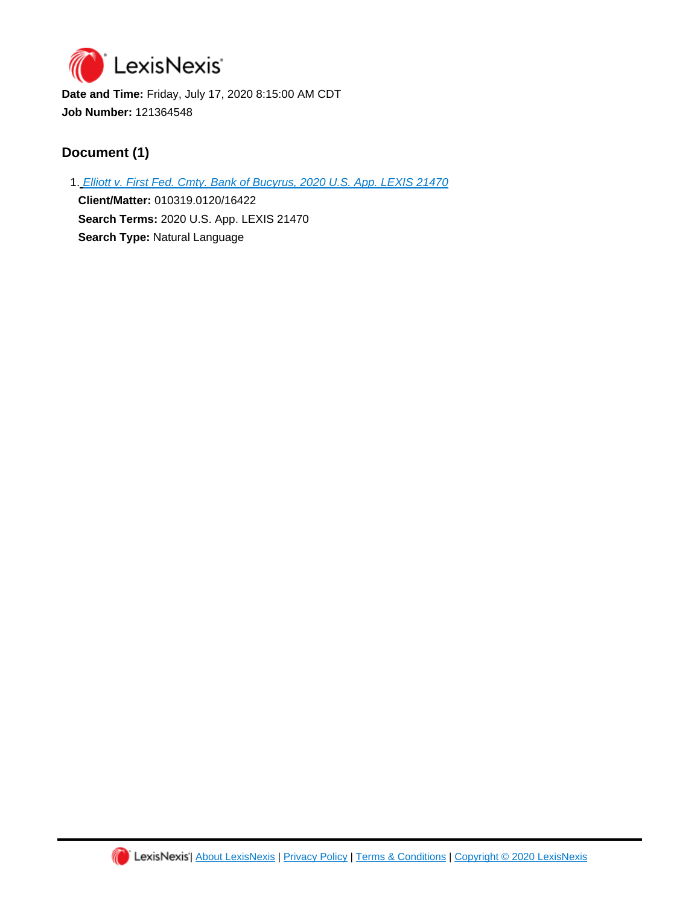<span id="page-3-0"></span>

**Date and Time:** Friday, July 17, 2020 8:15:00 AM CDT **Job Number:** 121364548

# **Document (1)**

1. [Elliott v. First Fed. Cmty. Bank of Bucyrus, 2020 U.S. App. LEXIS 21470](https://advance.lexis.com/api/document?id=urn:contentItem:609M-VJ91-F8SS-62DG-00000-00&idtype=PID&context=1000516)

**Client/Matter:** 010319.0120/16422 **Search Terms:** 2020 U.S. App. LEXIS 21470 **Search Type:** Natural Language

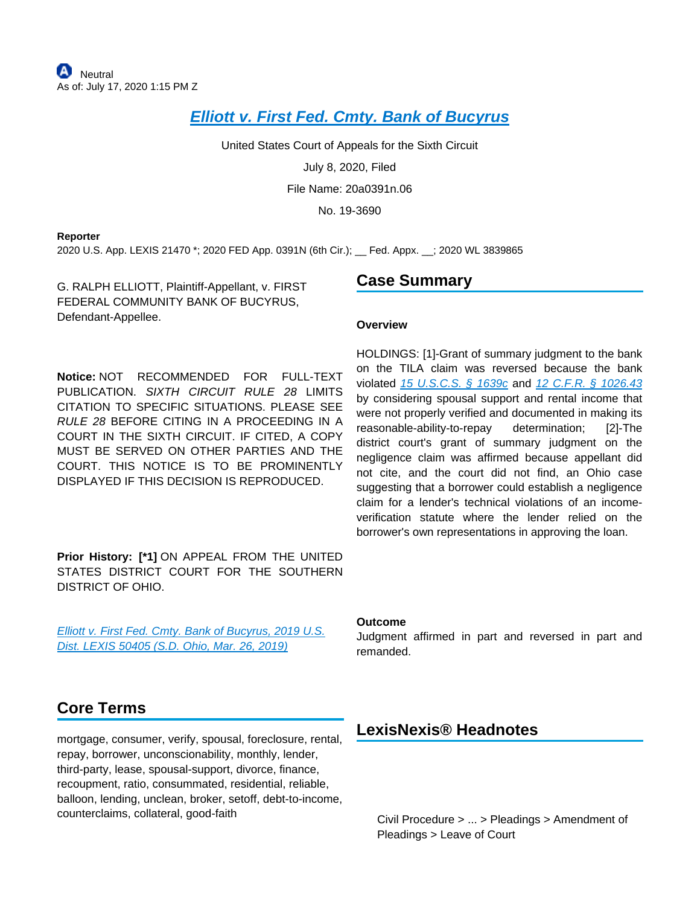# **[Elliott v. First Fed. Cmty. Bank of Bucyrus](https://advance.lexis.com/api/document?collection=cases&id=urn:contentItem:609M-VJ91-F8SS-62DG-00000-00&context=)**

United States Court of Appeals for the Sixth Circuit

July 8, 2020, Filed

File Name: 20a0391n.06

No. 19-3690

#### **Reporter**

2020 U.S. App. LEXIS 21470 \*; 2020 FED App. 0391N (6th Cir.); \_\_ Fed. Appx. \_\_; 2020 WL 3839865

G. RALPH ELLIOTT, Plaintiff-Appellant, v. FIRST FEDERAL COMMUNITY BANK OF BUCYRUS, Defendant-Appellee.

**Notice:** NOT RECOMMENDED FOR FULL-TEXT PUBLICATION. SIXTH CIRCUIT RULE 28 LIMITS CITATION TO SPECIFIC SITUATIONS. PLEASE SEE RULE 28 BEFORE CITING IN A PROCEEDING IN A COURT IN THE SIXTH CIRCUIT. IF CITED, A COPY MUST BE SERVED ON OTHER PARTIES AND THE COURT. THIS NOTICE IS TO BE PROMINENTLY DISPLAYED IF THIS DECISION IS REPRODUCED.

**Prior History: [\*1]** ON APPEAL FROM THE UNITED STATES DISTRICT COURT FOR THE SOUTHERN DISTRICT OF OHIO.

[Elliott v. First Fed. Cmty. Bank of Bucyrus, 2019 U.S.](https://advance.lexis.com/api/document?collection=cases&id=urn:contentItem:5VRF-3XM1-FGRY-B1G7-00000-00&context=)  [Dist. LEXIS 50405 \(S.D. Ohio, Mar. 26, 2019\)](https://advance.lexis.com/api/document?collection=cases&id=urn:contentItem:5VRF-3XM1-FGRY-B1G7-00000-00&context=)

# **Case Summary**

#### **Overview**

HOLDINGS: [1]-Grant of summary judgment to the bank on the TILA claim was reversed because the bank violated [15 U.S.C.S. § 1639c](https://advance.lexis.com/api/document?collection=statutes-legislation&id=urn:contentItem:8S9D-W4W2-8T6X-71M9-00000-00&context=) and [12 C.F.R. § 1026.43](https://advance.lexis.com/api/document?collection=administrative-codes&id=urn:contentItem:5X8F-SD51-JNS1-M0NN-00000-00&context=) by considering spousal support and rental income that were not properly verified and documented in making its reasonable-ability-to-repay determination; [2]-The district court's grant of summary judgment on the negligence claim was affirmed because appellant did not cite, and the court did not find, an Ohio case suggesting that a borrower could establish a negligence claim for a lender's technical violations of an incomeverification statute where the lender relied on the borrower's own representations in approving the loan.

#### **Outcome**

Judgment affirmed in part and reversed in part and remanded.

# **Core Terms**

mortgage, consumer, verify, spousal, foreclosure, rental, repay, borrower, unconscionability, monthly, lender, third-party, lease, spousal-support, divorce, finance, recoupment, ratio, consummated, residential, reliable, balloon, lending, unclean, broker, setoff, debt-to-income, counterclaims, collateral, good-faith

# **LexisNexis® Headnotes**

<span id="page-4-0"></span>Civil Procedure > ... > Pleadings > Amendment of Pleadings > Leave of Court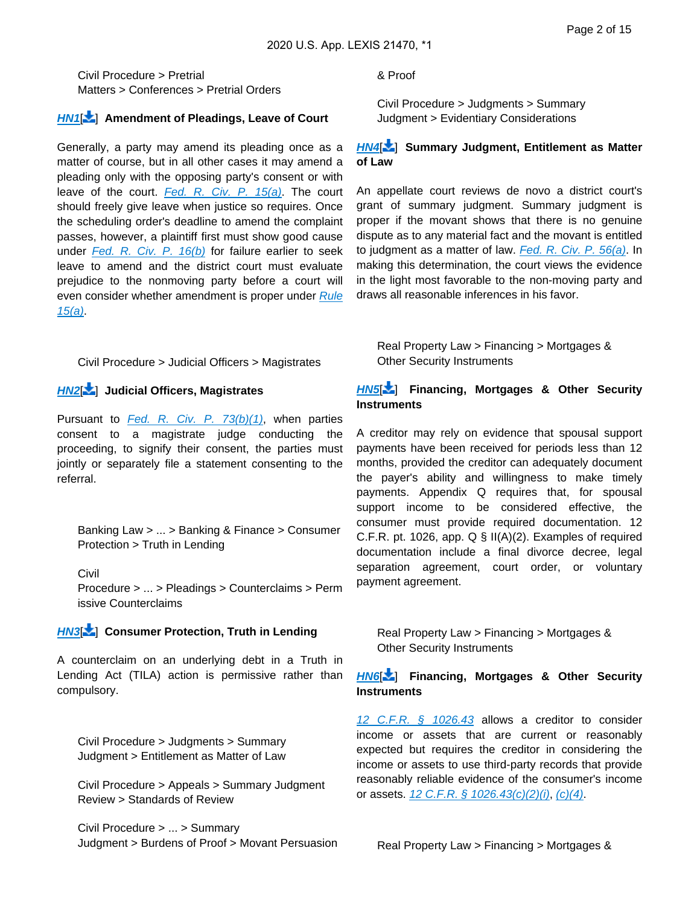Civil Procedure > Pretrial Matters > Conferences > Pretrial Orders

#### **[HN1](https://advance.lexis.com/api/document?collection=cases&id=urn:contentItem:609M-VJ91-F8SS-62DG-00000-00&context=&link=LNHNREFclscc1)**[ ] **Amendment of Pleadings, Leave of Court**

Generally, a party may amend its pleading once as a matter of course, but in all other cases it may amend a pleading only with the opposing party's consent or with leave of the court. Fed. R. Civ. P.  $15(a)$ . The court should freely give leave when justice so requires. Once the scheduling order's deadline to amend the complaint passes, however, a plaintiff first must show good cause under [Fed. R. Civ. P. 16\(b\)](https://advance.lexis.com/api/document?collection=statutes-legislation&id=urn:contentItem:8JD7-4G92-8T6X-702K-00000-00&context=) for failure earlier to seek leave to amend and the district court must evaluate prejudice to the nonmoving party before a court will even consider whether amendment is proper under Rule [15\(a\)](https://advance.lexis.com/api/document?collection=statutes-legislation&id=urn:contentItem:5GYC-1WP1-6N19-F103-00000-00&context=).

<span id="page-5-1"></span>Civil Procedure > Judicial Officers > Magistrates

### **[HN2](https://advance.lexis.com/api/document?collection=cases&id=urn:contentItem:609M-VJ91-F8SS-62DG-00000-00&context=&link=LNHNREFclscc2)**[ ] **Judicial Officers, Magistrates**

Pursuant to Fed. R. Civ. P.  $73(b)(1)$ , when parties consent to a magistrate judge conducting the proceeding, to signify their consent, the parties must jointly or separately file a statement consenting to the referral.

<span id="page-5-0"></span>Banking Law > ... > Banking & Finance > Consumer Protection > Truth in Lending

Civil Procedure > ... > Pleadings > Counterclaims > Perm issive Counterclaims

#### **[HN3](https://advance.lexis.com/api/document?collection=cases&id=urn:contentItem:609M-VJ91-F8SS-62DG-00000-00&context=&link=LNHNREFclscc3)**[ ] **Consumer Protection, Truth in Lending**

A counterclaim on an underlying debt in a Truth in Lending Act (TILA) action is permissive rather than compulsory.

Civil Procedure > Judgments > Summary Judgment > Entitlement as Matter of Law

Civil Procedure > Appeals > Summary Judgment Review > Standards of Review

Civil Procedure > ... > Summary Judgment > Burdens of Proof > Movant Persuasion & Proof

Civil Procedure > Judgments > Summary Judgment > Evidentiary Considerations

#### **[HN4](https://advance.lexis.com/api/document?collection=cases&id=urn:contentItem:609M-VJ91-F8SS-62DG-00000-00&context=&link=LNHNREFclscc4)**[ ] **Summary Judgment, Entitlement as Matter of Law**

An appellate court reviews de novo a district court's grant of summary judgment. Summary judgment is proper if the movant shows that there is no genuine dispute as to any material fact and the movant is entitled to judgment as a matter of law. Fed. R. Civ. P.  $56(a)$ . In making this determination, the court views the evidence in the light most favorable to the non-moving party and draws all reasonable inferences in his favor.

Real Property Law > Financing > Mortgages & Other Security Instruments

#### **[HN5](https://advance.lexis.com/api/document?collection=cases&id=urn:contentItem:609M-VJ91-F8SS-62DG-00000-00&context=&link=LNHNREFclscc5)**[ ] **Financing, Mortgages & Other Security Instruments**

A creditor may rely on evidence that spousal support payments have been received for periods less than 12 months, provided the creditor can adequately document the payer's ability and willingness to make timely payments. Appendix Q requires that, for spousal support income to be considered effective, the consumer must provide required documentation. 12 C.F.R. pt. 1026, app.  $Q \S II(A)(2)$ . Examples of required documentation include a final divorce decree, legal separation agreement, court order, or voluntary payment agreement.

Real Property Law > Financing > Mortgages & Other Security Instruments

#### **[HN6](https://advance.lexis.com/api/document?collection=cases&id=urn:contentItem:609M-VJ91-F8SS-62DG-00000-00&context=&link=LNHNREFclscc6)**[ ] **Financing, Mortgages & Other Security Instruments**

[12 C.F.R. § 1026.43](https://advance.lexis.com/api/document?collection=administrative-codes&id=urn:contentItem:5X8F-SD51-JNS1-M0NN-00000-00&context=) allows a creditor to consider income or assets that are current or reasonably expected but requires the creditor in considering the income or assets to use third-party records that provide reasonably reliable evidence of the consumer's income or assets. [12 C.F.R. § 1026.43\(c\)\(2\)\(i\)](https://advance.lexis.com/api/document?collection=administrative-codes&id=urn:contentItem:5X8F-SD51-JNS1-M0NN-00000-00&context=), [\(c\)\(4\)](https://advance.lexis.com/api/document?collection=administrative-codes&id=urn:contentItem:5X8F-SD51-JNS1-M0NN-00000-00&context=).

Real Property Law > Financing > Mortgages &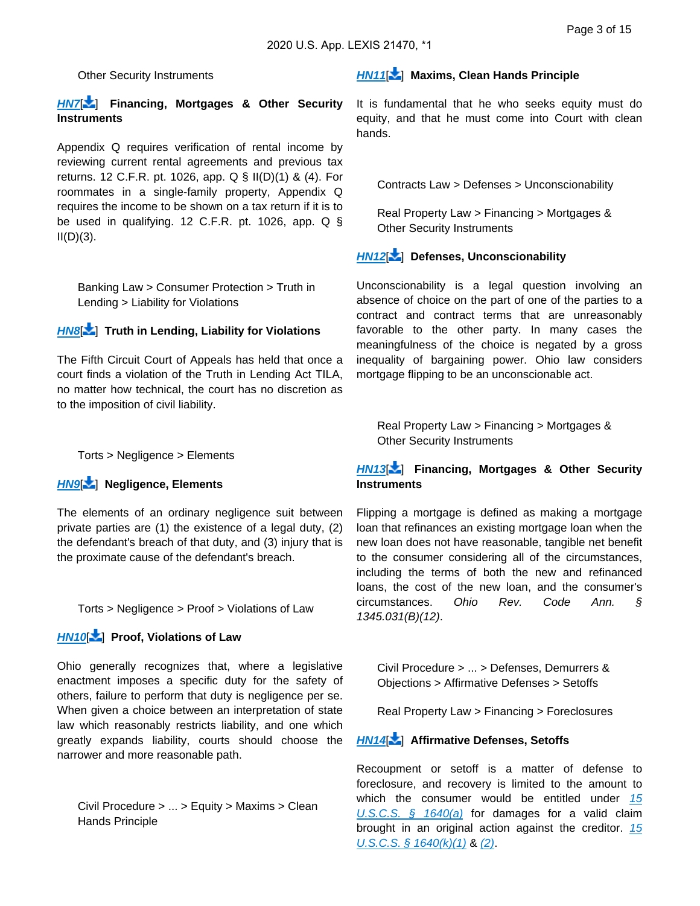Other Security Instruments

#### **[HN7](https://advance.lexis.com/api/document?collection=cases&id=urn:contentItem:609M-VJ91-F8SS-62DG-00000-00&context=&link=LNHNREFclscc7)**[ ] **Financing, Mortgages & Other Security Instruments**

Appendix Q requires verification of rental income by reviewing current rental agreements and previous tax returns. 12 C.F.R. pt. 1026, app. Q § II(D)(1) & (4). For roommates in a single-family property, Appendix Q requires the income to be shown on a tax return if it is to be used in qualifying. 12 C.F.R. pt. 1026, app. Q §  $II(D)(3)$ .

Banking Law > Consumer Protection > Truth in Lending > Liability for Violations

#### **[HN8](https://advance.lexis.com/api/document?collection=cases&id=urn:contentItem:609M-VJ91-F8SS-62DG-00000-00&context=&link=LNHNREFclscc8)**[ ] **Truth in Lending, Liability for Violations**

The Fifth Circuit Court of Appeals has held that once a court finds a violation of the Truth in Lending Act TILA, no matter how technical, the court has no discretion as to the imposition of civil liability.

Torts > Negligence > Elements

#### **[HN9](https://advance.lexis.com/api/document?collection=cases&id=urn:contentItem:609M-VJ91-F8SS-62DG-00000-00&context=&link=LNHNREFclscc9)**[ ] **Negligence, Elements**

The elements of an ordinary negligence suit between private parties are (1) the existence of a legal duty, (2) the defendant's breach of that duty, and (3) injury that is the proximate cause of the defendant's breach.

<span id="page-6-0"></span>Torts > Negligence > Proof > Violations of Law

### **[HN10](https://advance.lexis.com/api/document?collection=cases&id=urn:contentItem:609M-VJ91-F8SS-62DG-00000-00&context=&link=LNHNREFclscc10)**[\[](#page-15-0) ] **Proof, Violations of Law**

Ohio generally recognizes that, where a legislative enactment imposes a specific duty for the safety of others, failure to perform that duty is negligence per se. When given a choice between an interpretation of state law which reasonably restricts liability, and one which greatly expands liability, courts should choose the narrower and more reasonable path.

<span id="page-6-1"></span>Civil Procedure > ... > Equity > Maxims > Clean Hands Principle

#### **[HN11](https://advance.lexis.com/api/document?collection=cases&id=urn:contentItem:609M-VJ91-F8SS-62DG-00000-00&context=&link=LNHNREFclscc11)**[\[](#page-15-1) ] **Maxims, Clean Hands Principle**

<span id="page-6-2"></span>It is fundamental that he who seeks equity must do equity, and that he must come into Court with clean hands.

Contracts Law > Defenses > Unconscionability

Real Property Law > Financing > Mortgages & Other Security Instruments

### **[HN12](https://advance.lexis.com/api/document?collection=cases&id=urn:contentItem:609M-VJ91-F8SS-62DG-00000-00&context=&link=LNHNREFclscc12)**[\[](#page-16-0) ] **Defenses, Unconscionability**

Unconscionability is a legal question involving an absence of choice on the part of one of the parties to a contract and contract terms that are unreasonably favorable to the other party. In many cases the meaningfulness of the choice is negated by a gross inequality of bargaining power. Ohio law considers mortgage flipping to be an unconscionable act.

<span id="page-6-3"></span>Real Property Law > Financing > Mortgages & Other Security Instruments

### **[HN13](https://advance.lexis.com/api/document?collection=cases&id=urn:contentItem:609M-VJ91-F8SS-62DG-00000-00&context=&link=LNHNREFclscc13)**[\[](#page-16-1) ] **Financing, Mortgages & Other Security Instruments**

Flipping a mortgage is defined as making a mortgage loan that refinances an existing mortgage loan when the new loan does not have reasonable, tangible net benefit to the consumer considering all of the circumstances, including the terms of both the new and refinanced loans, the cost of the new loan, and the consumer's circumstances. Ohio Rev. Code Ann. § 1345.031(B)(12).

<span id="page-6-4"></span>Civil Procedure > ... > Defenses, Demurrers & Objections > Affirmative Defenses > Setoffs

Real Property Law > Financing > Foreclosures

#### **[HN14](https://advance.lexis.com/api/document?collection=cases&id=urn:contentItem:609M-VJ91-F8SS-62DG-00000-00&context=&link=LNHNREFclscc14)**[\[](#page-18-0) ] **Affirmative Defenses, Setoffs**

Recoupment or setoff is a matter of defense to foreclosure, and recovery is limited to the amount to which the consumer would be entitled under  $15$ U.S.C.S.  $\frac{6}{5}$  1640(a) for damages for a valid claim brought in an original action against the creditor. 15  $U.S.C.S. \S$  1640(k)(1) & [\(2\)](https://advance.lexis.com/api/document?collection=statutes-legislation&id=urn:contentItem:8S9D-W4W2-8T6X-71MH-00000-00&context=).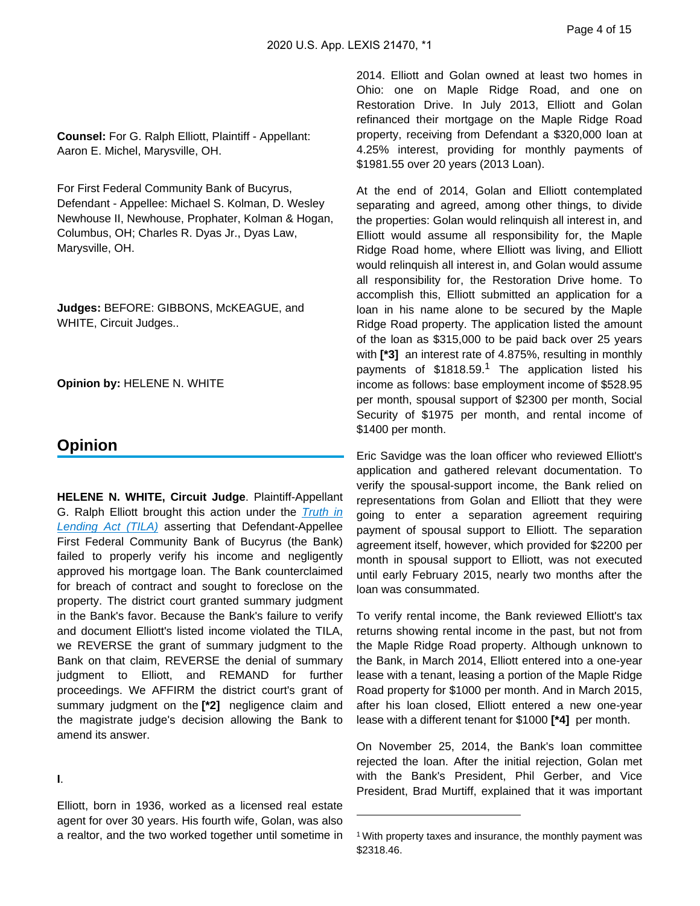**Counsel:** For G. Ralph Elliott, Plaintiff - Appellant: Aaron E. Michel, Marysville, OH.

For First Federal Community Bank of Bucyrus, Defendant - Appellee: Michael S. Kolman, D. Wesley Newhouse II, Newhouse, Prophater, Kolman & Hogan, Columbus, OH; Charles R. Dyas Jr., Dyas Law, Marysville, OH.

**Judges:** BEFORE: GIBBONS, McKEAGUE, and WHITE, Circuit Judges..

**Opinion by:** HELENE N. WHITE

# **Opinion**

**HELENE N. WHITE, Circuit Judge**. Plaintiff-Appellant G. Ralph Elliott brought this action under the Truth in **[Lending Act \(TILA\)](https://advance.lexis.com/api/document?collection=statutes-legislation&id=urn:contentItem:8S9D-W4W2-8T6X-71K7-00000-00&context=)** asserting that Defendant-Appellee First Federal Community Bank of Bucyrus (the Bank) failed to properly verify his income and negligently approved his mortgage loan. The Bank counterclaimed for breach of contract and sought to foreclose on the property. The district court granted summary judgment in the Bank's favor. Because the Bank's failure to verify and document Elliott's listed income violated the TILA, we REVERSE the grant of summary judgment to the Bank on that claim, REVERSE the denial of summary judgment to Elliott, and REMAND for further proceedings. We AFFIRM the district court's grant of summary judgment on the **[\*2]** negligence claim and the magistrate judge's decision allowing the Bank to amend its answer.

**I**.

Elliott, born in 1936, worked as a licensed real estate agent for over 30 years. His fourth wife, Golan, was also a realtor, and the two worked together until sometime in 2014. Elliott and Golan owned at least two homes in Ohio: one on Maple Ridge Road, and one on Restoration Drive. In July 2013, Elliott and Golan refinanced their mortgage on the Maple Ridge Road property, receiving from Defendant a \$320,000 loan at 4.25% interest, providing for monthly payments of \$1981.55 over 20 years (2013 Loan).

At the end of 2014, Golan and Elliott contemplated separating and agreed, among other things, to divide the properties: Golan would relinquish all interest in, and Elliott would assume all responsibility for, the Maple Ridge Road home, where Elliott was living, and Elliott would relinquish all interest in, and Golan would assume all responsibility for, the Restoration Drive home. To accomplish this, Elliott submitted an application for a loan in his name alone to be secured by the Maple Ridge Road property. The application listed the amount of the loan as \$315,000 to be paid back over 25 years with **[\*3]** an interest rate of 4.875%, resulting in monthly payments of \$1818.59.<sup>1</sup> The application listed his income as follows: base employment income of \$528.95 per month, spousal support of \$2300 per month, Social Security of \$1975 per month, and rental income of \$1400 per month.

Eric Savidge was the loan officer who reviewed Elliott's application and gathered relevant documentation. To verify the spousal-support income, the Bank relied on representations from Golan and Elliott that they were going to enter a separation agreement requiring payment of spousal support to Elliott. The separation agreement itself, however, which provided for \$2200 per month in spousal support to Elliott, was not executed until early February 2015, nearly two months after the loan was consummated.

To verify rental income, the Bank reviewed Elliott's tax returns showing rental income in the past, but not from the Maple Ridge Road property. Although unknown to the Bank, in March 2014, Elliott entered into a one-year lease with a tenant, leasing a portion of the Maple Ridge Road property for \$1000 per month. And in March 2015, after his loan closed, Elliott entered a new one-year lease with a different tenant for \$1000 **[\*4]** per month.

On November 25, 2014, the Bank's loan committee rejected the loan. After the initial rejection, Golan met with the Bank's President, Phil Gerber, and Vice President, Brad Murtiff, explained that it was important

<sup>&</sup>lt;sup>1</sup> With property taxes and insurance, the monthly payment was \$2318.46.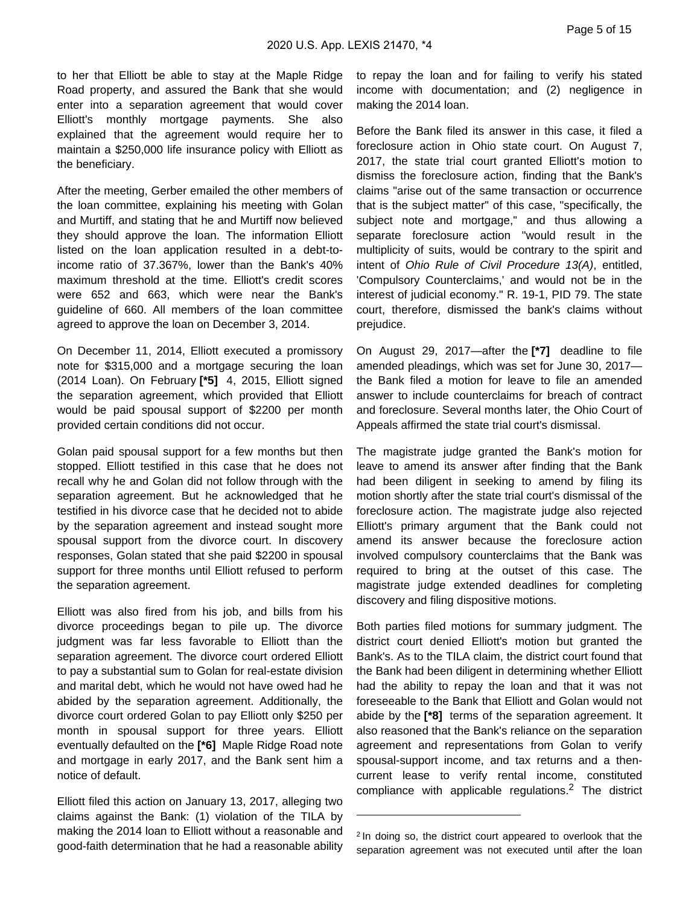to her that Elliott be able to stay at the Maple Ridge Road property, and assured the Bank that she would enter into a separation agreement that would cover Elliott's monthly mortgage payments. She also explained that the agreement would require her to maintain a \$250,000 life insurance policy with Elliott as the beneficiary.

After the meeting, Gerber emailed the other members of the loan committee, explaining his meeting with Golan and Murtiff, and stating that he and Murtiff now believed they should approve the loan. The information Elliott listed on the loan application resulted in a debt-toincome ratio of 37.367%, lower than the Bank's 40% maximum threshold at the time. Elliott's credit scores were 652 and 663, which were near the Bank's guideline of 660. All members of the loan committee agreed to approve the loan on December 3, 2014.

On December 11, 2014, Elliott executed a promissory note for \$315,000 and a mortgage securing the loan (2014 Loan). On February **[\*5]** 4, 2015, Elliott signed the separation agreement, which provided that Elliott would be paid spousal support of \$2200 per month provided certain conditions did not occur.

Golan paid spousal support for a few months but then stopped. Elliott testified in this case that he does not recall why he and Golan did not follow through with the separation agreement. But he acknowledged that he testified in his divorce case that he decided not to abide by the separation agreement and instead sought more spousal support from the divorce court. In discovery responses, Golan stated that she paid \$2200 in spousal support for three months until Elliott refused to perform the separation agreement.

Elliott was also fired from his job, and bills from his divorce proceedings began to pile up. The divorce judgment was far less favorable to Elliott than the separation agreement. The divorce court ordered Elliott to pay a substantial sum to Golan for real-estate division and marital debt, which he would not have owed had he abided by the separation agreement. Additionally, the divorce court ordered Golan to pay Elliott only \$250 per month in spousal support for three years. Elliott eventually defaulted on the **[\*6]** Maple Ridge Road note and mortgage in early 2017, and the Bank sent him a notice of default.

Elliott filed this action on January 13, 2017, alleging two claims against the Bank: (1) violation of the TILA by making the 2014 loan to Elliott without a reasonable and good-faith determination that he had a reasonable ability

to repay the loan and for failing to verify his stated income with documentation; and (2) negligence in making the 2014 loan.

Before the Bank filed its answer in this case, it filed a foreclosure action in Ohio state court. On August 7, 2017, the state trial court granted Elliott's motion to dismiss the foreclosure action, finding that the Bank's claims "arise out of the same transaction or occurrence that is the subject matter" of this case, "specifically, the subject note and mortgage," and thus allowing a separate foreclosure action "would result in the multiplicity of suits, would be contrary to the spirit and intent of Ohio Rule of Civil Procedure 13(A), entitled, 'Compulsory Counterclaims,' and would not be in the interest of judicial economy." R. 19-1, PID 79. The state court, therefore, dismissed the bank's claims without prejudice.

On August 29, 2017—after the **[\*7]** deadline to file amended pleadings, which was set for June 30, 2017 the Bank filed a motion for leave to file an amended answer to include counterclaims for breach of contract and foreclosure. Several months later, the Ohio Court of Appeals affirmed the state trial court's dismissal.

The magistrate judge granted the Bank's motion for leave to amend its answer after finding that the Bank had been diligent in seeking to amend by filing its motion shortly after the state trial court's dismissal of the foreclosure action. The magistrate judge also rejected Elliott's primary argument that the Bank could not amend its answer because the foreclosure action involved compulsory counterclaims that the Bank was required to bring at the outset of this case. The magistrate judge extended deadlines for completing discovery and filing dispositive motions.

Both parties filed motions for summary judgment. The district court denied Elliott's motion but granted the Bank's. As to the TILA claim, the district court found that the Bank had been diligent in determining whether Elliott had the ability to repay the loan and that it was not foreseeable to the Bank that Elliott and Golan would not abide by the **[\*8]** terms of the separation agreement. It also reasoned that the Bank's reliance on the separation agreement and representations from Golan to verify spousal-support income, and tax returns and a thencurrent lease to verify rental income, constituted compliance with applicable regulations.<sup>2</sup> The district

<sup>&</sup>lt;sup>2</sup> In doing so, the district court appeared to overlook that the separation agreement was not executed until after the loan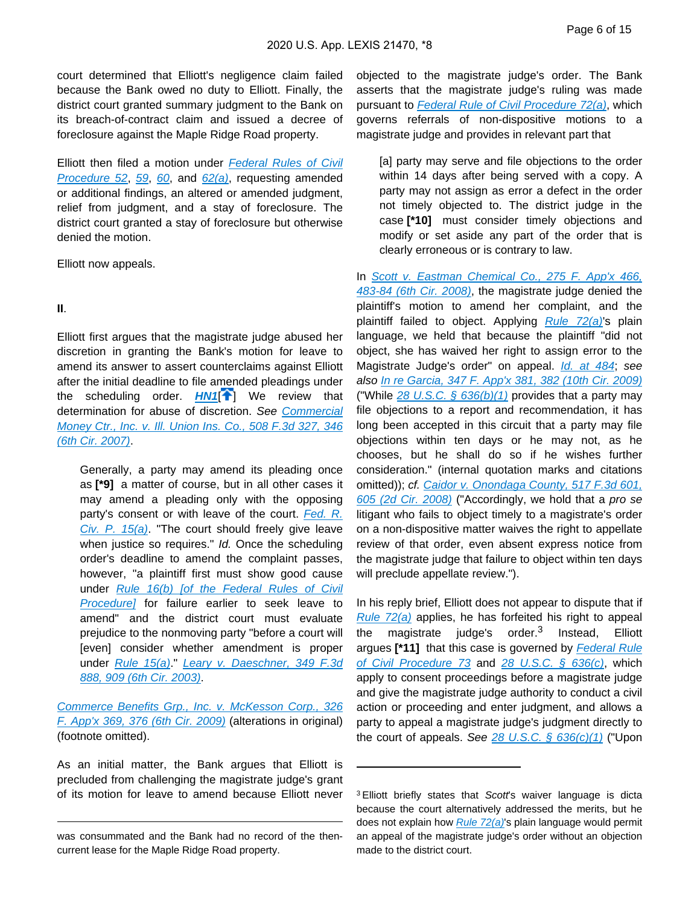court determined that Elliott's negligence claim failed because the Bank owed no duty to Elliott. Finally, the district court granted summary judgment to the Bank on its breach-of-contract claim and issued a decree of foreclosure against the Maple Ridge Road property.

Elliott then filed a motion under **Federal Rules of Civil** [Procedure 52](https://advance.lexis.com/api/document?collection=statutes-legislation&id=urn:contentItem:5GYC-22N1-6N19-F032-00000-00&context=), [59](https://advance.lexis.com/api/document?collection=statutes-legislation&id=urn:contentItem:5GYC-2421-6N19-F16C-00000-00&context=), [60](https://advance.lexis.com/api/document?collection=statutes-legislation&id=urn:contentItem:5GYC-2421-6N19-F16F-00000-00&context=), and  $62(a)$ , requesting amended or additional findings, an altered or amended judgment, relief from judgment, and a stay of foreclosure. The district court granted a stay of foreclosure but otherwise denied the motion.

Elliott now appeals.

#### **II**.

Elliott first argues that the magistrate judge abused her discretion in granting the Bank's motion for leave to amend its answer to assert counterclaims against Elliott after the initial deadline to file amended pleadings under the scheduling order. **[HN1](https://advance.lexis.com/api/document?collection=cases&id=urn:contentItem:609M-VJ91-F8SS-62DG-00000-00&context=&link=clscc1)<sup>[\[](#page-4-0)4]</sup>** We review that determination for abuse of discretion. See [Commercial](https://advance.lexis.com/api/document?collection=cases&id=urn:contentItem:4R4F-FW60-TXFX-8313-00000-00&context=)  [Money Ctr., Inc. v. Ill. Union Ins. Co., 508 F.3d 327, 346](https://advance.lexis.com/api/document?collection=cases&id=urn:contentItem:4R4F-FW60-TXFX-8313-00000-00&context=)  [\(6th Cir. 2007\)](https://advance.lexis.com/api/document?collection=cases&id=urn:contentItem:4R4F-FW60-TXFX-8313-00000-00&context=).

Generally, a party may amend its pleading once as **[\*9]** a matter of course, but in all other cases it may amend a pleading only with the opposing party's consent or with leave of the court. Fed. R. [Civ. P. 15\(a\)](https://advance.lexis.com/api/document?collection=statutes-legislation&id=urn:contentItem:5GYC-1WP1-6N19-F103-00000-00&context=). "The court should freely give leave when justice so requires." Id. Once the scheduling order's deadline to amend the complaint passes, however, "a plaintiff first must show good cause under [Rule 16\(b\) \[of the Federal Rules of Civil](https://advance.lexis.com/api/document?collection=statutes-legislation&id=urn:contentItem:8JD7-4G92-8T6X-702K-00000-00&context=)  [Procedure\]](https://advance.lexis.com/api/document?collection=statutes-legislation&id=urn:contentItem:8JD7-4G92-8T6X-702K-00000-00&context=) for failure earlier to seek leave to amend" and the district court must evaluate prejudice to the nonmoving party "before a court will [even] consider whether amendment is proper under [Rule 15\(a\)](https://advance.lexis.com/api/document?collection=statutes-legislation&id=urn:contentItem:5GYC-1WP1-6N19-F103-00000-00&context=)." Leary v. Daeschner, 349 F.3d [888, 909 \(6th Cir. 2003\)](https://advance.lexis.com/api/document?collection=cases&id=urn:contentItem:4B20-D490-0038-X26X-00000-00&context=).

[Commerce Benefits Grp., Inc. v. McKesson Corp., 326](https://advance.lexis.com/api/document?collection=cases&id=urn:contentItem:4WBS-Y8X0-TXFX-82VX-00000-00&context=)  [F. App'x 369, 376 \(6th Cir. 2009\)](https://advance.lexis.com/api/document?collection=cases&id=urn:contentItem:4WBS-Y8X0-TXFX-82VX-00000-00&context=) (alterations in original) (footnote omitted).

As an initial matter, the Bank argues that Elliott is precluded from challenging the magistrate judge's grant of its motion for leave to amend because Elliott never objected to the magistrate judge's order. The Bank asserts that the magistrate judge's ruling was made pursuant to [Federal Rule of Civil Procedure 72\(a\)](https://advance.lexis.com/api/document?collection=statutes-legislation&id=urn:contentItem:5GYC-25Y1-FG36-104X-00000-00&context=), which governs referrals of non-dispositive motions to a magistrate judge and provides in relevant part that

[a] party may serve and file objections to the order within 14 days after being served with a copy. A party may not assign as error a defect in the order not timely objected to. The district judge in the case **[\*10]** must consider timely objections and modify or set aside any part of the order that is clearly erroneous or is contrary to law.

In Scott v. Eastman Chemical Co., 275 F. App'x 466, [483-84 \(6th Cir. 2008\)](https://advance.lexis.com/api/document?collection=cases&id=urn:contentItem:4SC0-YN50-TXFX-829G-00000-00&context=), the magistrate judge denied the plaintiff's motion to amend her complaint, and the plaintiff failed to object. Applying [Rule 72\(a\)](https://advance.lexis.com/api/document?collection=statutes-legislation&id=urn:contentItem:5GYC-25Y1-FG36-104X-00000-00&context=)'s plain language, we held that because the plaintiff "did not object, she has waived her right to assign error to the Magistrate Judge's order" on appeal. *[Id. at 484](https://advance.lexis.com/api/document?collection=cases&id=urn:contentItem:4SC0-YN50-TXFX-829G-00000-00&context=)*; see also [In re Garcia, 347 F. App'x 381, 382 \(10th Cir. 2009\)](https://advance.lexis.com/api/document?collection=cases&id=urn:contentItem:4XBY-KPX0-TXFX-F1RC-00000-00&context=) ("While 28 U.S.C.  $\frac{6}{9}$  636(b)(1) provides that a party may file objections to a report and recommendation, it has long been accepted in this circuit that a party may file objections within ten days or he may not, as he chooses, but he shall do so if he wishes further consideration." (internal quotation marks and citations omitted)); cf. Caidor v. Onondaga County, 517 F.3d 601, [605 \(2d Cir. 2008\)](https://advance.lexis.com/api/document?collection=cases&id=urn:contentItem:4RWJ-V690-TXFX-428F-00000-00&context=) ("Accordingly, we hold that a pro se litigant who fails to object timely to a magistrate's order on a non-dispositive matter waives the right to appellate review of that order, even absent express notice from the magistrate judge that failure to object within ten days will preclude appellate review.").

In his reply brief, Elliott does not appear to dispute that if Rule  $72(a)$  applies, he has forfeited his right to appeal the magistrate judge's order.<sup>3</sup> Instead, Elliott argues<sup>[\*11]</sup> that this case is governed by **Federal Rule** [of Civil Procedure 73](https://advance.lexis.com/api/document?collection=statutes-legislation&id=urn:contentItem:5GYC-25Y1-FG36-1050-00000-00&context=) and [28 U.S.C. § 636\(c\)](https://advance.lexis.com/api/document?collection=statutes-legislation&id=urn:contentItem:8SG9-5HW2-D6RV-H0BK-00000-00&context=), which apply to consent proceedings before a magistrate judge and give the magistrate judge authority to conduct a civil action or proceeding and enter judgment, and allows a party to appeal a magistrate judge's judgment directly to the court of appeals. See  $28$  U.S.C. §  $636(c)(1)$  ("Upon

was consummated and the Bank had no record of the thencurrent lease for the Maple Ridge Road property.

<sup>&</sup>lt;sup>3</sup> Elliott briefly states that Scott's waiver language is dicta because the court alternatively addressed the merits, but he does not explain how *[Rule 72\(a\)](https://advance.lexis.com/api/document?collection=statutes-legislation&id=urn:contentItem:5GYC-25Y1-FG36-104X-00000-00&context=)*'s plain language would permit an appeal of the magistrate judge's order without an objection made to the district court.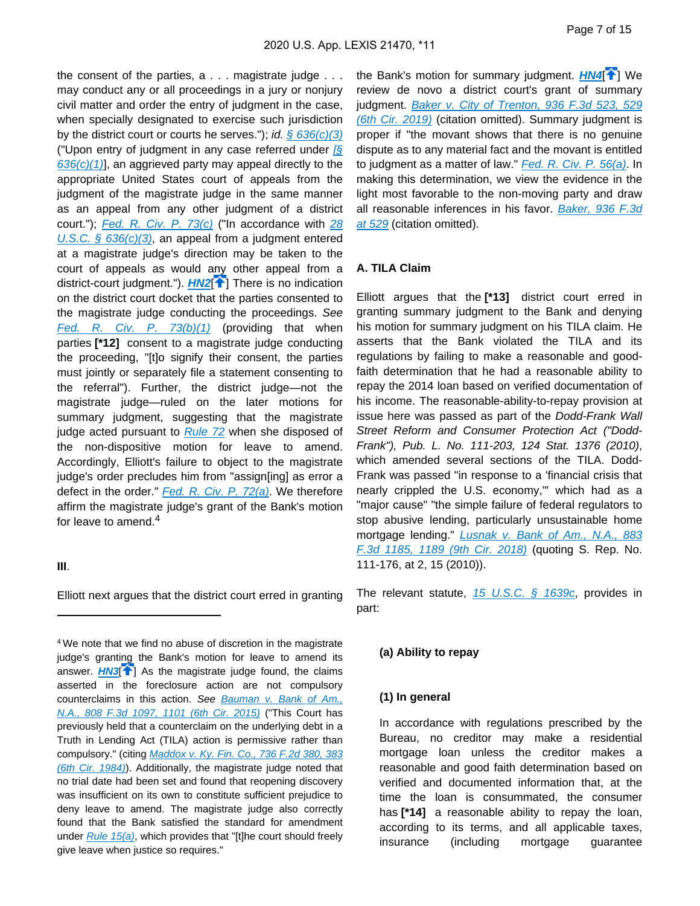the consent of the parties, a . . . magistrate judge . . . may conduct any or all proceedings in a jury or nonjury civil matter and order the entry of judgment in the case, when specially designated to exercise such jurisdiction by the district court or courts he serves."); id.  $\frac{636(c)}{3}$ ("Upon entry of judgment in any case referred under [\[§](https://advance.lexis.com/api/document?collection=statutes-legislation&id=urn:contentItem:8SG9-5HW2-D6RV-H0BK-00000-00&context=)   $636(c)(1)$ ], an aggrieved party may appeal directly to the appropriate United States court of appeals from the judgment of the magistrate judge in the same manner as an appeal from any other judgment of a district court.");  $Fed. R. Civ. P. 73(c) ("In accordance with  $\frac{28}{2}$  $Fed. R. Civ. P. 73(c) ("In accordance with  $\frac{28}{2}$  $Fed. R. Civ. P. 73(c) ("In accordance with  $\frac{28}{2}$$$$ [U.S.C. § 636\(c\)\(3\)](https://advance.lexis.com/api/document?collection=statutes-legislation&id=urn:contentItem:8SG9-5HW2-D6RV-H0BK-00000-00&context=), an appeal from a judgment entered at a magistrate judge's direction may be taken to the court of appeals as would any other appeal from a district-court judgment."). **[HN2](https://advance.lexis.com/api/document?collection=cases&id=urn:contentItem:609M-VJ91-F8SS-62DG-00000-00&context=&link=clscc2)<sup>[4[\]](#page-5-1)</sup>** There is no indication on the district court docket that the parties consented to the magistrate judge conducting the proceedings. See [Fed. R. Civ. P. 73\(b\)\(1\)](https://advance.lexis.com/api/document?collection=statutes-legislation&id=urn:contentItem:5GYC-25Y1-FG36-1050-00000-00&context=) (providing that when parties **[\*12]** consent to a magistrate judge conducting the proceeding, "[t]o signify their consent, the parties must jointly or separately file a statement consenting to the referral"). Further, the district judge—not the magistrate judge—ruled on the later motions for summary judgment, suggesting that the magistrate judge acted pursuant to [Rule 72](https://advance.lexis.com/api/document?collection=statutes-legislation&id=urn:contentItem:5GYC-25Y1-FG36-104X-00000-00&context=) when she disposed of the non-dispositive motion for leave to amend. Accordingly, Elliott's failure to object to the magistrate judge's order precludes him from "assign[ing] as error a defect in the order." Fed. R. Civ. P.  $72(a)$ . We therefore affirm the magistrate judge's grant of the Bank's motion for leave to amend.<sup>4</sup>

#### **III**.

Elliott next argues that the district court erred in granting

<sup>4</sup>We note that we find no abuse of discretion in the magistrate judge's granting the Bank's motion for leave to amend its answer.  $H N3$ <sup>[\[](#page-5-0) $\uparrow$ ]</sub> As the magistrate judge found, the claims</sup> asserted in the foreclosure action are not compulsory counterclaims in this action. See Bauman v. Bank of Am., [N.A., 808 F.3d 1097, 1101 \(6th Cir. 2015\)](https://advance.lexis.com/api/document?collection=cases&id=urn:contentItem:5HNV-TJ61-F04K-P07M-00000-00&context=) ("This Court has previously held that a counterclaim on the underlying debt in a Truth in Lending Act (TILA) action is permissive rather than compulsory." (citing Maddox v. Ky. Fin. Co., 736 F.2d 380, 383 [\(6th Cir. 1984\)](https://advance.lexis.com/api/document?collection=cases&id=urn:contentItem:3S4W-WTY0-003B-G394-00000-00&context=)). Additionally, the magistrate judge noted that no trial date had been set and found that reopening discovery was insufficient on its own to constitute sufficient prejudice to deny leave to amend. The magistrate judge also correctly found that the Bank satisfied the standard for amendment under  $Rule 15(a)$ , which provides that "[t]he court should freely give leave when justice so requires."

the Bank's motion for summary judgment. **[HN4](https://advance.lexis.com/api/document?collection=cases&id=urn:contentItem:609M-VJ91-F8SS-62DG-00000-00&context=&link=clscc4)<sup>[4]</sup>]** We review de novo a district court's grant of summary judgment. [Baker v. City of Trenton, 936 F.3d 523, 529](https://advance.lexis.com/api/document?collection=cases&id=urn:contentItem:5WXN-CMX1-DYV0-G390-00000-00&context=)  [\(6th Cir. 2019\)](https://advance.lexis.com/api/document?collection=cases&id=urn:contentItem:5WXN-CMX1-DYV0-G390-00000-00&context=) (citation omitted). Summary judgment is proper if "the movant shows that there is no genuine dispute as to any material fact and the movant is entitled to judgment as a matter of law." [Fed. R. Civ. P. 56\(a\)](https://advance.lexis.com/api/document?collection=statutes-legislation&id=urn:contentItem:5GYC-2421-6N19-F165-00000-00&context=). In making this determination, we view the evidence in the light most favorable to the non-moving party and draw all reasonable inferences in his favor. Baker, 936 F.3d [at 529](https://advance.lexis.com/api/document?collection=cases&id=urn:contentItem:5WXN-CMX1-DYV0-G390-00000-00&context=) (citation omitted).

#### **A. TILA Claim**

Elliott argues that the **[\*13]** district court erred in granting summary judgment to the Bank and denying his motion for summary judgment on his TILA claim. He asserts that the Bank violated the TILA and its regulations by failing to make a reasonable and goodfaith determination that he had a reasonable ability to repay the 2014 loan based on verified documentation of his income. The reasonable-ability-to-repay provision at issue here was passed as part of the Dodd-Frank Wall Street Reform and Consumer Protection Act ("Dodd-Frank"), Pub. L. No. 111-203, 124 Stat. 1376 (2010), which amended several sections of the TILA. Dodd-Frank was passed "in response to a 'financial crisis that nearly crippled the U.S. economy,'" which had as a "major cause" "the simple failure of federal regulators to stop abusive lending, particularly unsustainable home mortgage lending." *Lusnak v. Bank of Am., N.A., 883* [F.3d 1185, 1189 \(9th Cir. 2018\)](https://advance.lexis.com/api/document?collection=cases&id=urn:contentItem:5RSF-MG71-JXG3-X2G5-00000-00&context=) (quoting S. Rep. No. 111-176, at 2, 15 (2010)).

The relevant statute,  $15 \text{ U.S.C.}$  §  $1639c$ , provides in part:

#### **(a) Ability to repay**

#### **(1) In general**

In accordance with regulations prescribed by the Bureau, no creditor may make a residential mortgage loan unless the creditor makes a reasonable and good faith determination based on verified and documented information that, at the time the loan is consummated, the consumer has **[\*14]** a reasonable ability to repay the loan, according to its terms, and all applicable taxes, insurance (including mortgage guarantee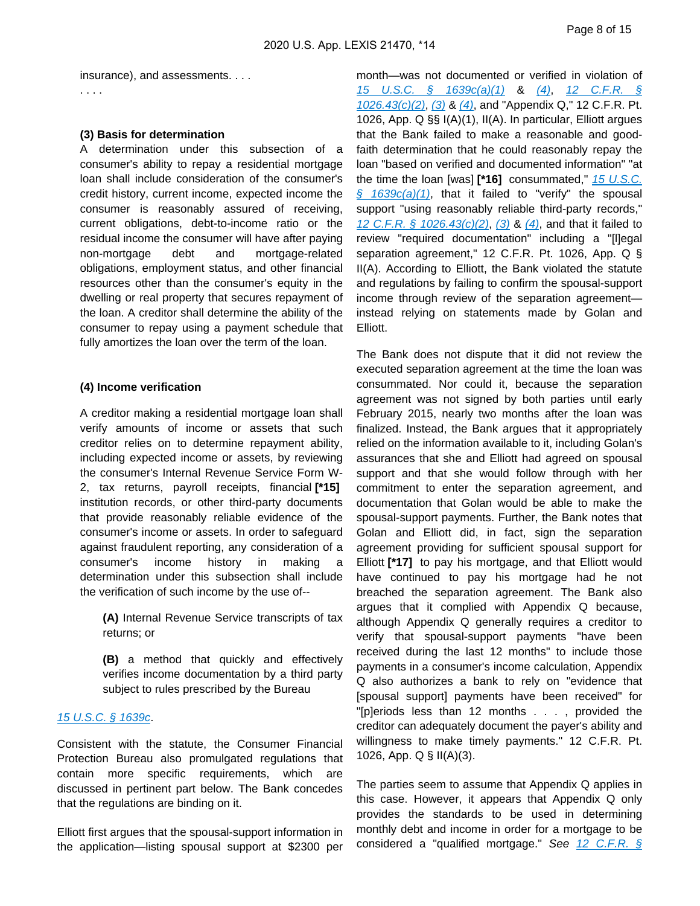insurance), and assessments. . . .

#### **(3) Basis for determination**

. . . .

A determination under this subsection of a consumer's ability to repay a residential mortgage loan shall include consideration of the consumer's credit history, current income, expected income the consumer is reasonably assured of receiving, current obligations, debt-to-income ratio or the residual income the consumer will have after paying non-mortgage debt and mortgage-related obligations, employment status, and other financial resources other than the consumer's equity in the dwelling or real property that secures repayment of the loan. A creditor shall determine the ability of the consumer to repay using a payment schedule that fully amortizes the loan over the term of the loan.

#### **(4) Income verification**

A creditor making a residential mortgage loan shall verify amounts of income or assets that such creditor relies on to determine repayment ability, including expected income or assets, by reviewing the consumer's Internal Revenue Service Form W-2, tax returns, payroll receipts, financial **[\*15]**  institution records, or other third-party documents that provide reasonably reliable evidence of the consumer's income or assets. In order to safeguard against fraudulent reporting, any consideration of a consumer's income history in making a determination under this subsection shall include the verification of such income by the use of--

**(A)** Internal Revenue Service transcripts of tax returns; or

**(B)** a method that quickly and effectively verifies income documentation by a third party subject to rules prescribed by the Bureau

#### [15 U.S.C. § 1639c](https://advance.lexis.com/api/document?collection=statutes-legislation&id=urn:contentItem:8S9D-W4W2-8T6X-71M9-00000-00&context=).

Consistent with the statute, the Consumer Financial Protection Bureau also promulgated regulations that contain more specific requirements, which are discussed in pertinent part below. The Bank concedes that the regulations are binding on it.

Elliott first argues that the spousal-support information in the application—listing spousal support at \$2300 per

month—was not documented or verified in violation of [15 U.S.C. § 1639c\(a\)\(1\)](https://advance.lexis.com/api/document?collection=statutes-legislation&id=urn:contentItem:8S9D-W4W2-8T6X-71M9-00000-00&context=) & [\(4\)](https://advance.lexis.com/api/document?collection=statutes-legislation&id=urn:contentItem:8S9D-W4W2-8T6X-71M9-00000-00&context=), [12 C.F.R. §](https://advance.lexis.com/api/document?collection=administrative-codes&id=urn:contentItem:5X8F-SD51-JNS1-M0NN-00000-00&context=)   $1026.43(c)(2)$ ,  $(3)$  &  $(4)$ , and "Appendix Q," 12 C.F.R. Pt. 1026, App. Q §§ I(A)(1), II(A). In particular, Elliott argues that the Bank failed to make a reasonable and goodfaith determination that he could reasonably repay the loan "based on verified and documented information" "at the time the loan [was] **[\*16]** consummated," [15 U.S.C.](https://advance.lexis.com/api/document?collection=statutes-legislation&id=urn:contentItem:8S9D-W4W2-8T6X-71M9-00000-00&context=)   $§ 1639c(a)(1)$ , that it failed to "verify" the spousal support "using reasonably reliable third-party records," 12 C.F.R.  $\frac{5}{1026.43(c)(2)}$ ,  $\frac{3}{8}$  &  $\frac{4}{10}$ , and that it failed to review "required documentation" including a "[l]egal separation agreement," 12 C.F.R. Pt. 1026, App. Q § II(A). According to Elliott, the Bank violated the statute and regulations by failing to confirm the spousal-support income through review of the separation agreement instead relying on statements made by Golan and Elliott.

The Bank does not dispute that it did not review the executed separation agreement at the time the loan was consummated. Nor could it, because the separation agreement was not signed by both parties until early February 2015, nearly two months after the loan was finalized. Instead, the Bank argues that it appropriately relied on the information available to it, including Golan's assurances that she and Elliott had agreed on spousal support and that she would follow through with her commitment to enter the separation agreement, and documentation that Golan would be able to make the spousal-support payments. Further, the Bank notes that Golan and Elliott did, in fact, sign the separation agreement providing for sufficient spousal support for Elliott **[\*17]** to pay his mortgage, and that Elliott would have continued to pay his mortgage had he not breached the separation agreement. The Bank also argues that it complied with Appendix Q because, although Appendix Q generally requires a creditor to verify that spousal-support payments "have been received during the last 12 months" to include those payments in a consumer's income calculation, Appendix Q also authorizes a bank to rely on "evidence that [spousal support] payments have been received" for "[p]eriods less than 12 months . . . , provided the creditor can adequately document the payer's ability and willingness to make timely payments." 12 C.F.R. Pt. 1026, App. Q § II(A)(3).

The parties seem to assume that Appendix Q applies in this case. However, it appears that Appendix Q only provides the standards to be used in determining monthly debt and income in order for a mortgage to be considered a "qualified mortgage." See 12 C.F.R. §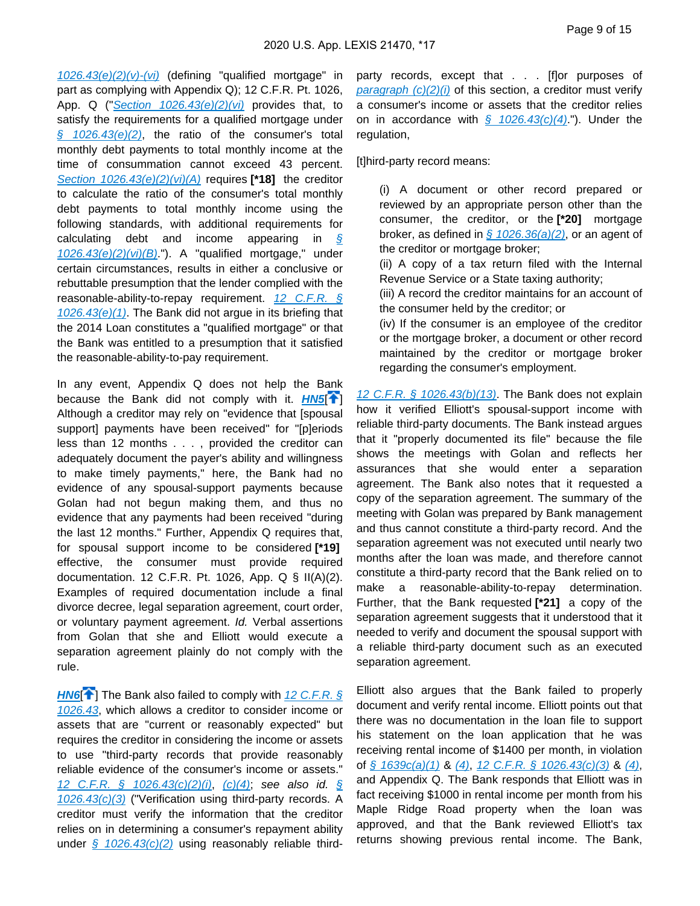$1026.43(e)(2)(v)-(vi)$  (defining "qualified mortgage" in part as complying with Appendix Q); 12 C.F.R. Pt. 1026, App. Q ("Section  $1026.43(e)(2)(vi)$  provides that, to satisfy the requirements for a qualified mortgage under  $§$  1026.43(e)(2), the ratio of the consumer's total monthly debt payments to total monthly income at the time of consummation cannot exceed 43 percent. [Section 1026.43\(e\)\(2\)\(vi\)\(A\)](https://advance.lexis.com/api/document?collection=administrative-codes&id=urn:contentItem:5X8F-SD51-JNS1-M0NN-00000-00&context=) requires **[\*18]** the creditor to calculate the ratio of the consumer's total monthly debt payments to total monthly income using the following standards, with additional requirements for calculating debt and income appearing in  $\frac{1}{2}$  $1026.43(e)(2)(vi)(B)$ ."). A "qualified mortgage," under certain circumstances, results in either a conclusive or rebuttable presumption that the lender complied with the reasonable-ability-to-repay requirement.  $12$  C.F.R. §  $1026.43(e)(1)$ . The Bank did not argue in its briefing that the 2014 Loan constitutes a "qualified mortgage" or that the Bank was entitled to a presumption that it satisfied the reasonable-ability-to-pay requirement.

In any event, Appendix Q does not help the Bank because the Bank did not comply with it. **[HN5](https://advance.lexis.com/api/document?collection=cases&id=urn:contentItem:609M-VJ91-F8SS-62DG-00000-00&context=&link=clscc5)<sup>1</sup>** Although a creditor may rely on "evidence that [spousal support] payments have been received" for "[p]eriods less than 12 months . . . , provided the creditor can adequately document the payer's ability and willingness to make timely payments," here, the Bank had no evidence of any spousal-support payments because Golan had not begun making them, and thus no evidence that any payments had been received "during the last 12 months." Further, Appendix Q requires that, for spousal support income to be considered **[\*19]**  effective, the consumer must provide required documentation. 12 C.F.R. Pt. 1026, App. Q § II(A)(2). Examples of required documentation include a final divorce decree, legal separation agreement, court order, or voluntary payment agreement. Id. Verbal assertions from Golan that she and Elliott would execute a separation agreement plainly do not comply with the rule.

**[HN6](https://advance.lexis.com/api/document?collection=cases&id=urn:contentItem:609M-VJ91-F8SS-62DG-00000-00&context=&link=clscc6)<sup>[4]</sup>** The Bank also failed to comply with 12 C.F.R. § [1026.43](https://advance.lexis.com/api/document?collection=administrative-codes&id=urn:contentItem:5X8F-SD51-JNS1-M0NN-00000-00&context=), which allows a creditor to consider income or assets that are "current or reasonably expected" but requires the creditor in considering the income or assets to use "third-party records that provide reasonably reliable evidence of the consumer's income or assets." [12 C.F.R. § 1026.43\(c\)\(2\)\(i\)](https://advance.lexis.com/api/document?collection=administrative-codes&id=urn:contentItem:5X8F-SD51-JNS1-M0NN-00000-00&context=), [\(c\)\(4\)](https://advance.lexis.com/api/document?collection=administrative-codes&id=urn:contentItem:5X8F-SD51-JNS1-M0NN-00000-00&context=); see also id. [§](https://advance.lexis.com/api/document?collection=administrative-codes&id=urn:contentItem:5X8F-SD51-JNS1-M0NN-00000-00&context=)  [1026.43\(c\)\(3\)](https://advance.lexis.com/api/document?collection=administrative-codes&id=urn:contentItem:5X8F-SD51-JNS1-M0NN-00000-00&context=) ("Verification using third-party records. A creditor must verify the information that the creditor relies on in determining a consumer's repayment ability under  $\frac{6}{5}$  1026.43(c)(2) using reasonably reliable thirdparty records, except that . . . [f]or purposes of paragraph  $(c)(2)(i)$  of this section, a creditor must verify a consumer's income or assets that the creditor relies on in accordance with  $\frac{6}{9}$  1026.43(c)(4)."). Under the regulation,

[t]hird-party record means:

(i) A document or other record prepared or reviewed by an appropriate person other than the consumer, the creditor, or the **[\*20]** mortgage broker, as defined in  $\frac{6}{9}$  1026.36(a)(2), or an agent of the creditor or mortgage broker;

(ii) A copy of a tax return filed with the Internal Revenue Service or a State taxing authority;

(iii) A record the creditor maintains for an account of the consumer held by the creditor; or

(iv) If the consumer is an employee of the creditor or the mortgage broker, a document or other record maintained by the creditor or mortgage broker regarding the consumer's employment.

12 C.F.R.  $\frac{6}{5}$  1026.43(b)(13). The Bank does not explain how it verified Elliott's spousal-support income with reliable third-party documents. The Bank instead argues that it "properly documented its file" because the file shows the meetings with Golan and reflects her assurances that she would enter a separation agreement. The Bank also notes that it requested a copy of the separation agreement. The summary of the meeting with Golan was prepared by Bank management and thus cannot constitute a third-party record. And the separation agreement was not executed until nearly two months after the loan was made, and therefore cannot constitute a third-party record that the Bank relied on to make a reasonable-ability-to-repay determination. Further, that the Bank requested **[\*21]** a copy of the separation agreement suggests that it understood that it needed to verify and document the spousal support with a reliable third-party document such as an executed separation agreement.

Elliott also argues that the Bank failed to properly document and verify rental income. Elliott points out that there was no documentation in the loan file to support his statement on the loan application that he was receiving rental income of \$1400 per month, in violation of  $\frac{1}{2}$  1639c(a)(1) & [\(4\)](https://advance.lexis.com/api/document?collection=administrative-codes&id=urn:contentItem:5X8F-SD51-JNS1-M0NN-00000-00&context=), 12 C.F.R.  $\frac{1}{2}$  1026.43(c)(3) & (4), and Appendix Q. The Bank responds that Elliott was in fact receiving \$1000 in rental income per month from his Maple Ridge Road property when the loan was approved, and that the Bank reviewed Elliott's tax returns showing previous rental income. The Bank,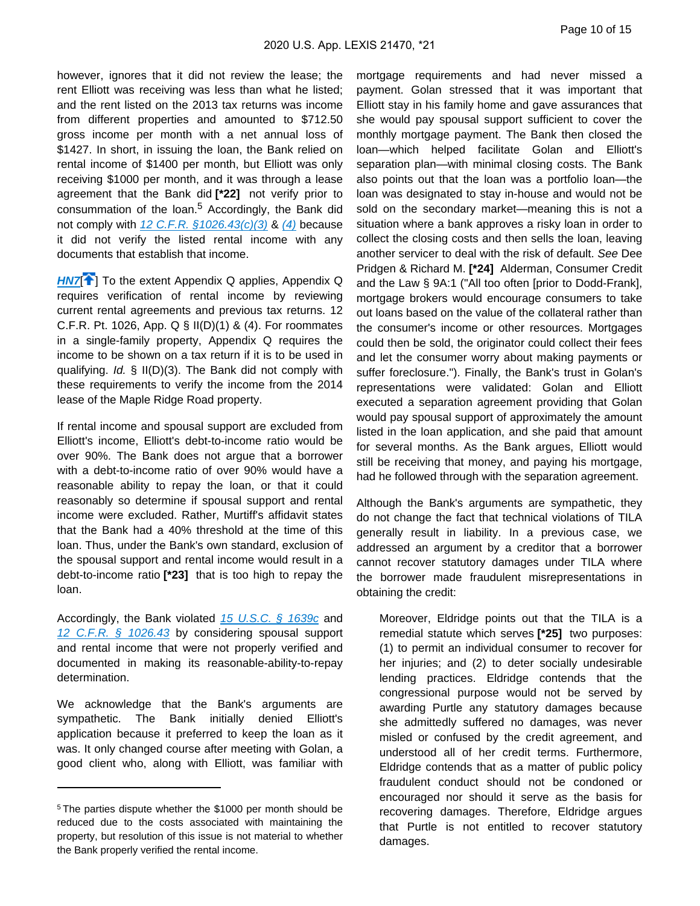however, ignores that it did not review the lease; the rent Elliott was receiving was less than what he listed; and the rent listed on the 2013 tax returns was income from different properties and amounted to \$712.50 gross income per month with a net annual loss of \$1427. In short, in issuing the loan, the Bank relied on rental income of \$1400 per month, but Elliott was only receiving \$1000 per month, and it was through a lease agreement that the Bank did **[\*22]** not verify prior to consummation of the loan.<sup>5</sup> Accordingly, the Bank did not comply with 12 C.F.R.  $$1026.43(c)(3)$  & [\(4\)](https://advance.lexis.com/api/document?collection=administrative-codes&id=urn:contentItem:5X8F-SD51-JNS1-M0NN-00000-00&context=) because it did not verify the listed rental income with any documents that establish that income.

**[HN7](https://advance.lexis.com/api/document?collection=cases&id=urn:contentItem:609M-VJ91-F8SS-62DG-00000-00&context=&link=clscc7)<sup>{\*</sup>**] To the extent Appendix Q applies, Appendix Q requires verification of rental income by reviewing current rental agreements and previous tax returns. 12 C.F.R. Pt. 1026, App. Q § II(D)(1) & (4). For roommates in a single-family property, Appendix Q requires the income to be shown on a tax return if it is to be used in qualifying. Id. § II(D)(3). The Bank did not comply with these requirements to verify the income from the 2014 lease of the Maple Ridge Road property.

If rental income and spousal support are excluded from Elliott's income, Elliott's debt-to-income ratio would be over 90%. The Bank does not argue that a borrower with a debt-to-income ratio of over 90% would have a reasonable ability to repay the loan, or that it could reasonably so determine if spousal support and rental income were excluded. Rather, Murtiff's affidavit states that the Bank had a 40% threshold at the time of this loan. Thus, under the Bank's own standard, exclusion of the spousal support and rental income would result in a debt-to-income ratio **[\*23]** that is too high to repay the loan.

Accordingly, the Bank violated [15 U.S.C. § 1639c](https://advance.lexis.com/api/document?collection=statutes-legislation&id=urn:contentItem:8S9D-W4W2-8T6X-71M9-00000-00&context=) and [12 C.F.R. § 1026.43](https://advance.lexis.com/api/document?collection=administrative-codes&id=urn:contentItem:5X8F-SD51-JNS1-M0NN-00000-00&context=) by considering spousal support and rental income that were not properly verified and documented in making its reasonable-ability-to-repay determination.

We acknowledge that the Bank's arguments are sympathetic. The Bank initially denied Elliott's application because it preferred to keep the loan as it was. It only changed course after meeting with Golan, a good client who, along with Elliott, was familiar with

mortgage requirements and had never missed a payment. Golan stressed that it was important that Elliott stay in his family home and gave assurances that she would pay spousal support sufficient to cover the monthly mortgage payment. The Bank then closed the loan—which helped facilitate Golan and Elliott's separation plan—with minimal closing costs. The Bank also points out that the loan was a portfolio loan—the loan was designated to stay in-house and would not be sold on the secondary market—meaning this is not a situation where a bank approves a risky loan in order to collect the closing costs and then sells the loan, leaving another servicer to deal with the risk of default. See Dee Pridgen & Richard M. **[\*24]** Alderman, Consumer Credit and the Law § 9A:1 ("All too often [prior to Dodd-Frank], mortgage brokers would encourage consumers to take out loans based on the value of the collateral rather than the consumer's income or other resources. Mortgages could then be sold, the originator could collect their fees and let the consumer worry about making payments or suffer foreclosure."). Finally, the Bank's trust in Golan's representations were validated: Golan and Elliott executed a separation agreement providing that Golan would pay spousal support of approximately the amount listed in the loan application, and she paid that amount for several months. As the Bank argues, Elliott would still be receiving that money, and paying his mortgage, had he followed through with the separation agreement.

Although the Bank's arguments are sympathetic, they do not change the fact that technical violations of TILA generally result in liability. In a previous case, we addressed an argument by a creditor that a borrower cannot recover statutory damages under TILA where the borrower made fraudulent misrepresentations in obtaining the credit:

Moreover, Eldridge points out that the TILA is a remedial statute which serves **[\*25]** two purposes: (1) to permit an individual consumer to recover for her injuries; and (2) to deter socially undesirable lending practices. Eldridge contends that the congressional purpose would not be served by awarding Purtle any statutory damages because she admittedly suffered no damages, was never misled or confused by the credit agreement, and understood all of her credit terms. Furthermore, Eldridge contends that as a matter of public policy fraudulent conduct should not be condoned or encouraged nor should it serve as the basis for recovering damages. Therefore, Eldridge argues that Purtle is not entitled to recover statutory damages.

<sup>5</sup>The parties dispute whether the \$1000 per month should be reduced due to the costs associated with maintaining the property, but resolution of this issue is not material to whether the Bank properly verified the rental income.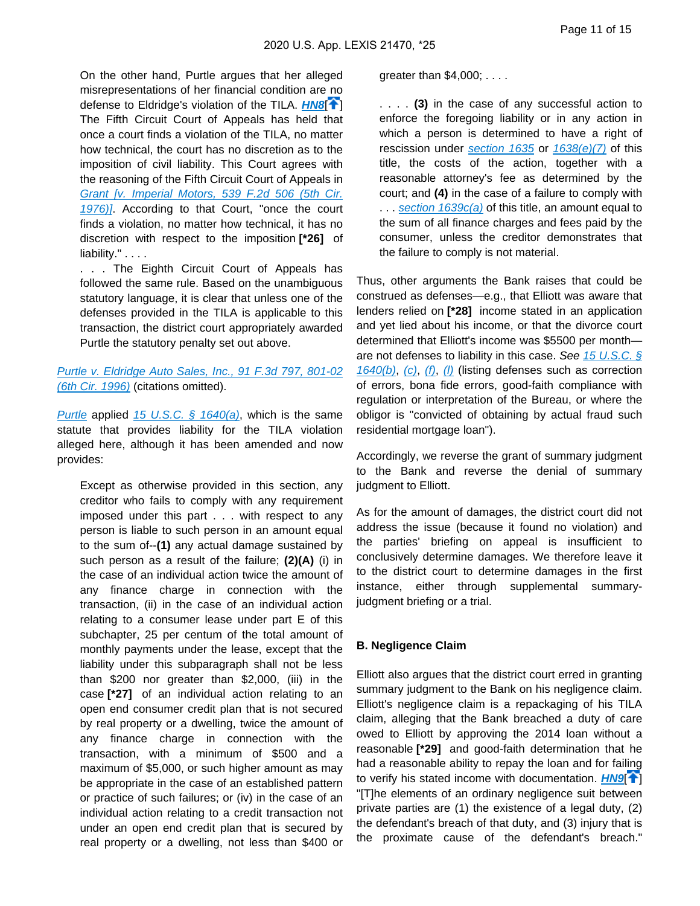On the other hand, Purtle argues that her alleged misrepresentations of her financial condition are no defense to Eldridge's violation of the TILA. **[HN8](https://advance.lexis.com/api/document?collection=cases&id=urn:contentItem:609M-VJ91-F8SS-62DG-00000-00&context=&link=clscc8)<sup>[4]</sup>** The Fifth Circuit Court of Appeals has held that once a court finds a violation of the TILA, no matter how technical, the court has no discretion as to the imposition of civil liability. This Court agrees with the reasoning of the Fifth Circuit Court of Appeals in Grant [v. Imperial Motors, 539 F.2d 506 (5th Cir. [1976\)\]](https://advance.lexis.com/api/document?collection=cases&id=urn:contentItem:3S4X-1J40-0039-M22G-00000-00&context=). According to that Court, "once the court finds a violation, no matter how technical, it has no discretion with respect to the imposition **[\*26]** of liability." . . . .

. . . The Eighth Circuit Court of Appeals has followed the same rule. Based on the unambiguous statutory language, it is clear that unless one of the defenses provided in the TILA is applicable to this transaction, the district court appropriately awarded Purtle the statutory penalty set out above.

#### [Purtle v. Eldridge Auto Sales, Inc., 91 F.3d 797, 801-02](https://advance.lexis.com/api/document?collection=cases&id=urn:contentItem:3RWF-6TW0-006F-M3Y0-00000-00&context=)  [\(6th Cir. 1996\)](https://advance.lexis.com/api/document?collection=cases&id=urn:contentItem:3RWF-6TW0-006F-M3Y0-00000-00&context=) (citations omitted).

[Purtle](https://advance.lexis.com/api/document?collection=cases&id=urn:contentItem:3RWF-6TW0-006F-M3Y0-00000-00&context=) applied 15 U.S.C.  $\frac{6}{9}$  1640(a), which is the same statute that provides liability for the TILA violation alleged here, although it has been amended and now provides:

Except as otherwise provided in this section, any creditor who fails to comply with any requirement imposed under this part . . . with respect to any person is liable to such person in an amount equal to the sum of--**(1)** any actual damage sustained by such person as a result of the failure; **(2)(A)** (i) in the case of an individual action twice the amount of any finance charge in connection with the transaction, (ii) in the case of an individual action relating to a consumer lease under part E of this subchapter, 25 per centum of the total amount of monthly payments under the lease, except that the liability under this subparagraph shall not be less than \$200 nor greater than \$2,000, (iii) in the case **[\*27]** of an individual action relating to an open end consumer credit plan that is not secured by real property or a dwelling, twice the amount of any finance charge in connection with the transaction, with a minimum of \$500 and a maximum of \$5,000, or such higher amount as may be appropriate in the case of an established pattern or practice of such failures; or (iv) in the case of an individual action relating to a credit transaction not under an open end credit plan that is secured by real property or a dwelling, not less than \$400 or

greater than \$4,000; . . . .

. . . . **(3)** in the case of any successful action to enforce the foregoing liability or in any action in which a person is determined to have a right of rescission under section  $1635$  or  $1638(e)/7$  of this title, the costs of the action, together with a reasonable attorney's fee as determined by the court; and **(4)** in the case of a failure to comply with ... section  $1639c(a)$  of this title, an amount equal to the sum of all finance charges and fees paid by the consumer, unless the creditor demonstrates that the failure to comply is not material.

Thus, other arguments the Bank raises that could be construed as defenses—e.g., that Elliott was aware that lenders relied on **[\*28]** income stated in an application and yet lied about his income, or that the divorce court determined that Elliott's income was \$5500 per month are not defenses to liability in this case. See 15 U.S.C.  $\S$  $1640(b)$ , [\(c\)](https://advance.lexis.com/api/document?collection=statutes-legislation&id=urn:contentItem:8S9D-W4W2-8T6X-71MH-00000-00&context=), [\(f\)](https://advance.lexis.com/api/document?collection=statutes-legislation&id=urn:contentItem:8S9D-W4W2-8T6X-71MH-00000-00&context=), [\(l\)](https://advance.lexis.com/api/document?collection=statutes-legislation&id=urn:contentItem:8S9D-W4W2-8T6X-71MH-00000-00&context=) (listing defenses such as correction of errors, bona fide errors, good-faith compliance with regulation or interpretation of the Bureau, or where the obligor is "convicted of obtaining by actual fraud such residential mortgage loan").

Accordingly, we reverse the grant of summary judgment to the Bank and reverse the denial of summary judgment to Elliott.

As for the amount of damages, the district court did not address the issue (because it found no violation) and the parties' briefing on appeal is insufficient to conclusively determine damages. We therefore leave it to the district court to determine damages in the first instance, either through supplemental summaryjudgment briefing or a trial.

#### **B. Negligence Claim**

Elliott also argues that the district court erred in granting summary judgment to the Bank on his negligence claim. Elliott's negligence claim is a repackaging of his TILA claim, alleging that the Bank breached a duty of care owed to Elliott by approving the 2014 loan without a reasonable **[\*29]** and good-faith determination that he had a reasonable ability to repay the loan and for failing to verify his stated income with documentation. **[HN9](https://advance.lexis.com/api/document?collection=cases&id=urn:contentItem:609M-VJ91-F8SS-62DG-00000-00&context=&link=clscc9)<sup>[4]</sup>** "[T]he elements of an ordinary negligence suit between private parties are (1) the existence of a legal duty, (2) the defendant's breach of that duty, and (3) injury that is the proximate cause of the defendant's breach."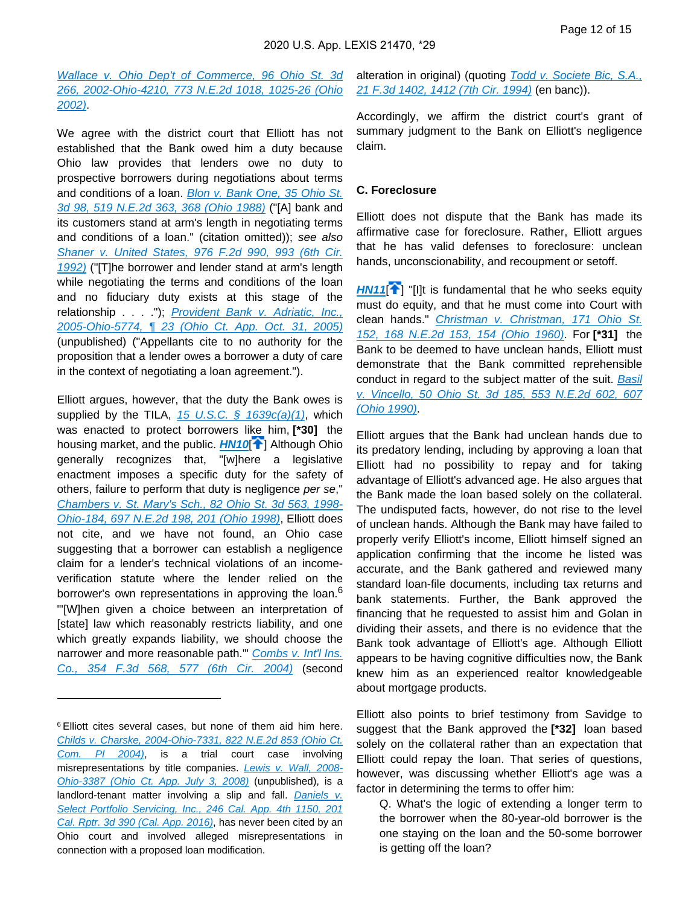[Wallace v. Ohio Dep't of Commerce, 96 Ohio St. 3d](https://advance.lexis.com/api/document?collection=cases&id=urn:contentItem:46P3-6DH0-0039-43M6-00000-00&context=)  [266, 2002-Ohio-4210, 773 N.E.2d 1018, 1025-26 \(Ohio](https://advance.lexis.com/api/document?collection=cases&id=urn:contentItem:46P3-6DH0-0039-43M6-00000-00&context=)  [2002\)](https://advance.lexis.com/api/document?collection=cases&id=urn:contentItem:46P3-6DH0-0039-43M6-00000-00&context=).

We agree with the district court that Elliott has not established that the Bank owed him a duty because Ohio law provides that lenders owe no duty to prospective borrowers during negotiations about terms and conditions of a loan. [Blon v. Bank One, 35 Ohio St.](https://advance.lexis.com/api/document?collection=cases&id=urn:contentItem:3RRS-S2D0-008T-Y2MN-00000-00&context=)  [3d 98, 519 N.E.2d 363, 368 \(Ohio 1988\)](https://advance.lexis.com/api/document?collection=cases&id=urn:contentItem:3RRS-S2D0-008T-Y2MN-00000-00&context=) ("[A] bank and its customers stand at arm's length in negotiating terms and conditions of a loan." (citation omitted)); see also [Shaner v. United States, 976 F.2d 990, 993 \(6th Cir.](https://advance.lexis.com/api/document?collection=cases&id=urn:contentItem:3S4X-13R0-008H-V2SD-00000-00&context=)  [1992\)](https://advance.lexis.com/api/document?collection=cases&id=urn:contentItem:3S4X-13R0-008H-V2SD-00000-00&context=) ("[T]he borrower and lender stand at arm's length while negotiating the terms and conditions of the loan and no fiduciary duty exists at this stage of the relationship . . . ."); *Provident Bank v. Adriatic, Inc.*, [2005-Ohio-5774, ¶ 23 \(Ohio Ct. App. Oct. 31, 2005\)](https://advance.lexis.com/api/document?collection=cases&id=urn:contentItem:4HFT-7PM0-TVW7-G264-00000-00&context=) (unpublished) ("Appellants cite to no authority for the proposition that a lender owes a borrower a duty of care in the context of negotiating a loan agreement.").

Elliott argues, however, that the duty the Bank owes is supplied by the TILA,  $15$  U.S.C. §  $1639c(a)(1)$ , which was enacted to protect borrowers like him, **[\*30]** the housing market, and the public. **[HN10](https://advance.lexis.com/api/document?collection=cases&id=urn:contentItem:609M-VJ91-F8SS-62DG-00000-00&context=&link=clscc10)<sup>[\[](#page-6-0)4]</sup>** Although Ohio generally recognizes that, "[w]here a legislative enactment imposes a specific duty for the safety of others, failure to perform that duty is negligence per se," [Chambers v. St. Mary's Sch., 82 Ohio St. 3d 563, 1998-](https://advance.lexis.com/api/document?collection=cases&id=urn:contentItem:3TCF-MNW0-0039-438M-00000-00&context=) [Ohio-184, 697 N.E.2d 198, 201 \(Ohio 1998\)](https://advance.lexis.com/api/document?collection=cases&id=urn:contentItem:3TCF-MNW0-0039-438M-00000-00&context=), Elliott does not cite, and we have not found, an Ohio case suggesting that a borrower can establish a negligence claim for a lender's technical violations of an incomeverification statute where the lender relied on the borrower's own representations in approving the loan.<sup>6</sup> "'[W]hen given a choice between an interpretation of [state] law which reasonably restricts liability, and one which greatly expands liability, we should choose the narrower and more reasonable path." Combs v. Int'l Ins. [Co., 354 F.3d 568, 577 \(6th Cir. 2004\)](https://advance.lexis.com/api/document?collection=cases&id=urn:contentItem:4BD7-0VD0-0038-X0MH-00000-00&context=) (second

alteration in original) (quoting Todd v. Societe Bic, S.A., [21 F.3d 1402, 1412 \(7th Cir. 1994\)](https://advance.lexis.com/api/document?collection=cases&id=urn:contentItem:3S4X-6WN0-003B-P3KM-00000-00&context=) (en banc)).

Accordingly, we affirm the district court's grant of summary judgment to the Bank on Elliott's negligence claim.

#### **C. Foreclosure**

Elliott does not dispute that the Bank has made its affirmative case for foreclosure. Rather, Elliott argues that he has valid defenses to foreclosure: unclean hands, unconscionability, and recoupment or setoff.

<span id="page-15-1"></span>**[HN11](https://advance.lexis.com/api/document?collection=cases&id=urn:contentItem:609M-VJ91-F8SS-62DG-00000-00&context=&link=clscc11)<sup>[\[](#page-6-1)4]</sup>** "[I]t is fundamental that he who seeks equity must do equity, and that he must come into Court with clean hands." [Christman v. Christman, 171 Ohio St.](https://advance.lexis.com/api/document?collection=cases&id=urn:contentItem:3RRM-T7F0-003C-63CG-00000-00&context=)  [152, 168 N.E.2d 153, 154 \(Ohio 1960\)](https://advance.lexis.com/api/document?collection=cases&id=urn:contentItem:3RRM-T7F0-003C-63CG-00000-00&context=). For **[\*31]** the Bank to be deemed to have unclean hands, Elliott must demonstrate that the Bank committed reprehensible conduct in regard to the subject matter of the suit. Basil [v. Vincello, 50 Ohio St. 3d 185, 553 N.E.2d 602, 607](https://advance.lexis.com/api/document?collection=cases&id=urn:contentItem:3RRS-NGG0-008T-Y507-00000-00&context=)  [\(Ohio 1990\)](https://advance.lexis.com/api/document?collection=cases&id=urn:contentItem:3RRS-NGG0-008T-Y507-00000-00&context=).

<span id="page-15-0"></span>Elliott argues that the Bank had unclean hands due to its predatory lending, including by approving a loan that Elliott had no possibility to repay and for taking advantage of Elliott's advanced age. He also argues that the Bank made the loan based solely on the collateral. The undisputed facts, however, do not rise to the level of unclean hands. Although the Bank may have failed to properly verify Elliott's income, Elliott himself signed an application confirming that the income he listed was accurate, and the Bank gathered and reviewed many standard loan-file documents, including tax returns and bank statements. Further, the Bank approved the financing that he requested to assist him and Golan in dividing their assets, and there is no evidence that the Bank took advantage of Elliott's age. Although Elliott appears to be having cognitive difficulties now, the Bank knew him as an experienced realtor knowledgeable about mortgage products.

Elliott also points to brief testimony from Savidge to suggest that the Bank approved the **[\*32]** loan based solely on the collateral rather than an expectation that Elliott could repay the loan. That series of questions, however, was discussing whether Elliott's age was a factor in determining the terms to offer him:

<sup>6</sup>Elliott cites several cases, but none of them aid him here. [Childs v. Charske, 2004-Ohio-7331, 822 N.E.2d 853 \(Ohio Ct.](https://advance.lexis.com/api/document?collection=cases&id=urn:contentItem:4FBY-HW40-TVW7-H1TN-00000-00&context=)  [Com. Pl 2004\)](https://advance.lexis.com/api/document?collection=cases&id=urn:contentItem:4FBY-HW40-TVW7-H1TN-00000-00&context=), is a trial court case involving misrepresentations by title companies. [Lewis v. Wall, 2008-](https://advance.lexis.com/api/document?collection=cases&id=urn:contentItem:4SY5-WMR0-TX4N-G16J-00000-00&context=) [Ohio-3387 \(Ohio Ct. App. July 3, 2008\)](https://advance.lexis.com/api/document?collection=cases&id=urn:contentItem:4SY5-WMR0-TX4N-G16J-00000-00&context=) (unpublished), is a landlord-tenant matter involving a slip and fall. Daniels v. [Select Portfolio Servicing, Inc., 246 Cal. App. 4th 1150, 201](https://advance.lexis.com/api/document?collection=cases&id=urn:contentItem:5JMH-8031-F04B-N19S-00000-00&context=)  [Cal. Rptr. 3d 390 \(Cal. App. 2016\)](https://advance.lexis.com/api/document?collection=cases&id=urn:contentItem:5JMH-8031-F04B-N19S-00000-00&context=), has never been cited by an Ohio court and involved alleged misrepresentations in connection with a proposed loan modification.

Q. What's the logic of extending a longer term to the borrower when the 80-year-old borrower is the one staying on the loan and the 50-some borrower is getting off the loan?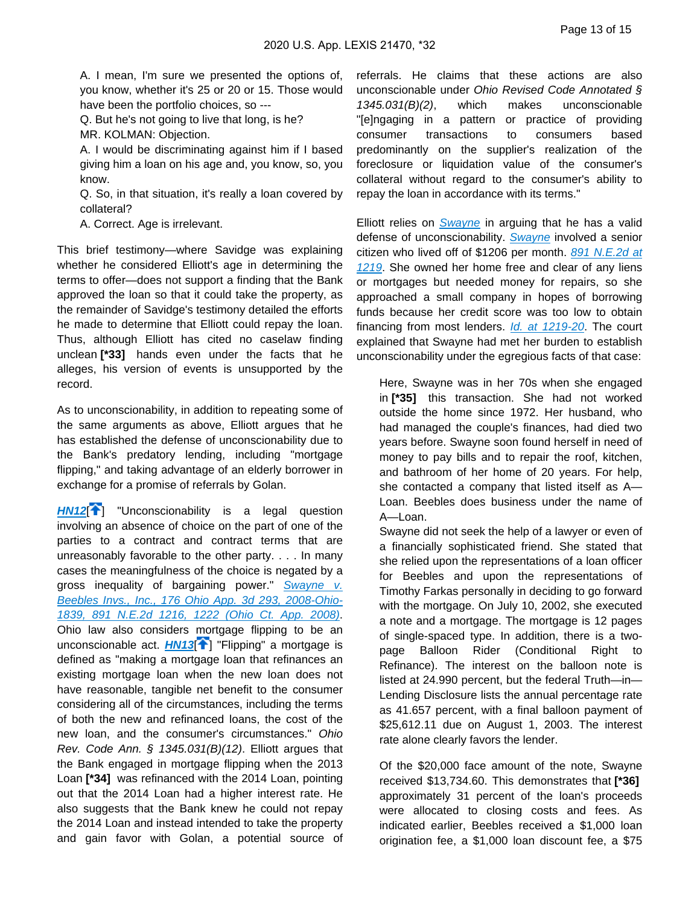A. I mean, I'm sure we presented the options of, you know, whether it's 25 or 20 or 15. Those would have been the portfolio choices, so ---

Q. But he's not going to live that long, is he?

MR. KOLMAN: Objection.

A. I would be discriminating against him if I based giving him a loan on his age and, you know, so, you know.

Q. So, in that situation, it's really a loan covered by collateral?

A. Correct. Age is irrelevant.

This brief testimony—where Savidge was explaining whether he considered Elliott's age in determining the terms to offer—does not support a finding that the Bank approved the loan so that it could take the property, as the remainder of Savidge's testimony detailed the efforts he made to determine that Elliott could repay the loan. Thus, although Elliott has cited no caselaw finding unclean **[\*33]** hands even under the facts that he alleges, his version of events is unsupported by the record.

As to unconscionability, in addition to repeating some of the same arguments as above, Elliott argues that he has established the defense of unconscionability due to the Bank's predatory lending, including "mortgage flipping," and taking advantage of an elderly borrower in exchange for a promise of referrals by Golan.

<span id="page-16-1"></span><span id="page-16-0"></span>**[HN12](https://advance.lexis.com/api/document?collection=cases&id=urn:contentItem:609M-VJ91-F8SS-62DG-00000-00&context=&link=clscc12)<sup>[\[](#page-6-2)4]</sup>** "Unconscionability is a legal question involving an absence of choice on the part of one of the parties to a contract and contract terms that are unreasonably favorable to the other party. . . . In many cases the meaningfulness of the choice is negated by a gross inequality of bargaining power." Swayne v. [Beebles Invs., Inc., 176 Ohio App. 3d 293, 2008-Ohio-](https://advance.lexis.com/api/document?collection=cases&id=urn:contentItem:4S9N-T100-TX4N-G19P-00000-00&context=)[1839, 891 N.E.2d 1216, 1222 \(Ohio Ct. App. 2008\)](https://advance.lexis.com/api/document?collection=cases&id=urn:contentItem:4S9N-T100-TX4N-G19P-00000-00&context=). Ohio law also considers mortgage flipping to be an unconscionable act. **[HN13](https://advance.lexis.com/api/document?collection=cases&id=urn:contentItem:609M-VJ91-F8SS-62DG-00000-00&context=&link=clscc13)<sup>[\[](#page-6-3)4]</sup>** "Flipping" a mortgage is defined as "making a mortgage loan that refinances an existing mortgage loan when the new loan does not have reasonable, tangible net benefit to the consumer considering all of the circumstances, including the terms of both the new and refinanced loans, the cost of the new loan, and the consumer's circumstances." Ohio Rev. Code Ann. § 1345.031(B)(12). Elliott argues that the Bank engaged in mortgage flipping when the 2013 Loan **[\*34]** was refinanced with the 2014 Loan, pointing out that the 2014 Loan had a higher interest rate. He also suggests that the Bank knew he could not repay the 2014 Loan and instead intended to take the property and gain favor with Golan, a potential source of

referrals. He claims that these actions are also unconscionable under Ohio Revised Code Annotated § 1345.031(B)(2), which makes unconscionable "[e]ngaging in a pattern or practice of providing consumer transactions to consumers based predominantly on the supplier's realization of the foreclosure or liquidation value of the consumer's collateral without regard to the consumer's ability to repay the loan in accordance with its terms."

Elliott relies on *[Swayne](https://advance.lexis.com/api/document?collection=cases&id=urn:contentItem:4S9N-T100-TX4N-G19P-00000-00&context=)* in arguing that he has a valid defense of unconscionability. [Swayne](https://advance.lexis.com/api/document?collection=cases&id=urn:contentItem:4S9N-T100-TX4N-G19P-00000-00&context=) involved a senior citizen who lived off of \$1206 per month. 891 N.E.2d at [1219](https://advance.lexis.com/api/document?collection=cases&id=urn:contentItem:4S9N-T100-TX4N-G19P-00000-00&context=). She owned her home free and clear of any liens or mortgages but needed money for repairs, so she approached a small company in hopes of borrowing funds because her credit score was too low to obtain financing from most lenders. [Id. at 1219-20](https://advance.lexis.com/api/document?collection=cases&id=urn:contentItem:4S9N-T100-TX4N-G19P-00000-00&context=). The court explained that Swayne had met her burden to establish unconscionability under the egregious facts of that case:

Here, Swayne was in her 70s when she engaged in **[\*35]** this transaction. She had not worked outside the home since 1972. Her husband, who had managed the couple's finances, had died two years before. Swayne soon found herself in need of money to pay bills and to repair the roof, kitchen, and bathroom of her home of 20 years. For help, she contacted a company that listed itself as A— Loan. Beebles does business under the name of A—Loan.

Swayne did not seek the help of a lawyer or even of a financially sophisticated friend. She stated that she relied upon the representations of a loan officer for Beebles and upon the representations of Timothy Farkas personally in deciding to go forward with the mortgage. On July 10, 2002, she executed a note and a mortgage. The mortgage is 12 pages of single-spaced type. In addition, there is a twopage Balloon Rider (Conditional Right to Refinance). The interest on the balloon note is listed at 24.990 percent, but the federal Truth—in— Lending Disclosure lists the annual percentage rate as 41.657 percent, with a final balloon payment of \$25,612.11 due on August 1, 2003. The interest rate alone clearly favors the lender.

Of the \$20,000 face amount of the note, Swayne received \$13,734.60. This demonstrates that **[\*36]**  approximately 31 percent of the loan's proceeds were allocated to closing costs and fees. As indicated earlier, Beebles received a \$1,000 loan origination fee, a \$1,000 loan discount fee, a \$75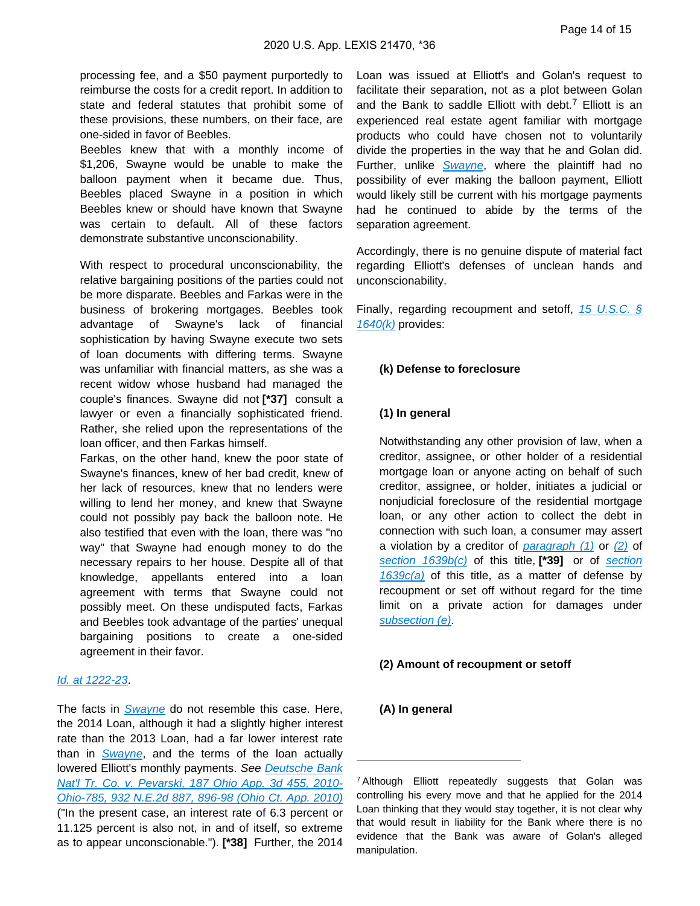processing fee, and a \$50 payment purportedly to reimburse the costs for a credit report. In addition to state and federal statutes that prohibit some of these provisions, these numbers, on their face, are one-sided in favor of Beebles.

Beebles knew that with a monthly income of \$1,206, Swayne would be unable to make the balloon payment when it became due. Thus, Beebles placed Swayne in a position in which Beebles knew or should have known that Swayne was certain to default. All of these factors demonstrate substantive unconscionability.

With respect to procedural unconscionability, the relative bargaining positions of the parties could not be more disparate. Beebles and Farkas were in the business of brokering mortgages. Beebles took advantage of Swayne's lack of financial sophistication by having Swayne execute two sets of loan documents with differing terms. Swayne was unfamiliar with financial matters, as she was a recent widow whose husband had managed the couple's finances. Swayne did not **[\*37]** consult a lawyer or even a financially sophisticated friend. Rather, she relied upon the representations of the loan officer, and then Farkas himself.

Farkas, on the other hand, knew the poor state of Swayne's finances, knew of her bad credit, knew of her lack of resources, knew that no lenders were willing to lend her money, and knew that Swayne could not possibly pay back the balloon note. He also testified that even with the loan, there was "no way" that Swayne had enough money to do the necessary repairs to her house. Despite all of that knowledge, appellants entered into a loan agreement with terms that Swayne could not possibly meet. On these undisputed facts, Farkas and Beebles took advantage of the parties' unequal bargaining positions to create a one-sided agreement in their favor.

#### [Id. at 1222-23](https://advance.lexis.com/api/document?collection=cases&id=urn:contentItem:4S9N-T100-TX4N-G19P-00000-00&context=).

The facts in *[Swayne](https://advance.lexis.com/api/document?collection=cases&id=urn:contentItem:4S9N-T100-TX4N-G19P-00000-00&context=)* do not resemble this case. Here, the 2014 Loan, although it had a slightly higher interest rate than the 2013 Loan, had a far lower interest rate than in [Swayne](https://advance.lexis.com/api/document?collection=cases&id=urn:contentItem:4S9N-T100-TX4N-G19P-00000-00&context=), and the terms of the loan actually lowered Elliott's monthly payments. See Deutsche Bank [Nat'l Tr. Co. v. Pevarski, 187 Ohio App. 3d 455, 2010-](https://advance.lexis.com/api/document?collection=cases&id=urn:contentItem:7XXV-8TN0-YB0T-5008-00000-00&context=) [Ohio-785, 932 N.E.2d 887, 896-98 \(Ohio Ct. App. 2010\)](https://advance.lexis.com/api/document?collection=cases&id=urn:contentItem:7XXV-8TN0-YB0T-5008-00000-00&context=) ("In the present case, an interest rate of 6.3 percent or 11.125 percent is also not, in and of itself, so extreme as to appear unconscionable."). **[\*38]** Further, the 2014

Loan was issued at Elliott's and Golan's request to facilitate their separation, not as a plot between Golan and the Bank to saddle Elliott with debt.<sup>7</sup> Elliott is an experienced real estate agent familiar with mortgage products who could have chosen not to voluntarily divide the properties in the way that he and Golan did. Further, unlike [Swayne](https://advance.lexis.com/api/document?collection=cases&id=urn:contentItem:4S9N-T100-TX4N-G19P-00000-00&context=), where the plaintiff had no possibility of ever making the balloon payment, Elliott would likely still be current with his mortgage payments had he continued to abide by the terms of the separation agreement.

Accordingly, there is no genuine dispute of material fact regarding Elliott's defenses of unclean hands and unconscionability.

Finally, regarding recoupment and setoff, [15 U.S.C. §](https://advance.lexis.com/api/document?collection=statutes-legislation&id=urn:contentItem:8S9D-W4W2-8T6X-71MH-00000-00&context=)   $1640(k)$  provides:

#### **(k) Defense to foreclosure**

#### **(1) In general**

Notwithstanding any other provision of law, when a creditor, assignee, or other holder of a residential mortgage loan or anyone acting on behalf of such creditor, assignee, or holder, initiates a judicial or nonjudicial foreclosure of the residential mortgage loan, or any other action to collect the debt in connection with such loan, a consumer may assert a violation by a creditor of paragraph  $(1)$  or  $(2)$  of [section 1639b\(c\)](https://advance.lexis.com/api/document?collection=statutes-legislation&id=urn:contentItem:8S9D-W4W2-8T6X-71M8-00000-00&context=) of this title, [\*39] or of section  $1639c(a)$  of this title, as a matter of defense by recoupment or set off without regard for the time limit on a private action for damages under [subsection \(e\)](https://advance.lexis.com/api/document?collection=statutes-legislation&id=urn:contentItem:8S9D-W4W2-8T6X-71MH-00000-00&context=).

#### **(2) Amount of recoupment or setoff**

#### **(A) In general**

<sup>&</sup>lt;sup>7</sup> Although Elliott repeatedly suggests that Golan was controlling his every move and that he applied for the 2014 Loan thinking that they would stay together, it is not clear why that would result in liability for the Bank where there is no evidence that the Bank was aware of Golan's alleged manipulation.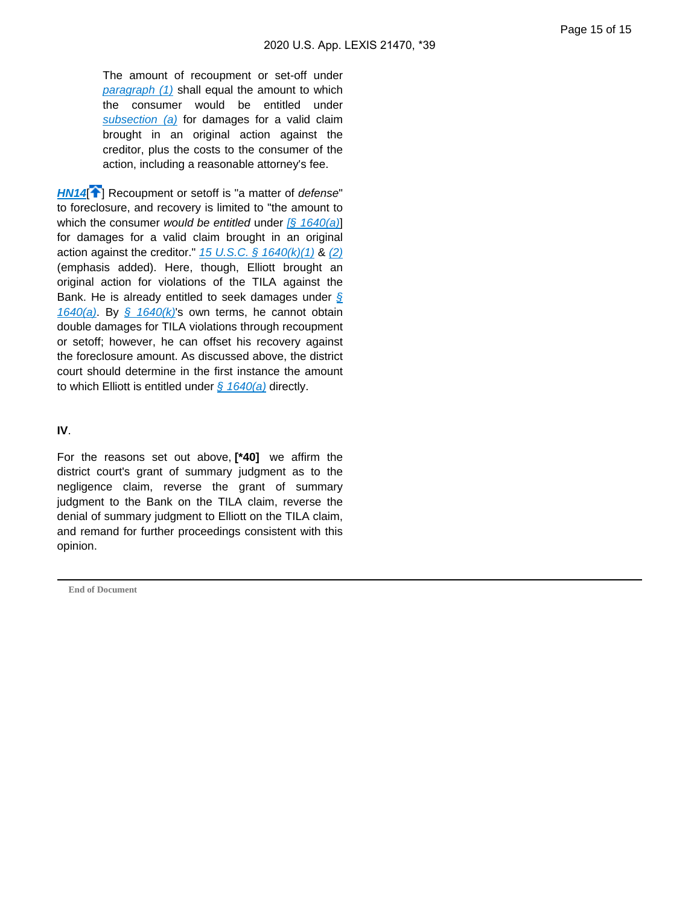The amount of recoupment or set-off under [paragraph \(1\)](https://advance.lexis.com/api/document?collection=statutes-legislation&id=urn:contentItem:8S9D-W4W2-8T6X-71MH-00000-00&context=) shall equal the amount to which the consumer would be entitled under [subsection \(a\)](https://advance.lexis.com/api/document?collection=statutes-legislation&id=urn:contentItem:8S9D-W4W2-8T6X-71MH-00000-00&context=) for damages for a valid claim brought in an original action against the creditor, plus the costs to the consumer of the action, including a reasonable attorney's fee.

<span id="page-18-0"></span>**[HN14](https://advance.lexis.com/api/document?collection=cases&id=urn:contentItem:609M-VJ91-F8SS-62DG-00000-00&context=&link=clscc14)<sup>[\[](#page-6-4)2]</sup>** Recoupment or setoff is "a matter of defense" to foreclosure, and recovery is limited to "the amount to which the consumer would be entitled under  $\sqrt{2}$  1640(a) for damages for a valid claim brought in an original action against the creditor."  $15 \text{ U.S.C.}$  §  $1640 \text{ (k)}(1)$  &  $(2)$ (emphasis added). Here, though, Elliott brought an original action for violations of the TILA against the Bank. He is already entitled to seek damages under  $\sqrt{s}$ [1640\(a\)](https://advance.lexis.com/api/document?collection=statutes-legislation&id=urn:contentItem:8S9D-W4W2-8T6X-71MH-00000-00&context=). By  $\frac{6}{5}$  1640(k)'s own terms, he cannot obtain double damages for TILA violations through recoupment or setoff; however, he can offset his recovery against the foreclosure amount. As discussed above, the district court should determine in the first instance the amount to which Elliott is entitled under  $\frac{6}{9}$  1640(a) directly.

#### **IV**.

For the reasons set out above, **[\*40]** we affirm the district court's grant of summary judgment as to the negligence claim, reverse the grant of summary judgment to the Bank on the TILA claim, reverse the denial of summary judgment to Elliott on the TILA claim, and remand for further proceedings consistent with this opinion.

**End of Document**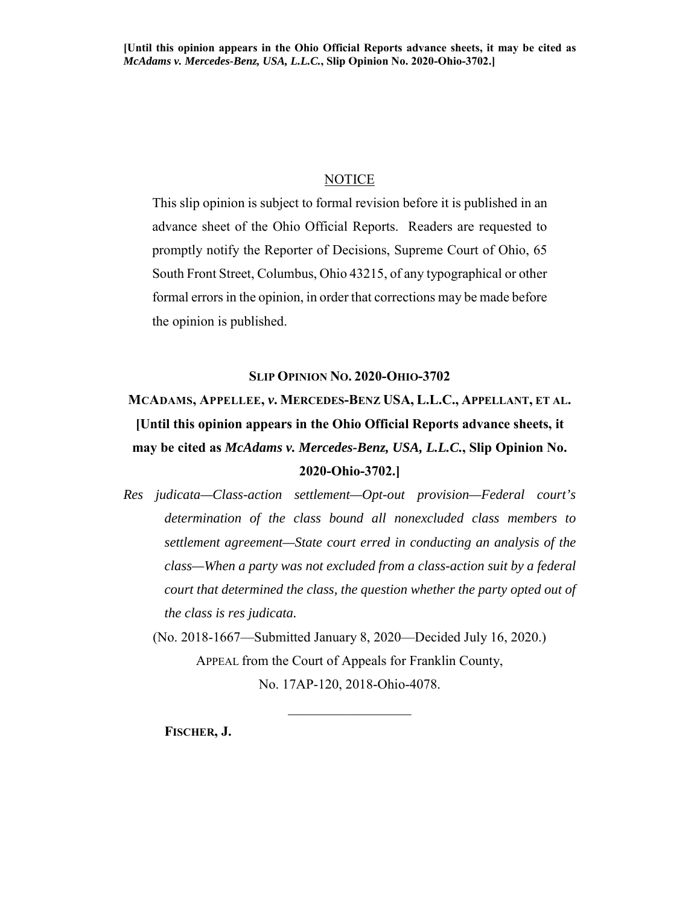#### **NOTICE**

<span id="page-19-0"></span>This slip opinion is subject to formal revision before it is published in an advance sheet of the Ohio Official Reports. Readers are requested to promptly notify the Reporter of Decisions, Supreme Court of Ohio, 65 South Front Street, Columbus, Ohio 43215, of any typographical or other formal errors in the opinion, in order that corrections may be made before the opinion is published.

#### **SLIP OPINION NO. 2020-OHIO-3702**

# **MCADAMS, APPELLEE,** *v***. MERCEDES-BENZ USA, L.L.C., APPELLANT, ET AL. [Until this opinion appears in the Ohio Official Reports advance sheets, it may be cited as** *McAdams v. Mercedes-Benz, USA, L.L.C.***, Slip Opinion No. 2020-Ohio-3702.]**

*Res judicata—Class-action settlement—Opt-out provision—Federal court's determination of the class bound all nonexcluded class members to settlement agreement—State court erred in conducting an analysis of the class—When a party was not excluded from a class-action suit by a federal court that determined the class, the question whether the party opted out of the class is res judicata.*

(No. 2018-1667—Submitted January 8, 2020—Decided July 16, 2020.) APPEAL from the Court of Appeals for Franklin County, No. 17AP-120, 2018-Ohio-4078.

 $\frac{1}{2}$  ,  $\frac{1}{2}$  ,  $\frac{1}{2}$  ,  $\frac{1}{2}$  ,  $\frac{1}{2}$  ,  $\frac{1}{2}$  ,  $\frac{1}{2}$  ,  $\frac{1}{2}$  ,  $\frac{1}{2}$  ,  $\frac{1}{2}$ 

**FISCHER, J.**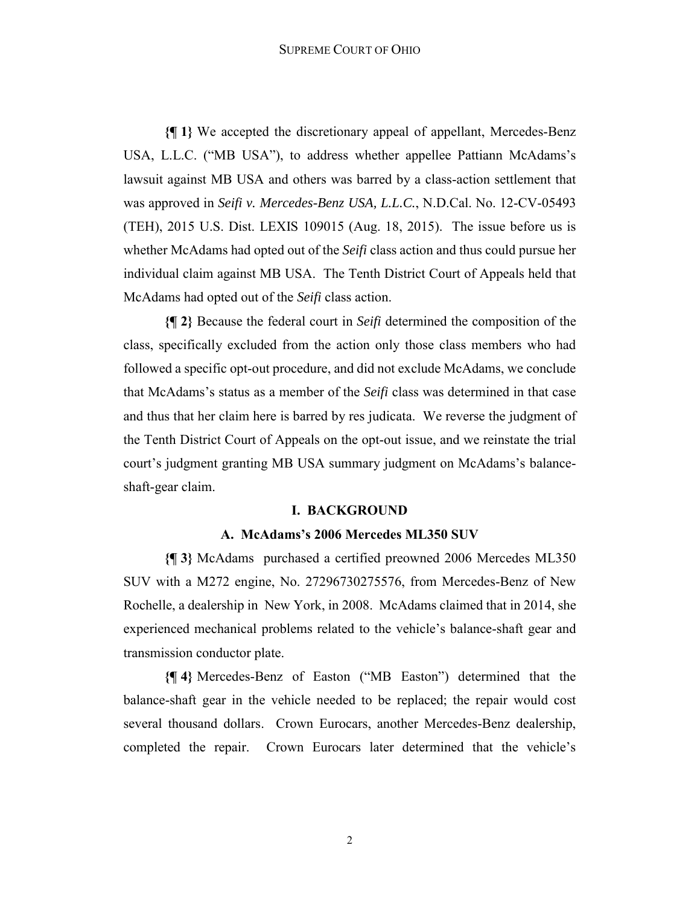**{¶ 1}** We accepted the discretionary appeal of appellant, Mercedes-Benz USA, L.L.C. ("MB USA"), to address whether appellee Pattiann McAdams's lawsuit against MB USA and others was barred by a class-action settlement that was approved in *Seifi v. Mercedes-Benz USA, L.L.C.*, N.D.Cal. No. 12-CV-05493 (TEH), 2015 U.S. Dist. LEXIS 109015 (Aug. 18, 2015). The issue before us is whether McAdams had opted out of the *Seifi* class action and thus could pursue her individual claim against MB USA. The Tenth District Court of Appeals held that McAdams had opted out of the *Seifi* class action.

**{¶ 2}** Because the federal court in *Seifi* determined the composition of the class, specifically excluded from the action only those class members who had followed a specific opt-out procedure, and did not exclude McAdams, we conclude that McAdams's status as a member of the *Seifi* class was determined in that case and thus that her claim here is barred by res judicata. We reverse the judgment of the Tenth District Court of Appeals on the opt-out issue, and we reinstate the trial court's judgment granting MB USA summary judgment on McAdams's balanceshaft-gear claim.

#### **I. BACKGROUND**

#### **A. McAdams's 2006 Mercedes ML350 SUV**

**{¶ 3}** McAdams purchased a certified preowned 2006 Mercedes ML350 SUV with a M272 engine, No. 27296730275576, from Mercedes-Benz of New Rochelle, a dealership in New York, in 2008. McAdams claimed that in 2014, she experienced mechanical problems related to the vehicle's balance-shaft gear and transmission conductor plate.

**{¶ 4}** Mercedes-Benz of Easton ("MB Easton") determined that the balance-shaft gear in the vehicle needed to be replaced; the repair would cost several thousand dollars. Crown Eurocars, another Mercedes-Benz dealership, completed the repair. Crown Eurocars later determined that the vehicle's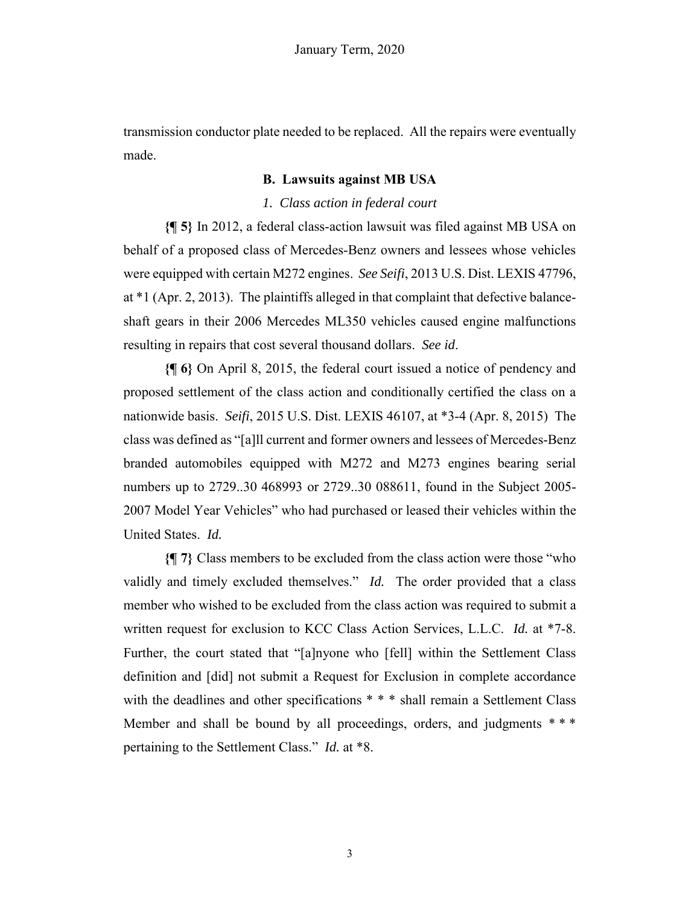transmission conductor plate needed to be replaced. All the repairs were eventually made.

#### **B. Lawsuits against MB USA**

#### *1. Class action in federal court*

**{¶ 5}** In 2012, a federal class-action lawsuit was filed against MB USA on behalf of a proposed class of Mercedes-Benz owners and lessees whose vehicles were equipped with certain M272 engines. *See Seifi*, 2013 U.S. Dist. LEXIS 47796, at \*1 (Apr. 2, 2013). The plaintiffs alleged in that complaint that defective balanceshaft gears in their 2006 Mercedes ML350 vehicles caused engine malfunctions resulting in repairs that cost several thousand dollars. *See id*.

**{¶ 6}** On April 8, 2015, the federal court issued a notice of pendency and proposed settlement of the class action and conditionally certified the class on a nationwide basis. *Seifi*, 2015 U.S. Dist. LEXIS 46107, at \*3-4 (Apr. 8, 2015) The class was defined as "[a]ll current and former owners and lessees of Mercedes-Benz branded automobiles equipped with M272 and M273 engines bearing serial numbers up to 2729..30 468993 or 2729..30 088611, found in the Subject 2005- 2007 Model Year Vehicles" who had purchased or leased their vehicles within the United States. *Id.* 

**{¶ 7}** Class members to be excluded from the class action were those "who validly and timely excluded themselves." *Id.* The order provided that a class member who wished to be excluded from the class action was required to submit a written request for exclusion to KCC Class Action Services, L.L.C. *Id.* at \*7-8. Further, the court stated that "[a]nyone who [fell] within the Settlement Class definition and [did] not submit a Request for Exclusion in complete accordance with the deadlines and other specifications \* \* \* shall remain a Settlement Class Member and shall be bound by all proceedings, orders, and judgments \*\*\* pertaining to the Settlement Class." *Id.* at \*8.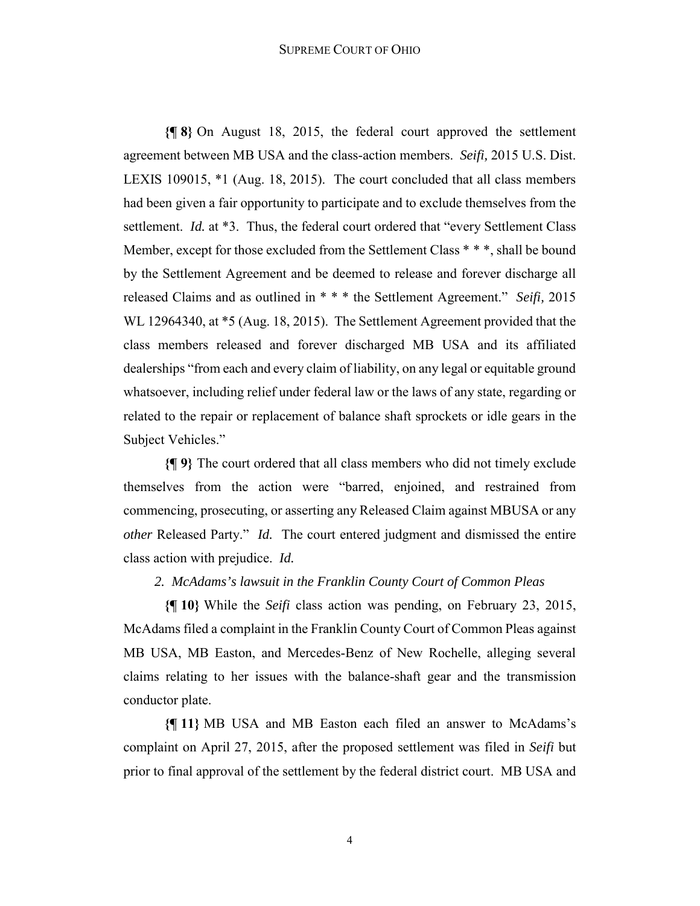**{¶ 8}** On August 18, 2015, the federal court approved the settlement agreement between MB USA and the class-action members. *Seifi,* 2015 U.S. Dist. LEXIS 109015, \*1 (Aug. 18, 2015). The court concluded that all class members had been given a fair opportunity to participate and to exclude themselves from the settlement. *Id.* at \*3. Thus, the federal court ordered that "every Settlement Class" Member, except for those excluded from the Settlement Class \* \* \*, shall be bound by the Settlement Agreement and be deemed to release and forever discharge all released Claims and as outlined in \* \* \* the Settlement Agreement." *Seifi,* 2015 WL 12964340, at \*5 (Aug. 18, 2015). The Settlement Agreement provided that the class members released and forever discharged MB USA and its affiliated dealerships "from each and every claim of liability, on any legal or equitable ground whatsoever, including relief under federal law or the laws of any state, regarding or related to the repair or replacement of balance shaft sprockets or idle gears in the Subject Vehicles."

**{¶ 9}** The court ordered that all class members who did not timely exclude themselves from the action were "barred, enjoined, and restrained from commencing, prosecuting, or asserting any Released Claim against MBUSA or any *other* Released Party." *Id.* The court entered judgment and dismissed the entire class action with prejudice. *Id.*

#### *2. McAdams's lawsuit in the Franklin County Court of Common Pleas*

**{¶ 10}** While the *Seifi* class action was pending, on February 23, 2015, McAdams filed a complaint in the Franklin County Court of Common Pleas against MB USA, MB Easton, and Mercedes-Benz of New Rochelle, alleging several claims relating to her issues with the balance-shaft gear and the transmission conductor plate.

**{¶ 11}** MB USA and MB Easton each filed an answer to McAdams's complaint on April 27, 2015, after the proposed settlement was filed in *Seifi* but prior to final approval of the settlement by the federal district court. MB USA and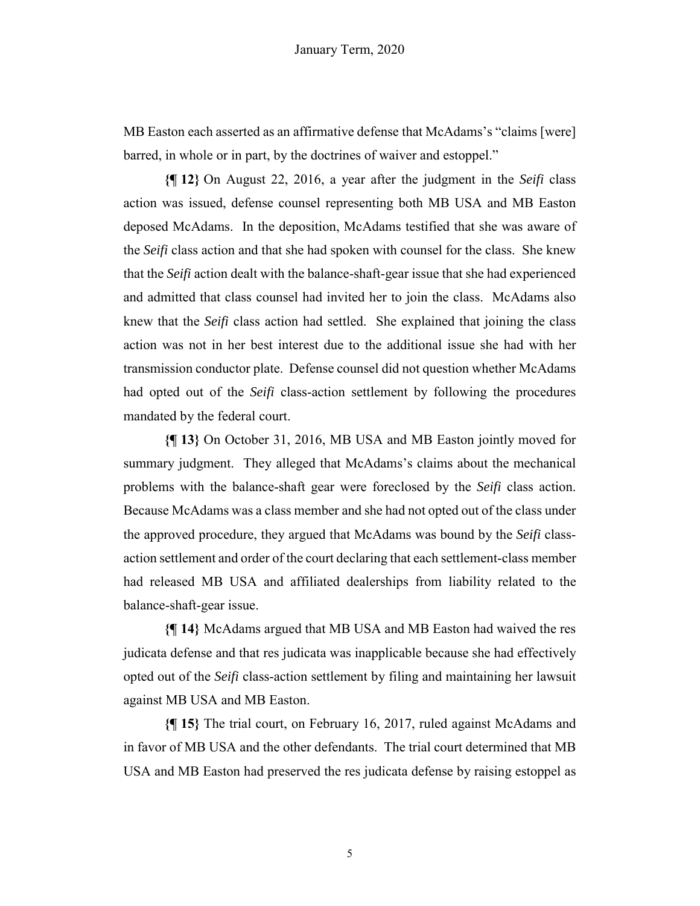MB Easton each asserted as an affirmative defense that McAdams's "claims [were] barred, in whole or in part, by the doctrines of waiver and estoppel."

**{¶ 12}** On August 22, 2016, a year after the judgment in the *Seifi* class action was issued, defense counsel representing both MB USA and MB Easton deposed McAdams. In the deposition, McAdams testified that she was aware of the *Seifi* class action and that she had spoken with counsel for the class. She knew that the *Seifi* action dealt with the balance-shaft-gear issue that she had experienced and admitted that class counsel had invited her to join the class. McAdams also knew that the *Seifi* class action had settled. She explained that joining the class action was not in her best interest due to the additional issue she had with her transmission conductor plate. Defense counsel did not question whether McAdams had opted out of the *Seifi* class-action settlement by following the procedures mandated by the federal court.

**{¶ 13}** On October 31, 2016, MB USA and MB Easton jointly moved for summary judgment. They alleged that McAdams's claims about the mechanical problems with the balance-shaft gear were foreclosed by the *Seifi* class action. Because McAdams was a class member and she had not opted out of the class under the approved procedure, they argued that McAdams was bound by the *Seifi* classaction settlement and order of the court declaring that each settlement-class member had released MB USA and affiliated dealerships from liability related to the balance-shaft-gear issue.

**{¶ 14}** McAdams argued that MB USA and MB Easton had waived the res judicata defense and that res judicata was inapplicable because she had effectively opted out of the *Seifi* class-action settlement by filing and maintaining her lawsuit against MB USA and MB Easton.

**{¶ 15}** The trial court, on February 16, 2017, ruled against McAdams and in favor of MB USA and the other defendants. The trial court determined that MB USA and MB Easton had preserved the res judicata defense by raising estoppel as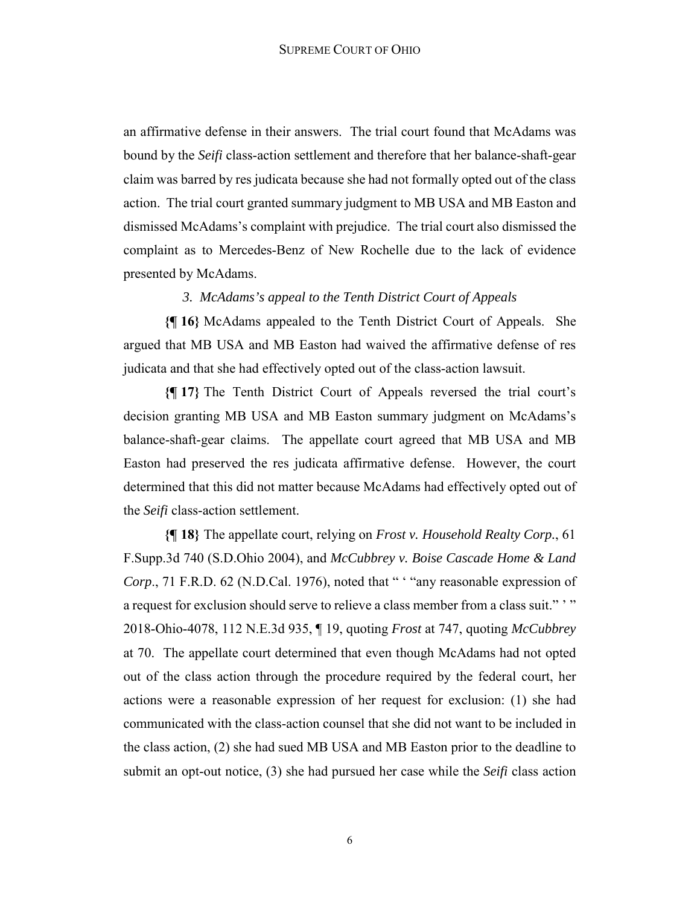an affirmative defense in their answers. The trial court found that McAdams was bound by the *Seifi* class-action settlement and therefore that her balance-shaft-gear claim was barred by res judicata because she had not formally opted out of the class action. The trial court granted summary judgment to MB USA and MB Easton and dismissed McAdams's complaint with prejudice. The trial court also dismissed the complaint as to Mercedes-Benz of New Rochelle due to the lack of evidence presented by McAdams.

#### *3. McAdams's appeal to the Tenth District Court of Appeals*

**{¶ 16}** McAdams appealed to the Tenth District Court of Appeals. She argued that MB USA and MB Easton had waived the affirmative defense of res judicata and that she had effectively opted out of the class-action lawsuit.

**{¶ 17}** The Tenth District Court of Appeals reversed the trial court's decision granting MB USA and MB Easton summary judgment on McAdams's balance-shaft-gear claims. The appellate court agreed that MB USA and MB Easton had preserved the res judicata affirmative defense. However, the court determined that this did not matter because McAdams had effectively opted out of the *Seifi* class-action settlement.

**{¶ 18}** The appellate court, relying on *Frost v. Household Realty Corp.*, 61 F.Supp.3d 740 (S.D.Ohio 2004), and *McCubbrey v. Boise Cascade Home & Land Corp*., 71 F.R.D. 62 (N.D.Cal. 1976), noted that " ' "any reasonable expression of a request for exclusion should serve to relieve a class member from a class suit."" 2018-Ohio-4078, 112 N.E.3d 935, ¶ 19, quoting *Frost* at 747, quoting *McCubbrey*  at 70. The appellate court determined that even though McAdams had not opted out of the class action through the procedure required by the federal court, her actions were a reasonable expression of her request for exclusion: (1) she had communicated with the class-action counsel that she did not want to be included in the class action, (2) she had sued MB USA and MB Easton prior to the deadline to submit an opt-out notice, (3) she had pursued her case while the *Seifi* class action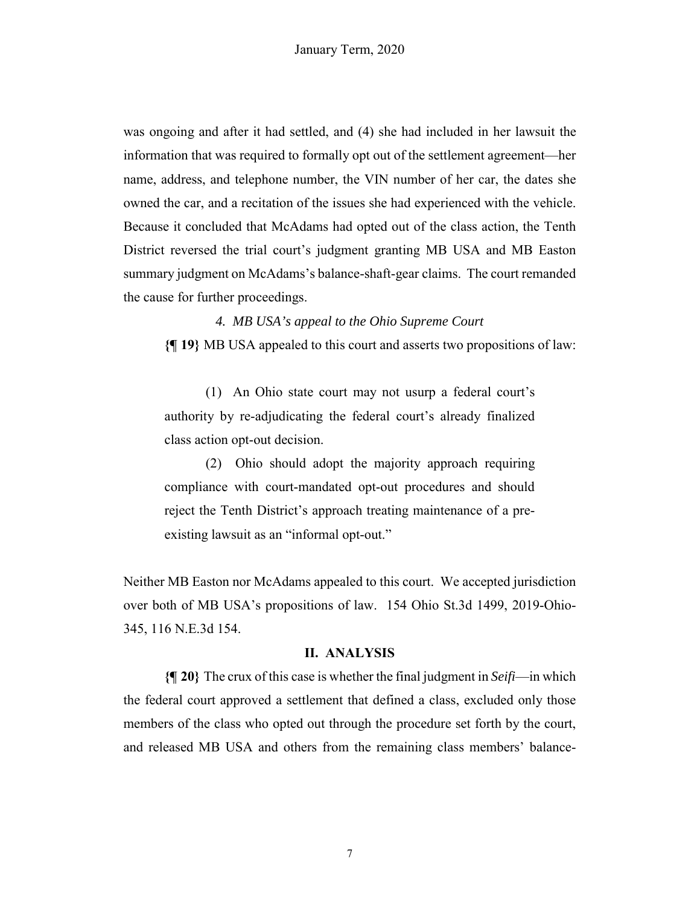was ongoing and after it had settled, and (4) she had included in her lawsuit the information that was required to formally opt out of the settlement agreement—her name, address, and telephone number, the VIN number of her car, the dates she owned the car, and a recitation of the issues she had experienced with the vehicle. Because it concluded that McAdams had opted out of the class action, the Tenth District reversed the trial court's judgment granting MB USA and MB Easton summary judgment on McAdams's balance-shaft-gear claims. The court remanded the cause for further proceedings.

*4. MB USA's appeal to the Ohio Supreme Court*  **{¶ 19}** MB USA appealed to this court and asserts two propositions of law:

(1) An Ohio state court may not usurp a federal court's authority by re-adjudicating the federal court's already finalized class action opt-out decision.

(2) Ohio should adopt the majority approach requiring compliance with court-mandated opt-out procedures and should reject the Tenth District's approach treating maintenance of a preexisting lawsuit as an "informal opt-out."

Neither MB Easton nor McAdams appealed to this court. We accepted jurisdiction over both of MB USA's propositions of law. 154 Ohio St.3d 1499, 2019-Ohio-345, 116 N.E.3d 154.

#### **II. ANALYSIS**

**{¶ 20}** The crux of this case is whether the final judgment in *Seifi*—in which the federal court approved a settlement that defined a class, excluded only those members of the class who opted out through the procedure set forth by the court, and released MB USA and others from the remaining class members' balance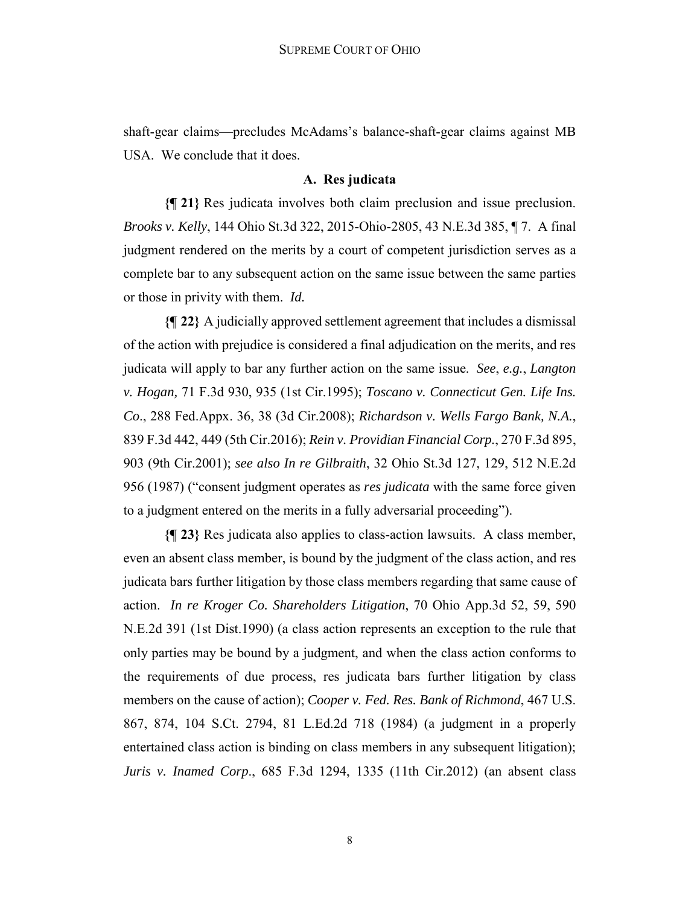shaft-gear claims—precludes McAdams's balance-shaft-gear claims against MB USA. We conclude that it does.

### **A. Res judicata**

**{¶ 21}** Res judicata involves both claim preclusion and issue preclusion. *Brooks v. Kelly*, 144 Ohio St.3d 322, 2015-Ohio-2805, 43 N.E.3d 385, ¶ 7. A final judgment rendered on the merits by a court of competent jurisdiction serves as a complete bar to any subsequent action on the same issue between the same parties or those in privity with them. *Id.* 

**{¶ 22}** A judicially approved settlement agreement that includes a dismissal of the action with prejudice is considered a final adjudication on the merits, and res judicata will apply to bar any further action on the same issue. *See*, *e.g.*, *Langton v. Hogan,* 71 F.3d 930, 935 (1st Cir.1995); *Toscano v. Connecticut Gen. Life Ins. Co*., 288 Fed.Appx. 36, 38 (3d Cir.2008); *Richardson v. Wells Fargo Bank, N.A.*, 839 F.3d 442, 449 (5th Cir.2016); *Rein v. Providian Financial Corp.*, 270 F.3d 895, 903 (9th Cir.2001); *see also In re Gilbraith*, 32 Ohio St.3d 127, 129, 512 N.E.2d 956 (1987) ("consent judgment operates as *res judicata* with the same force given to a judgment entered on the merits in a fully adversarial proceeding").

**{¶ 23}** Res judicata also applies to class-action lawsuits. A class member, even an absent class member, is bound by the judgment of the class action, and res judicata bars further litigation by those class members regarding that same cause of action. *In re Kroger Co. Shareholders Litigation*, 70 Ohio App.3d 52, 59, 590 N.E.2d 391 (1st Dist.1990) (a class action represents an exception to the rule that only parties may be bound by a judgment, and when the class action conforms to the requirements of due process, res judicata bars further litigation by class members on the cause of action); *Cooper v. Fed. Res. Bank of Richmond*, 467 U.S. 867, 874, 104 S.Ct. 2794, 81 L.Ed.2d 718 (1984) (a judgment in a properly entertained class action is binding on class members in any subsequent litigation); *Juris v. Inamed Corp*., 685 F.3d 1294, 1335 (11th Cir.2012) (an absent class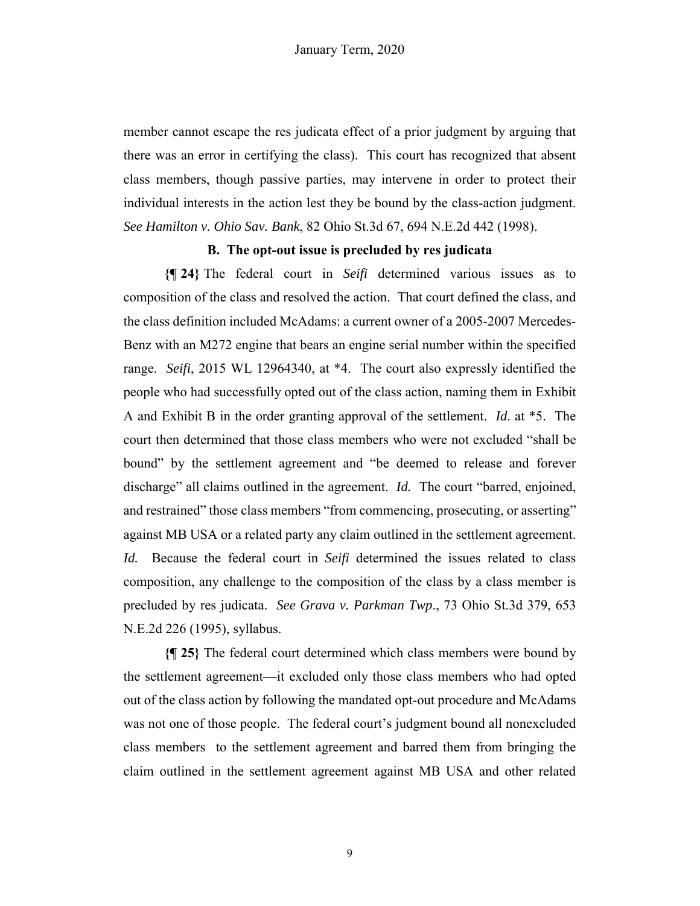member cannot escape the res judicata effect of a prior judgment by arguing that there was an error in certifying the class). This court has recognized that absent class members, though passive parties, may intervene in order to protect their individual interests in the action lest they be bound by the class-action judgment. *See Hamilton v. Ohio Sav. Bank*, 82 Ohio St.3d 67, 694 N.E.2d 442 (1998).

#### **B. The opt-out issue is precluded by res judicata**

**{¶ 24}** The federal court in *Seifi* determined various issues as to composition of the class and resolved the action. That court defined the class, and the class definition included McAdams: a current owner of a 2005-2007 Mercedes-Benz with an M272 engine that bears an engine serial number within the specified range. *Seifi*, 2015 WL 12964340, at \*4. The court also expressly identified the people who had successfully opted out of the class action, naming them in Exhibit A and Exhibit B in the order granting approval of the settlement. *Id*. at \*5. The court then determined that those class members who were not excluded "shall be bound" by the settlement agreement and "be deemed to release and forever discharge" all claims outlined in the agreement. *Id.* The court "barred, enjoined, and restrained" those class members "from commencing, prosecuting, or asserting" against MB USA or a related party any claim outlined in the settlement agreement. *Id.* Because the federal court in *Seifi* determined the issues related to class composition, any challenge to the composition of the class by a class member is precluded by res judicata. *See Grava v. Parkman Twp*., 73 Ohio St.3d 379, 653 N.E.2d 226 (1995), syllabus.

**{¶ 25}** The federal court determined which class members were bound by the settlement agreement—it excluded only those class members who had opted out of the class action by following the mandated opt-out procedure and McAdams was not one of those people. The federal court's judgment bound all nonexcluded class members to the settlement agreement and barred them from bringing the claim outlined in the settlement agreement against MB USA and other related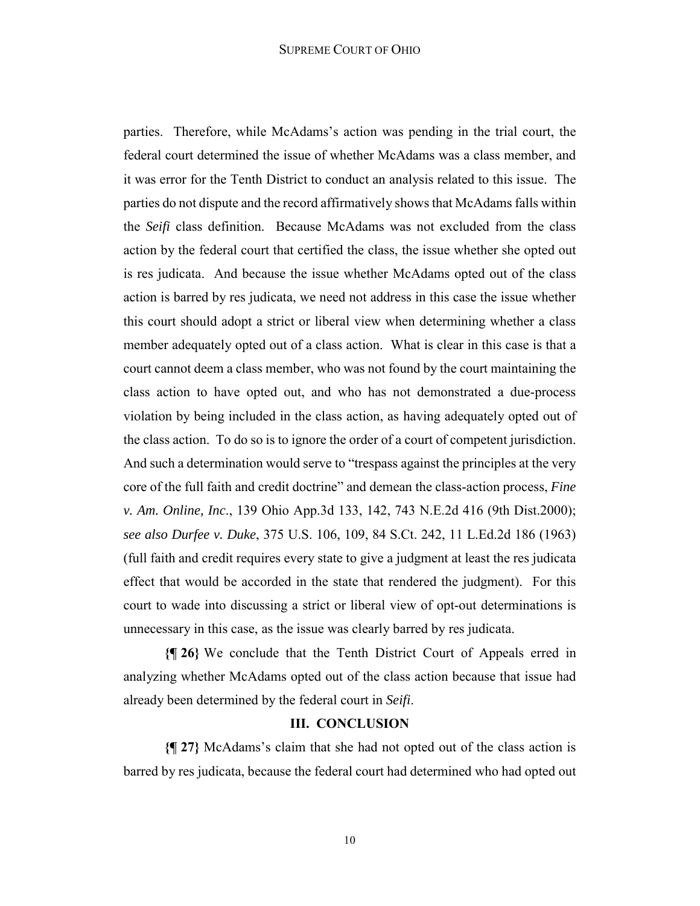#### SUPREME COURT OF OHIO

parties. Therefore, while McAdams's action was pending in the trial court, the federal court determined the issue of whether McAdams was a class member, and it was error for the Tenth District to conduct an analysis related to this issue. The parties do not dispute and the record affirmatively shows that McAdams falls within the *Seifi* class definition. Because McAdams was not excluded from the class action by the federal court that certified the class, the issue whether she opted out is res judicata. And because the issue whether McAdams opted out of the class action is barred by res judicata, we need not address in this case the issue whether this court should adopt a strict or liberal view when determining whether a class member adequately opted out of a class action. What is clear in this case is that a court cannot deem a class member, who was not found by the court maintaining the class action to have opted out, and who has not demonstrated a due-process violation by being included in the class action, as having adequately opted out of the class action. To do so is to ignore the order of a court of competent jurisdiction. And such a determination would serve to "trespass against the principles at the very core of the full faith and credit doctrine" and demean the class-action process, *Fine v. Am. Online, Inc*., 139 Ohio App.3d 133, 142, 743 N.E.2d 416 (9th Dist.2000); *see also Durfee v. Duke*, 375 U.S. 106, 109, 84 S.Ct. 242, 11 L.Ed.2d 186 (1963) (full faith and credit requires every state to give a judgment at least the res judicata effect that would be accorded in the state that rendered the judgment). For this court to wade into discussing a strict or liberal view of opt-out determinations is unnecessary in this case, as the issue was clearly barred by res judicata.

**{¶ 26}** We conclude that the Tenth District Court of Appeals erred in analyzing whether McAdams opted out of the class action because that issue had already been determined by the federal court in *Seifi*.

#### **III. CONCLUSION**

**{¶ 27}** McAdams's claim that she had not opted out of the class action is barred by res judicata, because the federal court had determined who had opted out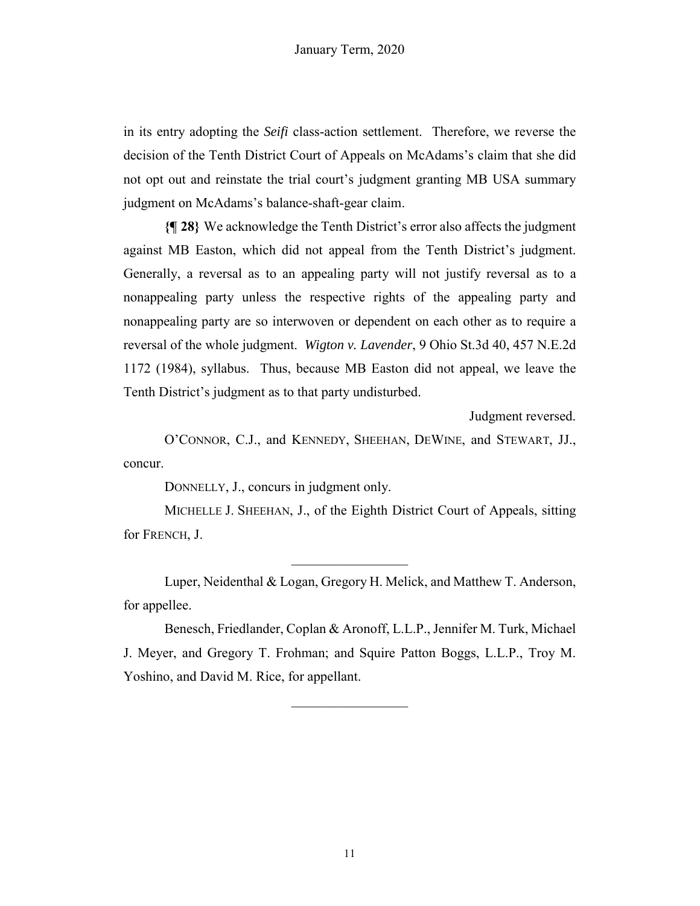in its entry adopting the *Seifi* class-action settlement. Therefore, we reverse the decision of the Tenth District Court of Appeals on McAdams's claim that she did not opt out and reinstate the trial court's judgment granting MB USA summary judgment on McAdams's balance-shaft-gear claim.

**{¶ 28}** We acknowledge the Tenth District's error also affects the judgment against MB Easton, which did not appeal from the Tenth District's judgment. Generally, a reversal as to an appealing party will not justify reversal as to a nonappealing party unless the respective rights of the appealing party and nonappealing party are so interwoven or dependent on each other as to require a reversal of the whole judgment. *Wigton v. Lavender*, 9 Ohio St.3d 40, 457 N.E.2d 1172 (1984), syllabus. Thus, because MB Easton did not appeal, we leave the Tenth District's judgment as to that party undisturbed.

Judgment reversed.

O'CONNOR, C.J., and KENNEDY, SHEEHAN, DEWINE, and STEWART, JJ., concur.

DONNELLY, J., concurs in judgment only.

MICHELLE J. SHEEHAN, J., of the Eighth District Court of Appeals, sitting for FRENCH, J.

Luper, Neidenthal & Logan, Gregory H. Melick, and Matthew T. Anderson, for appellee.

Benesch, Friedlander, Coplan & Aronoff, L.L.P., Jennifer M. Turk, Michael J. Meyer, and Gregory T. Frohman; and Squire Patton Boggs, L.L.P., Troy M. Yoshino, and David M. Rice, for appellant.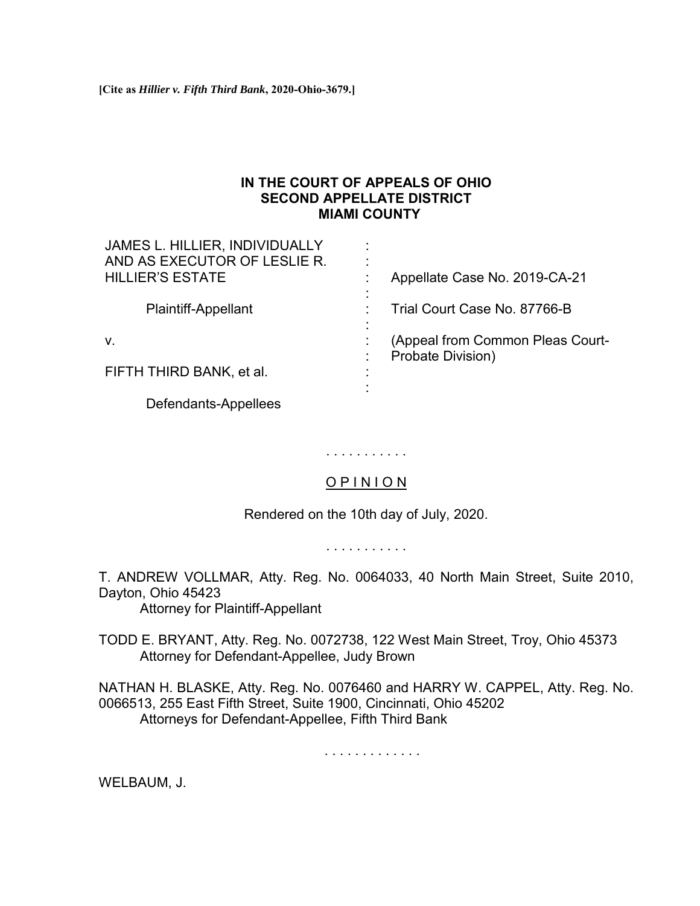## **IN THE COURT OF APPEALS OF OHIO SECOND APPELLATE DISTRICT MIAMI COUNTY**

<span id="page-30-0"></span>

| JAMES L. HILLIER, INDIVIDUALLY<br>AND AS EXECUTOR OF LESLIE R. |                                                       |
|----------------------------------------------------------------|-------------------------------------------------------|
| <b>HILLIER'S ESTATE</b>                                        | Appellate Case No. 2019-CA-21                         |
| <b>Plaintiff-Appellant</b>                                     | Trial Court Case No. 87766-B                          |
| V.                                                             | (Appeal from Common Pleas Court-<br>Probate Division) |
| FIFTH THIRD BANK, et al.                                       |                                                       |
| Defendants-Appellees                                           |                                                       |

# O P I N I O N

. . . . . . . . . . .

Rendered on the 10th day of July, 2020.

. . . . . . . . . . .

T. ANDREW VOLLMAR, Atty. Reg. No. 0064033, 40 North Main Street, Suite 2010, Dayton, Ohio 45423

Attorney for Plaintiff-Appellant

TODD E. BRYANT, Atty. Reg. No. 0072738, 122 West Main Street, Troy, Ohio 45373 Attorney for Defendant-Appellee, Judy Brown

NATHAN H. BLASKE, Atty. Reg. No. 0076460 and HARRY W. CAPPEL, Atty. Reg. No. 0066513, 255 East Fifth Street, Suite 1900, Cincinnati, Ohio 45202 Attorneys for Defendant-Appellee, Fifth Third Bank

. . . . . . . . . . . . .

WELBAUM, J.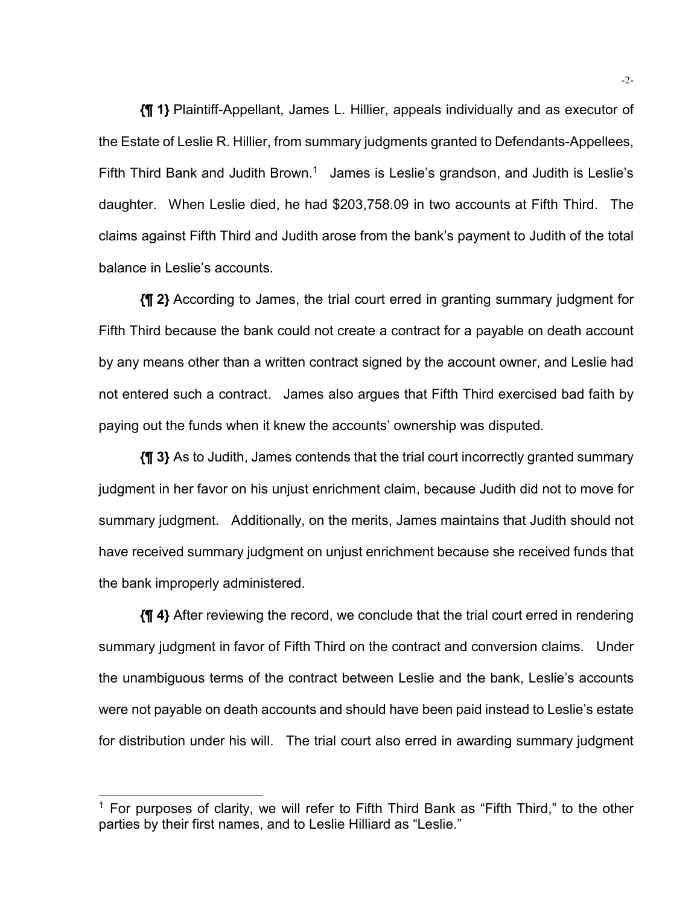**{¶ 1}** Plaintiff-Appellant, James L. Hillier, appeals individually and as executor of the Estate of Leslie R. Hillier, from summary judgments granted to Defendants-Appellees, Fifth Third Bank and Judith Brown.<sup>1</sup> James is Leslie's grandson, and Judith is Leslie's daughter. When Leslie died, he had \$203,758.09 in two accounts at Fifth Third. The claims against Fifth Third and Judith arose from the bank's payment to Judith of the total balance in Leslie's accounts.

**{¶ 2}** According to James, the trial court erred in granting summary judgment for Fifth Third because the bank could not create a contract for a payable on death account by any means other than a written contract signed by the account owner, and Leslie had not entered such a contract. James also argues that Fifth Third exercised bad faith by paying out the funds when it knew the accounts' ownership was disputed.

**{¶ 3}** As to Judith, James contends that the trial court incorrectly granted summary judgment in her favor on his unjust enrichment claim, because Judith did not to move for summary judgment. Additionally, on the merits, James maintains that Judith should not have received summary judgment on unjust enrichment because she received funds that the bank improperly administered.

**{¶ 4}** After reviewing the record, we conclude that the trial court erred in rendering summary judgment in favor of Fifth Third on the contract and conversion claims. Under the unambiguous terms of the contract between Leslie and the bank, Leslie's accounts were not payable on death accounts and should have been paid instead to Leslie's estate for distribution under his will. The trial court also erred in awarding summary judgment

l

 $1$  For purposes of clarity, we will refer to Fifth Third Bank as "Fifth Third," to the other parties by their first names, and to Leslie Hilliard as "Leslie."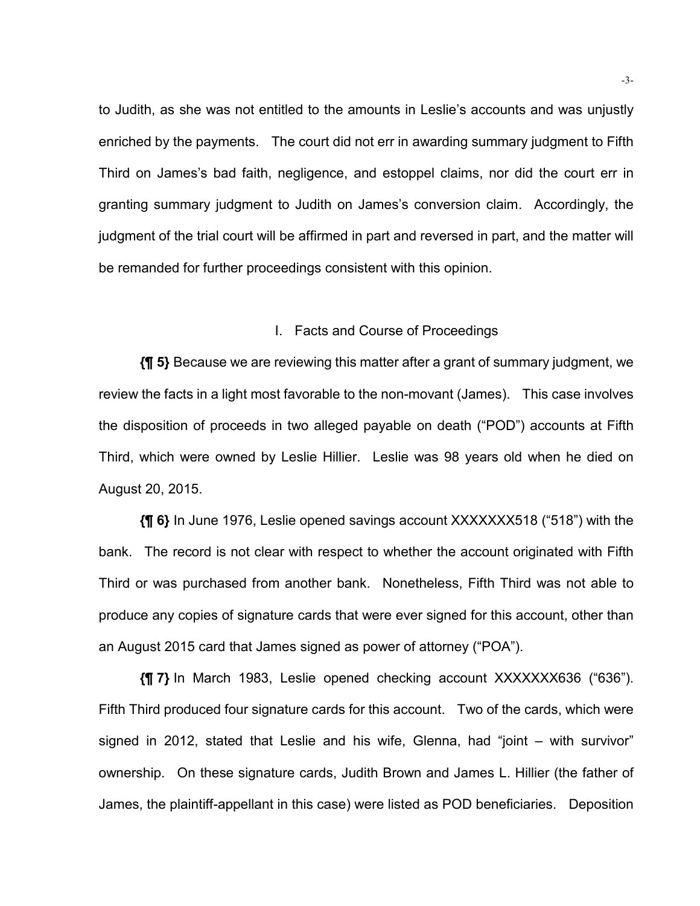to Judith, as she was not entitled to the amounts in Leslie's accounts and was unjustly enriched by the payments. The court did not err in awarding summary judgment to Fifth Third on James's bad faith, negligence, and estoppel claims, nor did the court err in granting summary judgment to Judith on James's conversion claim. Accordingly, the judgment of the trial court will be affirmed in part and reversed in part, and the matter will be remanded for further proceedings consistent with this opinion.

#### I. Facts and Course of Proceedings

**{¶ 5}** Because we are reviewing this matter after a grant of summary judgment, we review the facts in a light most favorable to the non-movant (James). This case involves the disposition of proceeds in two alleged payable on death ("POD") accounts at Fifth Third, which were owned by Leslie Hillier. Leslie was 98 years old when he died on August 20, 2015.

**{¶ 6}** In June 1976, Leslie opened savings account XXXXXXX518 ("518") with the bank. The record is not clear with respect to whether the account originated with Fifth Third or was purchased from another bank. Nonetheless, Fifth Third was not able to produce any copies of signature cards that were ever signed for this account, other than an August 2015 card that James signed as power of attorney ("POA").

**{¶ 7}** In March 1983, Leslie opened checking account XXXXXXX636 ("636"). Fifth Third produced four signature cards for this account. Two of the cards, which were signed in 2012, stated that Leslie and his wife, Glenna, had "joint – with survivor" ownership. On these signature cards, Judith Brown and James L. Hillier (the father of James, the plaintiff-appellant in this case) were listed as POD beneficiaries. Deposition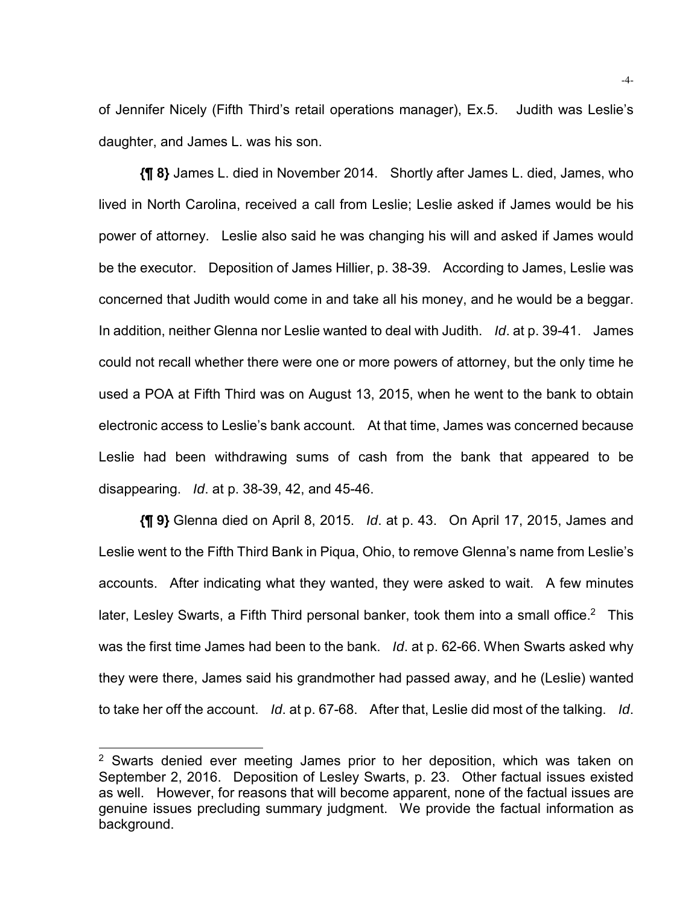of Jennifer Nicely (Fifth Third's retail operations manager), Ex.5. Judith was Leslie's daughter, and James L. was his son.

**{¶ 8}** James L. died in November 2014. Shortly after James L. died, James, who lived in North Carolina, received a call from Leslie; Leslie asked if James would be his power of attorney. Leslie also said he was changing his will and asked if James would be the executor. Deposition of James Hillier, p. 38-39. According to James, Leslie was concerned that Judith would come in and take all his money, and he would be a beggar. In addition, neither Glenna nor Leslie wanted to deal with Judith. *Id*. at p. 39-41. James could not recall whether there were one or more powers of attorney, but the only time he used a POA at Fifth Third was on August 13, 2015, when he went to the bank to obtain electronic access to Leslie's bank account. At that time, James was concerned because Leslie had been withdrawing sums of cash from the bank that appeared to be disappearing. *Id*. at p. 38-39, 42, and 45-46.

**{¶ 9}** Glenna died on April 8, 2015. *Id*. at p. 43. On April 17, 2015, James and Leslie went to the Fifth Third Bank in Piqua, Ohio, to remove Glenna's name from Leslie's accounts. After indicating what they wanted, they were asked to wait. A few minutes later, Lesley Swarts, a Fifth Third personal banker, took them into a small office.<sup>2</sup> This was the first time James had been to the bank. *Id*. at p. 62-66. When Swarts asked why they were there, James said his grandmother had passed away, and he (Leslie) wanted to take her off the account. *Id*. at p. 67-68. After that, Leslie did most of the talking. *Id*.

l

<sup>&</sup>lt;sup>2</sup> Swarts denied ever meeting James prior to her deposition, which was taken on September 2, 2016. Deposition of Lesley Swarts, p. 23. Other factual issues existed as well. However, for reasons that will become apparent, none of the factual issues are genuine issues precluding summary judgment. We provide the factual information as background.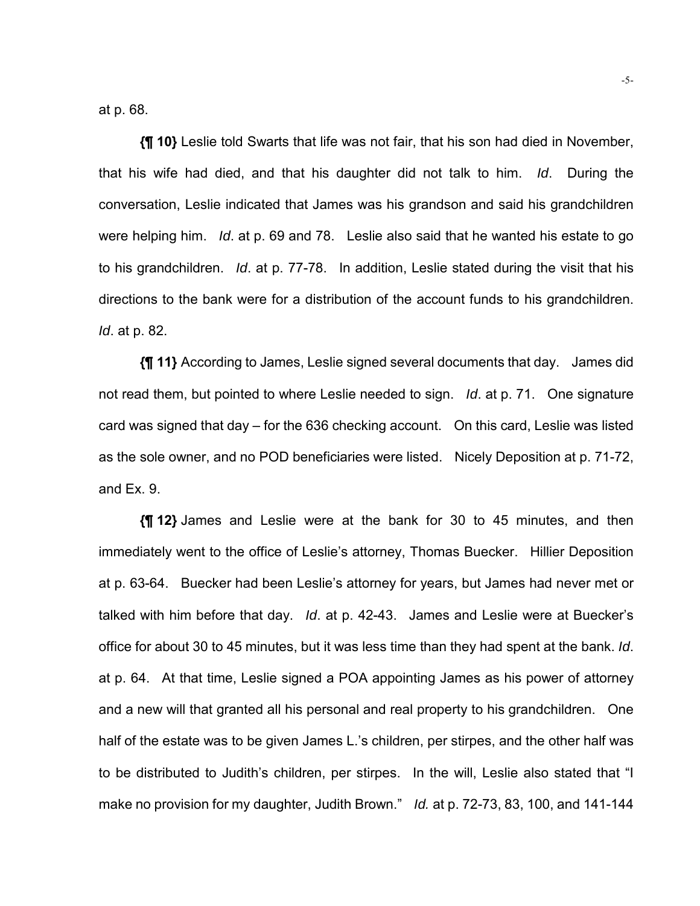at p. 68.

**{¶ 10}** Leslie told Swarts that life was not fair, that his son had died in November, that his wife had died, and that his daughter did not talk to him. *Id*. During the conversation, Leslie indicated that James was his grandson and said his grandchildren were helping him. *Id*. at p. 69 and 78. Leslie also said that he wanted his estate to go to his grandchildren. *Id*. at p. 77-78. In addition, Leslie stated during the visit that his directions to the bank were for a distribution of the account funds to his grandchildren. *Id*. at p. 82.

**{¶ 11}** According to James, Leslie signed several documents that day. James did not read them, but pointed to where Leslie needed to sign. *Id*. at p. 71. One signature card was signed that day – for the 636 checking account. On this card, Leslie was listed as the sole owner, and no POD beneficiaries were listed. Nicely Deposition at p. 71-72, and Ex. 9.

**{¶ 12}** James and Leslie were at the bank for 30 to 45 minutes, and then immediately went to the office of Leslie's attorney, Thomas Buecker. Hillier Deposition at p. 63-64. Buecker had been Leslie's attorney for years, but James had never met or talked with him before that day. *Id*. at p. 42-43. James and Leslie were at Buecker's office for about 30 to 45 minutes, but it was less time than they had spent at the bank. *Id*. at p. 64. At that time, Leslie signed a POA appointing James as his power of attorney and a new will that granted all his personal and real property to his grandchildren. One half of the estate was to be given James L.'s children, per stirpes, and the other half was to be distributed to Judith's children, per stirpes. In the will, Leslie also stated that "I make no provision for my daughter, Judith Brown." *Id.* at p. 72-73, 83, 100, and 141-144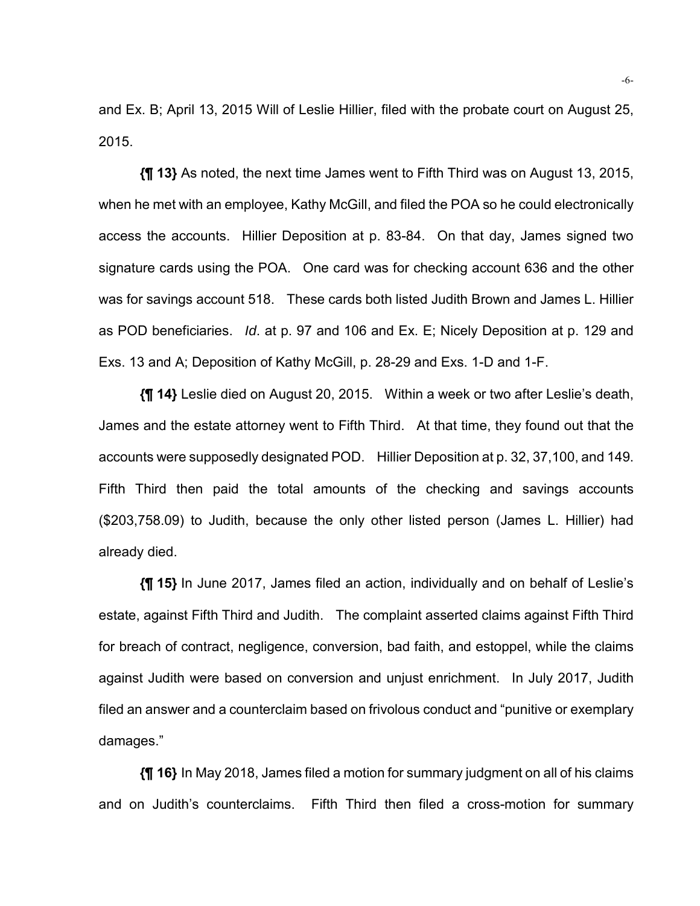and Ex. B; April 13, 2015 Will of Leslie Hillier, filed with the probate court on August 25, 2015.

**{¶ 13}** As noted, the next time James went to Fifth Third was on August 13, 2015, when he met with an employee, Kathy McGill, and filed the POA so he could electronically access the accounts. Hillier Deposition at p. 83-84. On that day, James signed two signature cards using the POA. One card was for checking account 636 and the other was for savings account 518. These cards both listed Judith Brown and James L. Hillier as POD beneficiaries. *Id*. at p. 97 and 106 and Ex. E; Nicely Deposition at p. 129 and Exs. 13 and A; Deposition of Kathy McGill, p. 28-29 and Exs. 1-D and 1-F.

**{¶ 14}** Leslie died on August 20, 2015. Within a week or two after Leslie's death, James and the estate attorney went to Fifth Third. At that time, they found out that the accounts were supposedly designated POD. Hillier Deposition at p. 32, 37,100, and 149. Fifth Third then paid the total amounts of the checking and savings accounts (\$203,758.09) to Judith, because the only other listed person (James L. Hillier) had already died.

**{¶ 15}** In June 2017, James filed an action, individually and on behalf of Leslie's estate, against Fifth Third and Judith. The complaint asserted claims against Fifth Third for breach of contract, negligence, conversion, bad faith, and estoppel, while the claims against Judith were based on conversion and unjust enrichment. In July 2017, Judith filed an answer and a counterclaim based on frivolous conduct and "punitive or exemplary damages."

**{¶ 16}** In May 2018, James filed a motion for summary judgment on all of his claims and on Judith's counterclaims. Fifth Third then filed a cross-motion for summary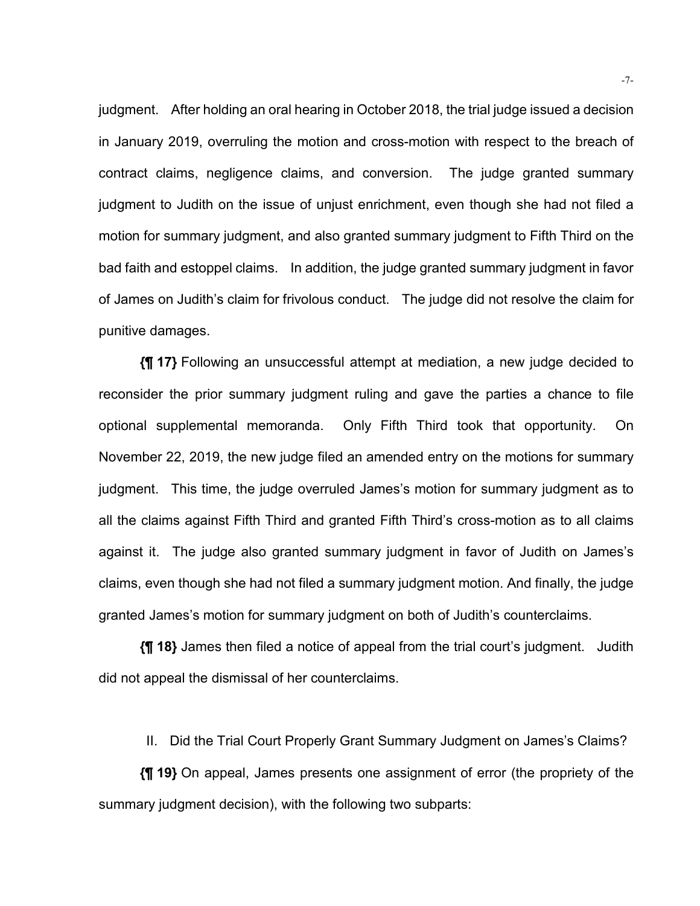judgment. After holding an oral hearing in October 2018, the trial judge issued a decision in January 2019, overruling the motion and cross-motion with respect to the breach of contract claims, negligence claims, and conversion. The judge granted summary judgment to Judith on the issue of unjust enrichment, even though she had not filed a motion for summary judgment, and also granted summary judgment to Fifth Third on the bad faith and estoppel claims. In addition, the judge granted summary judgment in favor of James on Judith's claim for frivolous conduct. The judge did not resolve the claim for punitive damages.

**{¶ 17}** Following an unsuccessful attempt at mediation, a new judge decided to reconsider the prior summary judgment ruling and gave the parties a chance to file optional supplemental memoranda. Only Fifth Third took that opportunity. On November 22, 2019, the new judge filed an amended entry on the motions for summary judgment. This time, the judge overruled James's motion for summary judgment as to all the claims against Fifth Third and granted Fifth Third's cross-motion as to all claims against it. The judge also granted summary judgment in favor of Judith on James's claims, even though she had not filed a summary judgment motion. And finally, the judge granted James's motion for summary judgment on both of Judith's counterclaims.

**{¶ 18}** James then filed a notice of appeal from the trial court's judgment. Judith did not appeal the dismissal of her counterclaims.

II. Did the Trial Court Properly Grant Summary Judgment on James's Claims?

**{¶ 19}** On appeal, James presents one assignment of error (the propriety of the summary judgment decision), with the following two subparts: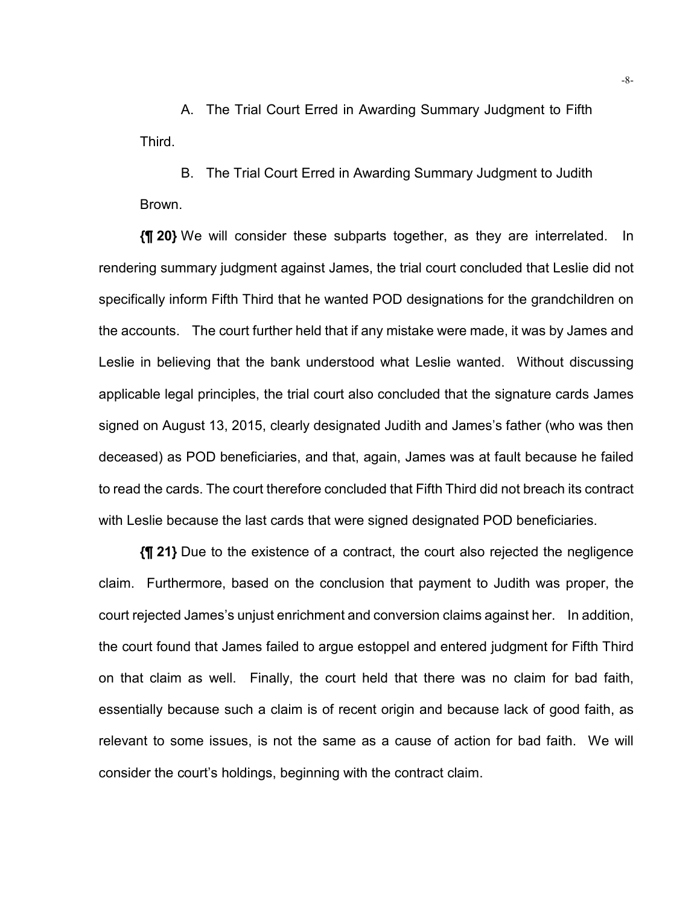A. The Trial Court Erred in Awarding Summary Judgment to Fifth **Third.** 

B. The Trial Court Erred in Awarding Summary Judgment to Judith Brown.

**{¶ 20}** We will consider these subparts together, as they are interrelated. In rendering summary judgment against James, the trial court concluded that Leslie did not specifically inform Fifth Third that he wanted POD designations for the grandchildren on the accounts. The court further held that if any mistake were made, it was by James and Leslie in believing that the bank understood what Leslie wanted. Without discussing applicable legal principles, the trial court also concluded that the signature cards James signed on August 13, 2015, clearly designated Judith and James's father (who was then deceased) as POD beneficiaries, and that, again, James was at fault because he failed to read the cards. The court therefore concluded that Fifth Third did not breach its contract with Leslie because the last cards that were signed designated POD beneficiaries.

**{¶ 21}** Due to the existence of a contract, the court also rejected the negligence claim. Furthermore, based on the conclusion that payment to Judith was proper, the court rejected James's unjust enrichment and conversion claims against her. In addition, the court found that James failed to argue estoppel and entered judgment for Fifth Third on that claim as well. Finally, the court held that there was no claim for bad faith, essentially because such a claim is of recent origin and because lack of good faith, as relevant to some issues, is not the same as a cause of action for bad faith. We will consider the court's holdings, beginning with the contract claim.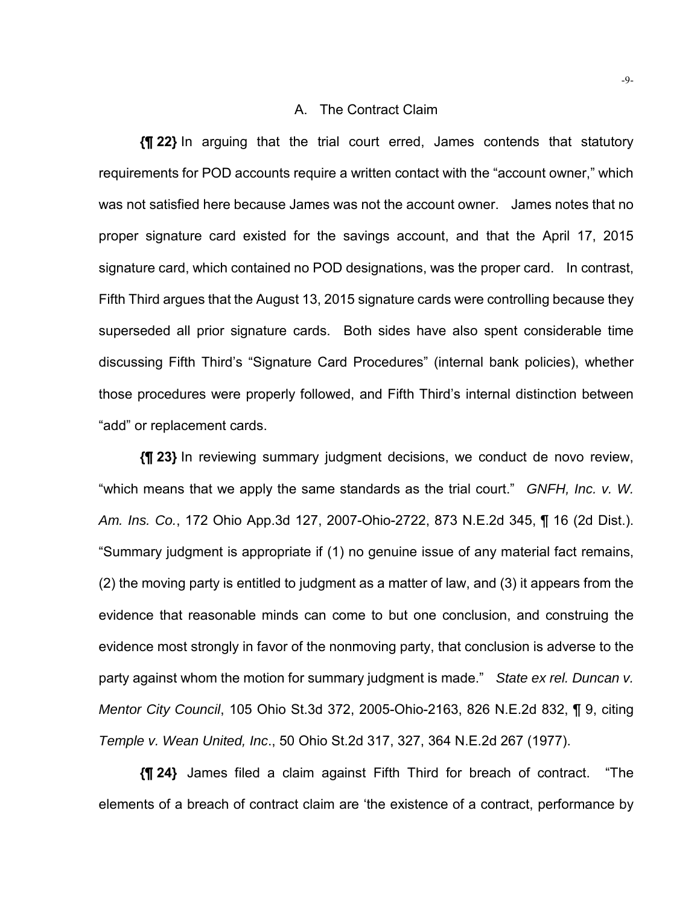#### A. The Contract Claim

**{¶ 22}** In arguing that the trial court erred, James contends that statutory requirements for POD accounts require a written contact with the "account owner," which was not satisfied here because James was not the account owner. James notes that no proper signature card existed for the savings account, and that the April 17, 2015 signature card, which contained no POD designations, was the proper card. In contrast, Fifth Third argues that the August 13, 2015 signature cards were controlling because they superseded all prior signature cards. Both sides have also spent considerable time discussing Fifth Third's "Signature Card Procedures" (internal bank policies), whether those procedures were properly followed, and Fifth Third's internal distinction between "add" or replacement cards.

**{¶ 23}** In reviewing summary judgment decisions, we conduct de novo review, "which means that we apply the same standards as the trial court." *GNFH, Inc. v. W. Am. Ins. Co.*, 172 Ohio App.3d 127, 2007-Ohio-2722, 873 N.E.2d 345, ¶ 16 (2d Dist.). "Summary judgment is appropriate if (1) no genuine issue of any material fact remains, (2) the moving party is entitled to judgment as a matter of law, and (3) it appears from the evidence that reasonable minds can come to but one conclusion, and construing the evidence most strongly in favor of the nonmoving party, that conclusion is adverse to the party against whom the motion for summary judgment is made." *State ex rel. Duncan v. Mentor City Council*, 105 Ohio St.3d 372, 2005-Ohio-2163, 826 N.E.2d 832, ¶ 9, citing *Temple v. Wean United, Inc*., 50 Ohio St.2d 317, 327, 364 N.E.2d 267 (1977).

**{¶ 24}** James filed a claim against Fifth Third for breach of contract. "The elements of a breach of contract claim are 'the existence of a contract, performance by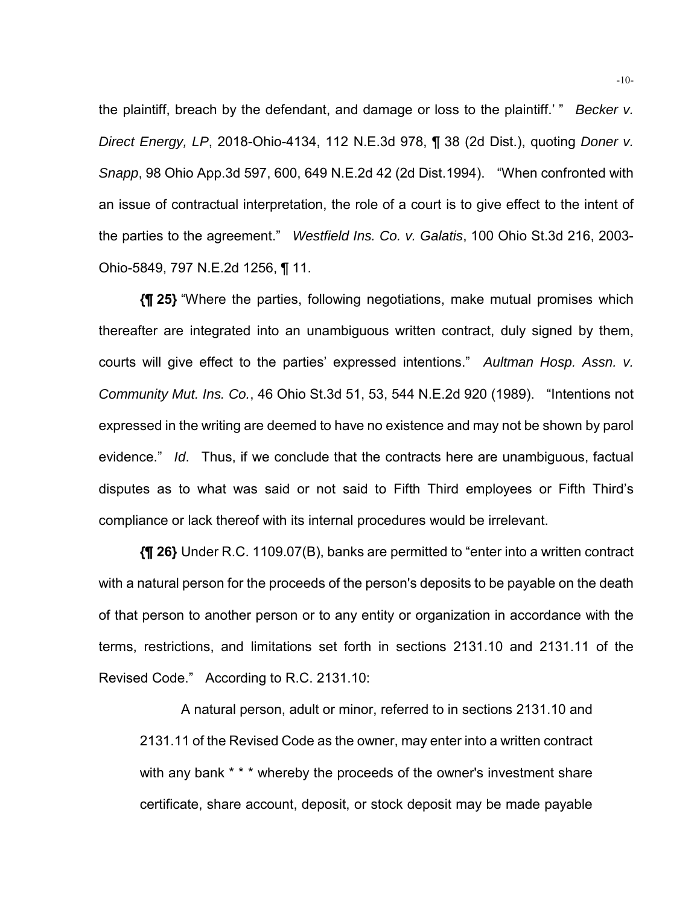the plaintiff, breach by the defendant, and damage or loss to the plaintiff.' " *Becker v. Direct Energy, LP*, 2018-Ohio-4134, 112 N.E.3d 978, ¶ 38 (2d Dist.), quoting *Doner v. Snapp*, 98 Ohio App.3d 597, 600, 649 N.E.2d 42 (2d Dist.1994). "When confronted with an issue of contractual interpretation, the role of a court is to give effect to the intent of the parties to the agreement." *Westfield Ins. Co. v. Galatis*, 100 Ohio St.3d 216, 2003- Ohio-5849, 797 N.E.2d 1256, ¶ 11.

**{¶ 25}** "Where the parties, following negotiations, make mutual promises which thereafter are integrated into an unambiguous written contract, duly signed by them, courts will give effect to the parties' expressed intentions." *Aultman Hosp. Assn. v. Community Mut. Ins. Co.*, 46 Ohio St.3d 51, 53, 544 N.E.2d 920 (1989). "Intentions not expressed in the writing are deemed to have no existence and may not be shown by parol evidence." *Id*. Thus, if we conclude that the contracts here are unambiguous, factual disputes as to what was said or not said to Fifth Third employees or Fifth Third's compliance or lack thereof with its internal procedures would be irrelevant.

**{¶ 26}** Under R.C. 1109.07(B), banks are permitted to "enter into a written contract with a natural person for the proceeds of the person's deposits to be payable on the death of that person to another person or to any entity or organization in accordance with the terms, restrictions, and limitations set forth in sections 2131.10 and 2131.11 of the Revised Code." According to R.C. 2131.10:

A natural person, adult or minor, referred to in sections 2131.10 and 2131.11 of the Revised Code as the owner, may enter into a written contract with any bank \* \* \* whereby the proceeds of the owner's investment share certificate, share account, deposit, or stock deposit may be made payable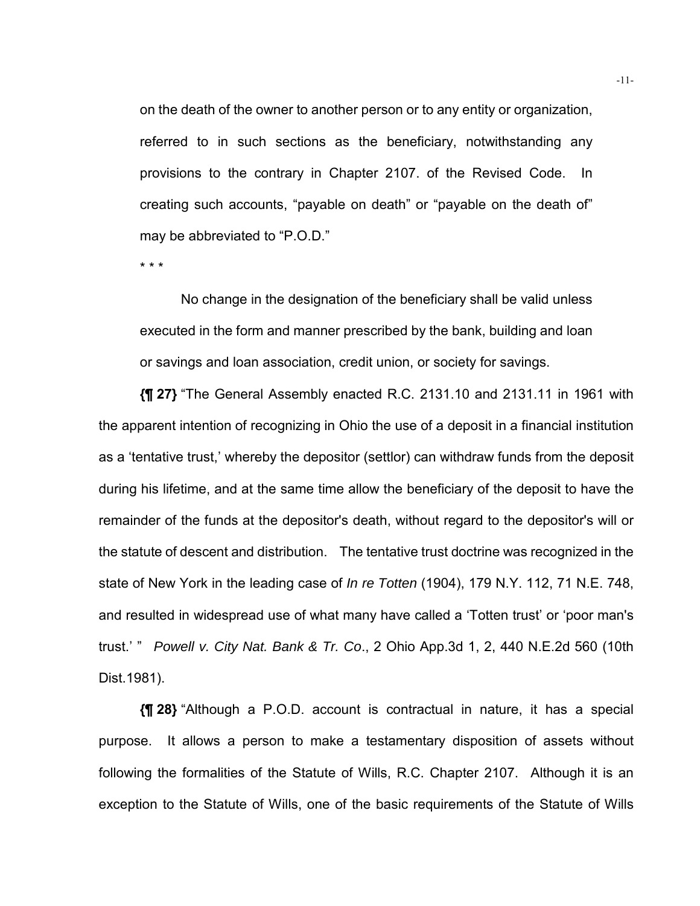on the death of the owner to another person or to any entity or organization, referred to in such sections as the beneficiary, notwithstanding any provisions to the contrary in Chapter 2107. of the Revised Code. In creating such accounts, "payable on death" or "payable on the death of" may be abbreviated to "P.O.D."

\* \* \*

No change in the designation of the beneficiary shall be valid unless executed in the form and manner prescribed by the bank, building and loan or savings and loan association, credit union, or society for savings.

**{¶ 27}** "The General Assembly enacted R.C. 2131.10 and 2131.11 in 1961 with the apparent intention of recognizing in Ohio the use of a deposit in a financial institution as a 'tentative trust,' whereby the depositor (settlor) can withdraw funds from the deposit during his lifetime, and at the same time allow the beneficiary of the deposit to have the remainder of the funds at the depositor's death, without regard to the depositor's will or the statute of descent and distribution. The tentative trust doctrine was recognized in the state of New York in the leading case of *In re Totten* (1904), 179 N.Y. 112, 71 N.E. 748, and resulted in widespread use of what many have called a 'Totten trust' or 'poor man's trust.' " *Powell v. City Nat. Bank & Tr. Co*., 2 Ohio App.3d 1, 2, 440 N.E.2d 560 (10th Dist.1981).

**{¶ 28}** "Although a P.O.D. account is contractual in nature, it has a special purpose. It allows a person to make a testamentary disposition of assets without following the formalities of the Statute of Wills, R.C. Chapter 2107. Although it is an exception to the Statute of Wills, one of the basic requirements of the Statute of Wills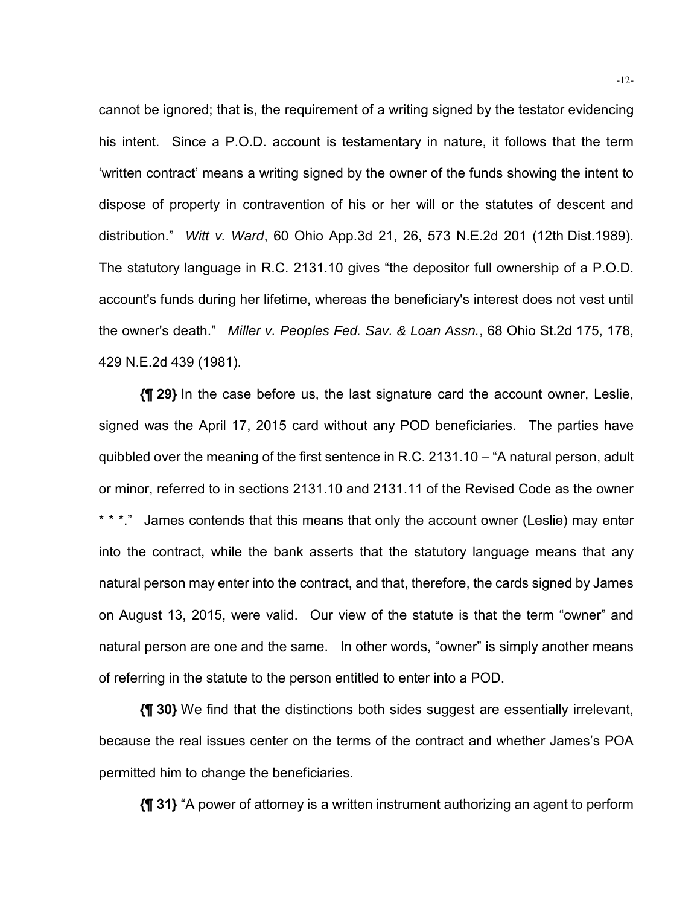cannot be ignored; that is, the requirement of a writing signed by the testator evidencing his intent. Since a P.O.D. account is testamentary in nature, it follows that the term 'written contract' means a writing signed by the owner of the funds showing the intent to dispose of property in contravention of his or her will or the statutes of descent and distribution." *Witt v. Ward*, 60 Ohio App.3d 21, 26, 573 N.E.2d 201 (12th Dist.1989). The statutory language in R.C. 2131.10 gives "the depositor full ownership of a P.O.D. account's funds during her lifetime, whereas the beneficiary's interest does not vest until the owner's death." *Miller v. Peoples Fed. Sav. & Loan Assn.*, 68 Ohio St.2d 175, 178, 429 N.E.2d 439 (1981).

**{¶ 29}** In the case before us, the last signature card the account owner, Leslie, signed was the April 17, 2015 card without any POD beneficiaries. The parties have quibbled over the meaning of the first sentence in R.C. 2131.10 – "A natural person, adult or minor, referred to in sections 2131.10 and 2131.11 of the Revised Code as the owner \* \* \*." James contends that this means that only the account owner (Leslie) may enter into the contract, while the bank asserts that the statutory language means that any natural person may enter into the contract, and that, therefore, the cards signed by James on August 13, 2015, were valid. Our view of the statute is that the term "owner" and natural person are one and the same. In other words, "owner" is simply another means of referring in the statute to the person entitled to enter into a POD.

**{¶ 30}** We find that the distinctions both sides suggest are essentially irrelevant, because the real issues center on the terms of the contract and whether James's POA permitted him to change the beneficiaries.

**{¶ 31}** "A power of attorney is a written instrument authorizing an agent to perform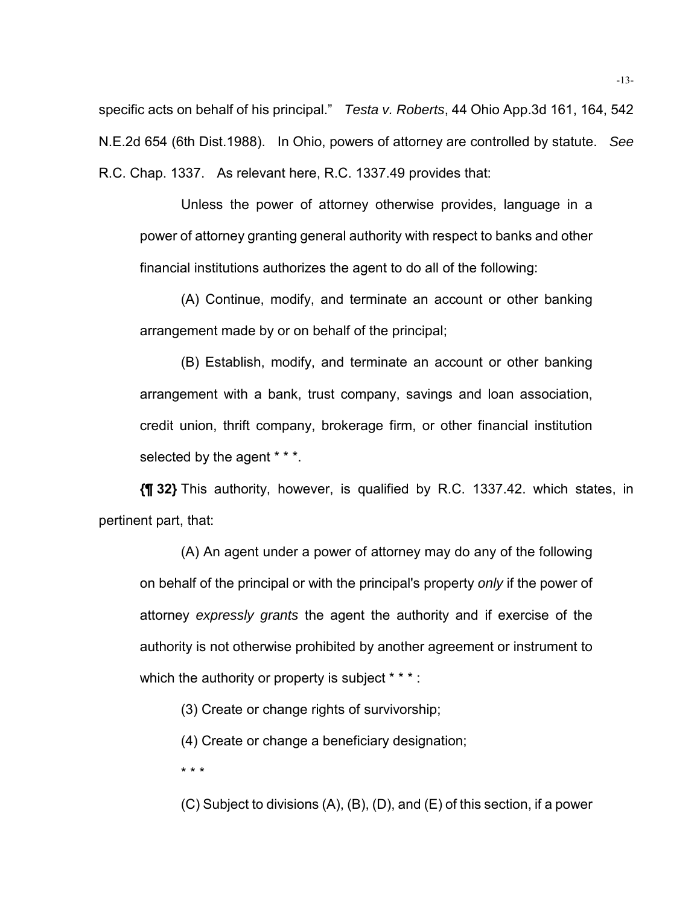specific acts on behalf of his principal." *Testa v. Roberts*, 44 Ohio App.3d 161, 164, 542 N.E.2d 654 (6th Dist.1988). In Ohio, powers of attorney are controlled by statute. *See* R.C. Chap. 1337. As relevant here, R.C. 1337.49 provides that:

Unless the power of attorney otherwise provides, language in a power of attorney granting general authority with respect to banks and other financial institutions authorizes the agent to do all of the following:

(A) Continue, modify, and terminate an account or other banking arrangement made by or on behalf of the principal;

(B) Establish, modify, and terminate an account or other banking arrangement with a bank, trust company, savings and loan association, credit union, thrift company, brokerage firm, or other financial institution selected by the agent \* \* \*.

**{¶ 32}** This authority, however, is qualified by R.C. 1337.42. which states, in pertinent part, that:

(A) An agent under a power of attorney may do any of the following on behalf of the principal or with the principal's property *only* if the power of attorney *expressly grants* the agent the authority and if exercise of the authority is not otherwise prohibited by another agreement or instrument to which the authority or property is subject \* \* \* :

(3) Create or change rights of survivorship;

(4) Create or change a beneficiary designation;

\* \* \*

(C) Subject to divisions (A), (B), (D), and (E) of this section, if a power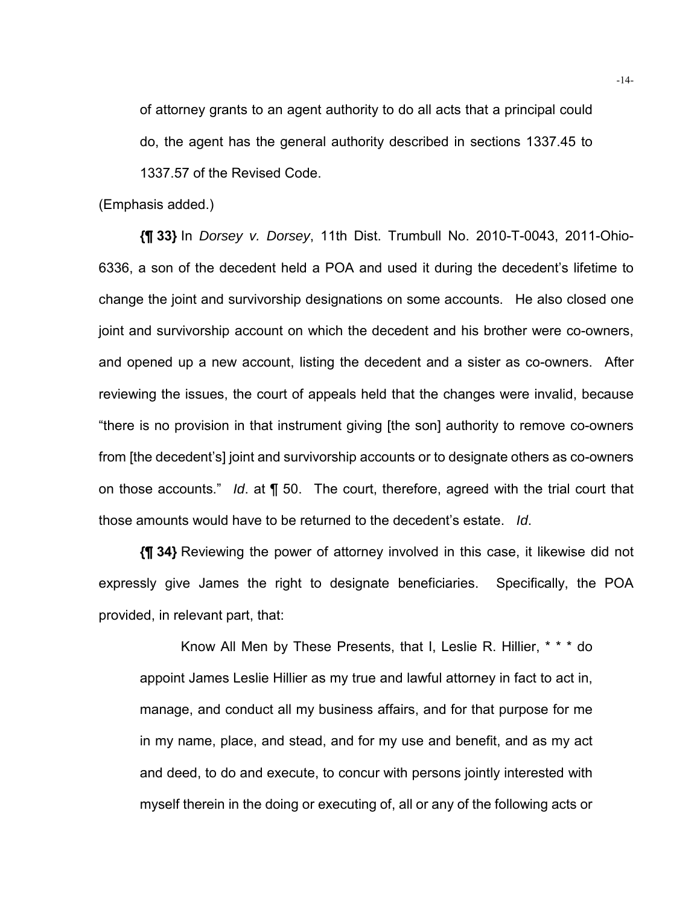of attorney grants to an agent authority to do all acts that a principal could do, the agent has the general authority described in sections 1337.45 to

1337.57 of the Revised Code.

(Emphasis added.)

**{¶ 33}** In *Dorsey v. Dorsey*, 11th Dist. Trumbull No. 2010-T-0043, 2011-Ohio-6336, a son of the decedent held a POA and used it during the decedent's lifetime to change the joint and survivorship designations on some accounts. He also closed one joint and survivorship account on which the decedent and his brother were co-owners, and opened up a new account, listing the decedent and a sister as co-owners. After reviewing the issues, the court of appeals held that the changes were invalid, because "there is no provision in that instrument giving [the son] authority to remove co-owners from [the decedent's] joint and survivorship accounts or to designate others as co-owners on those accounts." *Id*. at ¶ 50. The court, therefore, agreed with the trial court that those amounts would have to be returned to the decedent's estate. *Id*.

**{¶ 34}** Reviewing the power of attorney involved in this case, it likewise did not expressly give James the right to designate beneficiaries. Specifically, the POA provided, in relevant part, that:

Know All Men by These Presents, that I, Leslie R. Hillier, \* \* \* do appoint James Leslie Hillier as my true and lawful attorney in fact to act in, manage, and conduct all my business affairs, and for that purpose for me in my name, place, and stead, and for my use and benefit, and as my act and deed, to do and execute, to concur with persons jointly interested with myself therein in the doing or executing of, all or any of the following acts or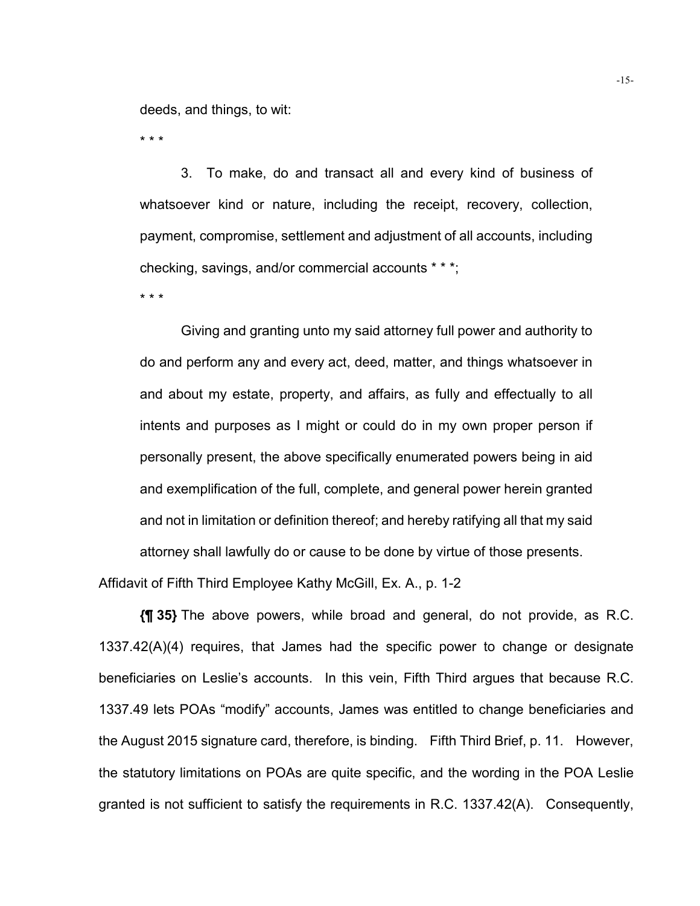deeds, and things, to wit:

\* \* \*

3. To make, do and transact all and every kind of business of whatsoever kind or nature, including the receipt, recovery, collection, payment, compromise, settlement and adjustment of all accounts, including checking, savings, and/or commercial accounts \* \* \*;

\* \* \*

Giving and granting unto my said attorney full power and authority to do and perform any and every act, deed, matter, and things whatsoever in and about my estate, property, and affairs, as fully and effectually to all intents and purposes as I might or could do in my own proper person if personally present, the above specifically enumerated powers being in aid and exemplification of the full, complete, and general power herein granted and not in limitation or definition thereof; and hereby ratifying all that my said attorney shall lawfully do or cause to be done by virtue of those presents.

Affidavit of Fifth Third Employee Kathy McGill, Ex. A., p. 1-2

**{¶ 35}** The above powers, while broad and general, do not provide, as R.C. 1337.42(A)(4) requires, that James had the specific power to change or designate beneficiaries on Leslie's accounts. In this vein, Fifth Third argues that because R.C. 1337.49 lets POAs "modify" accounts, James was entitled to change beneficiaries and the August 2015 signature card, therefore, is binding. Fifth Third Brief, p. 11. However, the statutory limitations on POAs are quite specific, and the wording in the POA Leslie granted is not sufficient to satisfy the requirements in R.C. 1337.42(A). Consequently,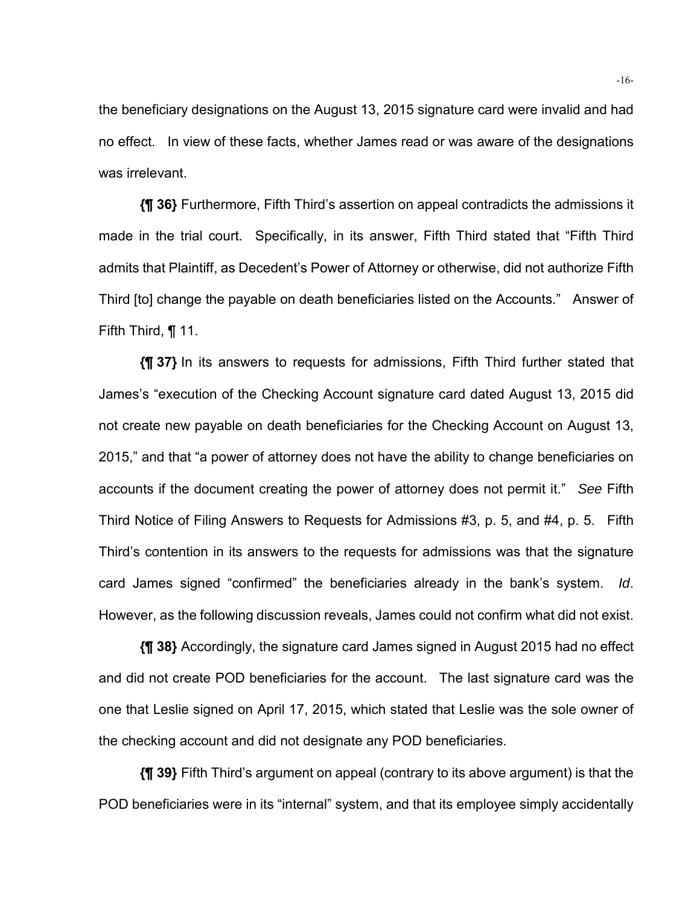the beneficiary designations on the August 13, 2015 signature card were invalid and had no effect. In view of these facts, whether James read or was aware of the designations was irrelevant.

**{¶ 36}** Furthermore, Fifth Third's assertion on appeal contradicts the admissions it made in the trial court. Specifically, in its answer, Fifth Third stated that "Fifth Third admits that Plaintiff, as Decedent's Power of Attorney or otherwise, did not authorize Fifth Third [to] change the payable on death beneficiaries listed on the Accounts." Answer of Fifth Third, ¶ 11.

**{¶ 37}** In its answers to requests for admissions, Fifth Third further stated that James's "execution of the Checking Account signature card dated August 13, 2015 did not create new payable on death beneficiaries for the Checking Account on August 13, 2015," and that "a power of attorney does not have the ability to change beneficiaries on accounts if the document creating the power of attorney does not permit it." *See* Fifth Third Notice of Filing Answers to Requests for Admissions #3, p. 5, and #4, p. 5. Fifth Third's contention in its answers to the requests for admissions was that the signature card James signed "confirmed" the beneficiaries already in the bank's system. *Id*. However, as the following discussion reveals, James could not confirm what did not exist.

**{¶ 38}** Accordingly, the signature card James signed in August 2015 had no effect and did not create POD beneficiaries for the account. The last signature card was the one that Leslie signed on April 17, 2015, which stated that Leslie was the sole owner of the checking account and did not designate any POD beneficiaries.

**{¶ 39}** Fifth Third's argument on appeal (contrary to its above argument) is that the POD beneficiaries were in its "internal" system, and that its employee simply accidentally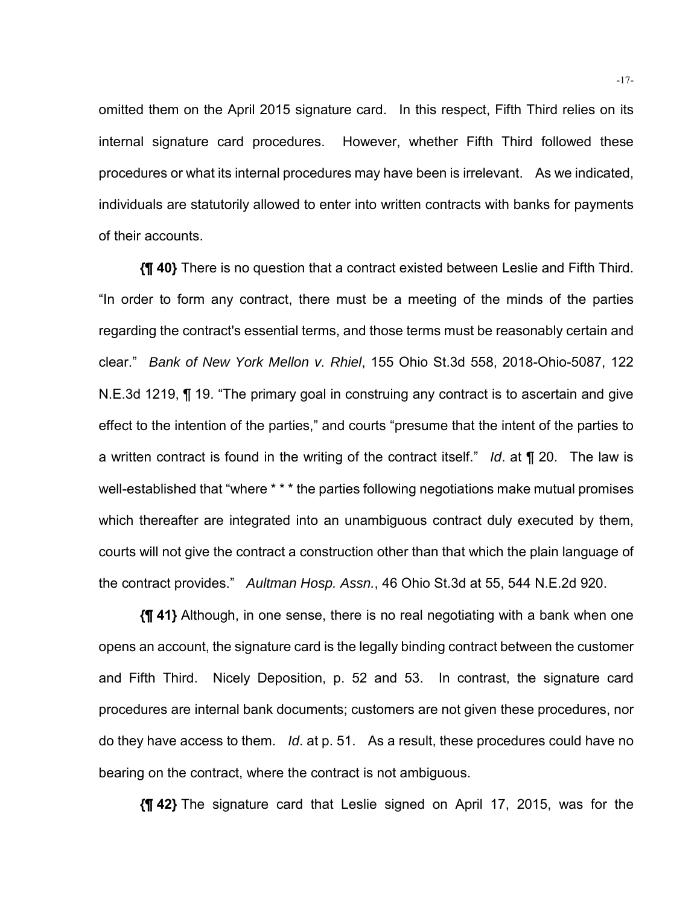omitted them on the April 2015 signature card. In this respect, Fifth Third relies on its internal signature card procedures. However, whether Fifth Third followed these procedures or what its internal procedures may have been is irrelevant. As we indicated, individuals are statutorily allowed to enter into written contracts with banks for payments of their accounts.

**{¶ 40}** There is no question that a contract existed between Leslie and Fifth Third. "In order to form any contract, there must be a meeting of the minds of the parties regarding the contract's essential terms, and those terms must be reasonably certain and clear." *Bank of New York Mellon v. Rhiel*, 155 Ohio St.3d 558, 2018-Ohio-5087, 122 N.E.3d 1219, ¶ 19. "The primary goal in construing any contract is to ascertain and give effect to the intention of the parties," and courts "presume that the intent of the parties to a written contract is found in the writing of the contract itself." *Id*. at ¶ 20. The law is well-established that "where \* \* \* the parties following negotiations make mutual promises which thereafter are integrated into an unambiguous contract duly executed by them, courts will not give the contract a construction other than that which the plain language of the contract provides." *Aultman Hosp. Assn.*, 46 Ohio St.3d at 55, 544 N.E.2d 920.

**{¶ 41}** Although, in one sense, there is no real negotiating with a bank when one opens an account, the signature card is the legally binding contract between the customer and Fifth Third. Nicely Deposition, p. 52 and 53. In contrast, the signature card procedures are internal bank documents; customers are not given these procedures, nor do they have access to them. *Id*. at p. 51. As a result, these procedures could have no bearing on the contract, where the contract is not ambiguous.

**{¶ 42}** The signature card that Leslie signed on April 17, 2015, was for the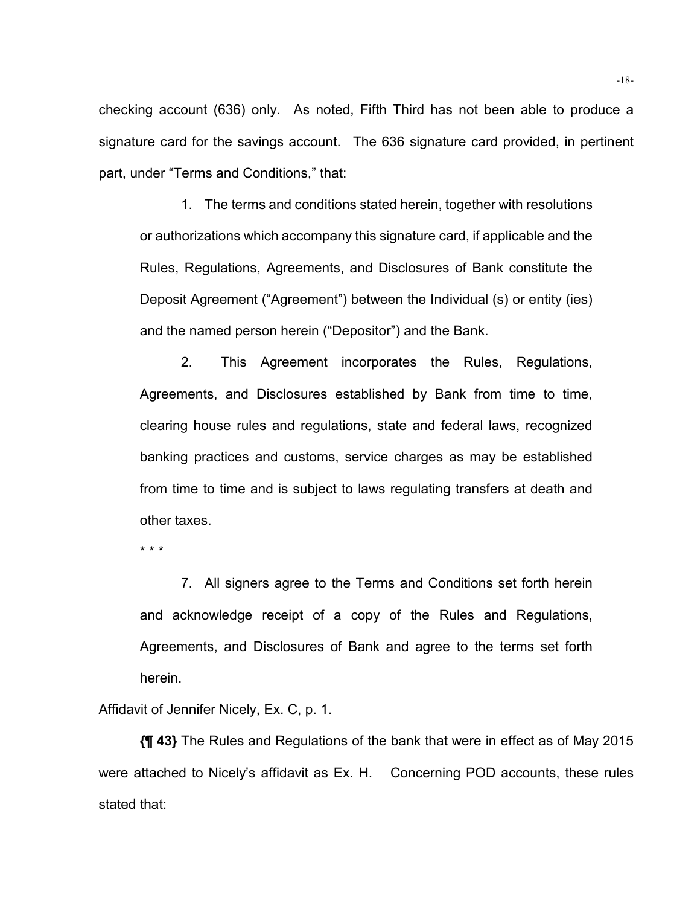checking account (636) only. As noted, Fifth Third has not been able to produce a signature card for the savings account. The 636 signature card provided, in pertinent part, under "Terms and Conditions," that:

1. The terms and conditions stated herein, together with resolutions or authorizations which accompany this signature card, if applicable and the Rules, Regulations, Agreements, and Disclosures of Bank constitute the Deposit Agreement ("Agreement") between the Individual (s) or entity (ies) and the named person herein ("Depositor") and the Bank.

2. This Agreement incorporates the Rules, Regulations, Agreements, and Disclosures established by Bank from time to time, clearing house rules and regulations, state and federal laws, recognized banking practices and customs, service charges as may be established from time to time and is subject to laws regulating transfers at death and other taxes.

\* \* \*

7. All signers agree to the Terms and Conditions set forth herein and acknowledge receipt of a copy of the Rules and Regulations, Agreements, and Disclosures of Bank and agree to the terms set forth herein.

Affidavit of Jennifer Nicely, Ex. C, p. 1.

**{¶ 43}** The Rules and Regulations of the bank that were in effect as of May 2015 were attached to Nicely's affidavit as Ex. H. Concerning POD accounts, these rules stated that: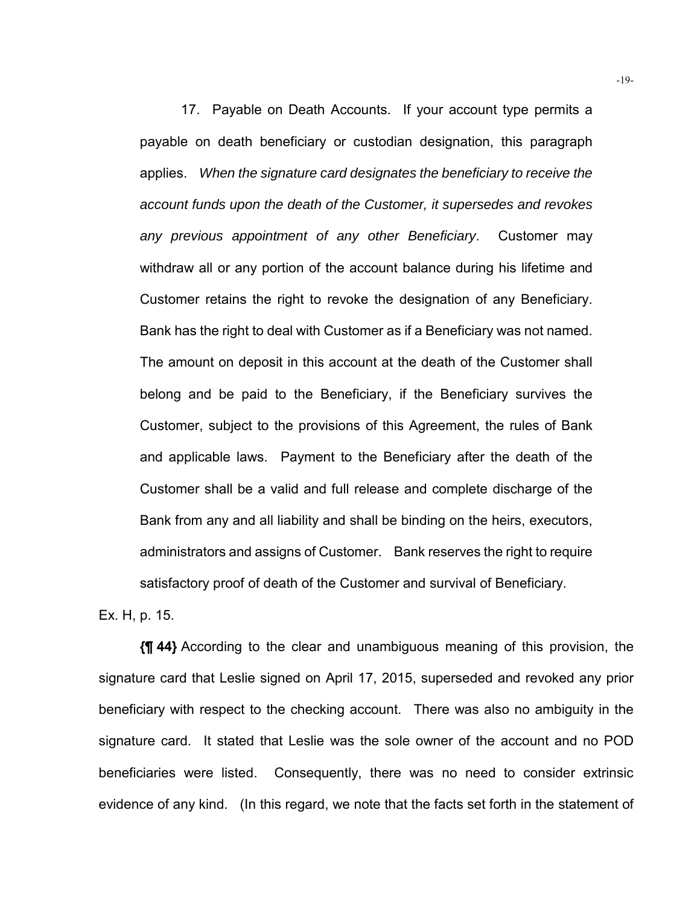17. Payable on Death Accounts. If your account type permits a payable on death beneficiary or custodian designation, this paragraph applies. *When the signature card designates the beneficiary to receive the account funds upon the death of the Customer, it supersedes and revokes any previous appointment of any other Beneficiary*. Customer may withdraw all or any portion of the account balance during his lifetime and Customer retains the right to revoke the designation of any Beneficiary. Bank has the right to deal with Customer as if a Beneficiary was not named. The amount on deposit in this account at the death of the Customer shall belong and be paid to the Beneficiary, if the Beneficiary survives the Customer, subject to the provisions of this Agreement, the rules of Bank and applicable laws. Payment to the Beneficiary after the death of the Customer shall be a valid and full release and complete discharge of the Bank from any and all liability and shall be binding on the heirs, executors, administrators and assigns of Customer. Bank reserves the right to require satisfactory proof of death of the Customer and survival of Beneficiary.

Ex. H, p. 15.

**{¶ 44}** According to the clear and unambiguous meaning of this provision, the signature card that Leslie signed on April 17, 2015, superseded and revoked any prior beneficiary with respect to the checking account. There was also no ambiguity in the signature card. It stated that Leslie was the sole owner of the account and no POD beneficiaries were listed. Consequently, there was no need to consider extrinsic evidence of any kind. (In this regard, we note that the facts set forth in the statement of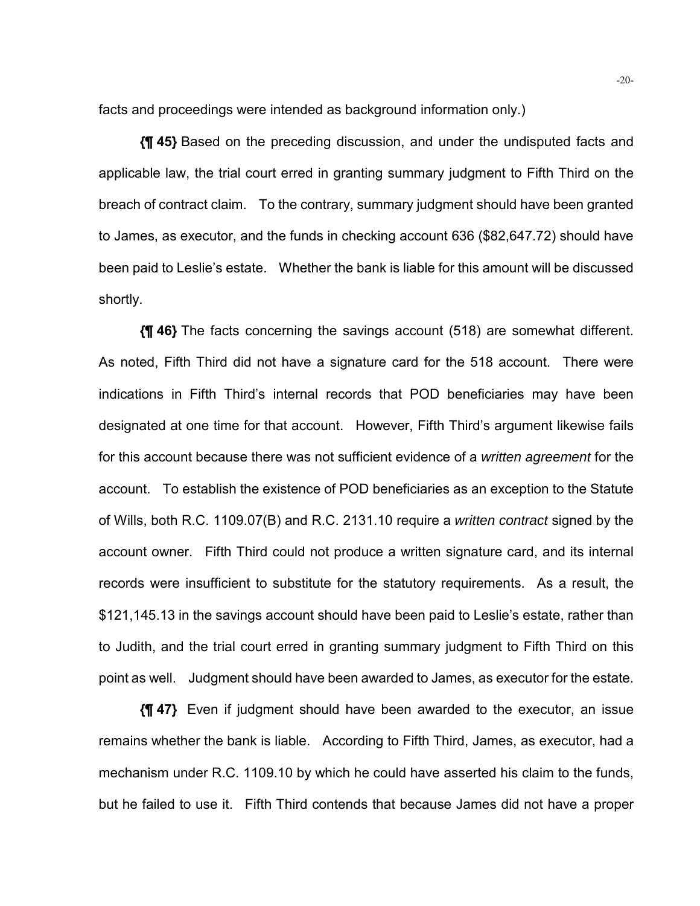facts and proceedings were intended as background information only.)

**{¶ 45}** Based on the preceding discussion, and under the undisputed facts and applicable law, the trial court erred in granting summary judgment to Fifth Third on the breach of contract claim. To the contrary, summary judgment should have been granted to James, as executor, and the funds in checking account 636 (\$82,647.72) should have been paid to Leslie's estate. Whether the bank is liable for this amount will be discussed shortly.

**{¶ 46}** The facts concerning the savings account (518) are somewhat different. As noted, Fifth Third did not have a signature card for the 518 account. There were indications in Fifth Third's internal records that POD beneficiaries may have been designated at one time for that account. However, Fifth Third's argument likewise fails for this account because there was not sufficient evidence of a *written agreement* for the account. To establish the existence of POD beneficiaries as an exception to the Statute of Wills, both R.C. 1109.07(B) and R.C. 2131.10 require a *written contract* signed by the account owner. Fifth Third could not produce a written signature card, and its internal records were insufficient to substitute for the statutory requirements. As a result, the \$121,145.13 in the savings account should have been paid to Leslie's estate, rather than to Judith, and the trial court erred in granting summary judgment to Fifth Third on this point as well. Judgment should have been awarded to James, as executor for the estate.

**{¶ 47}** Even if judgment should have been awarded to the executor, an issue remains whether the bank is liable. According to Fifth Third, James, as executor, had a mechanism under R.C. 1109.10 by which he could have asserted his claim to the funds, but he failed to use it. Fifth Third contends that because James did not have a proper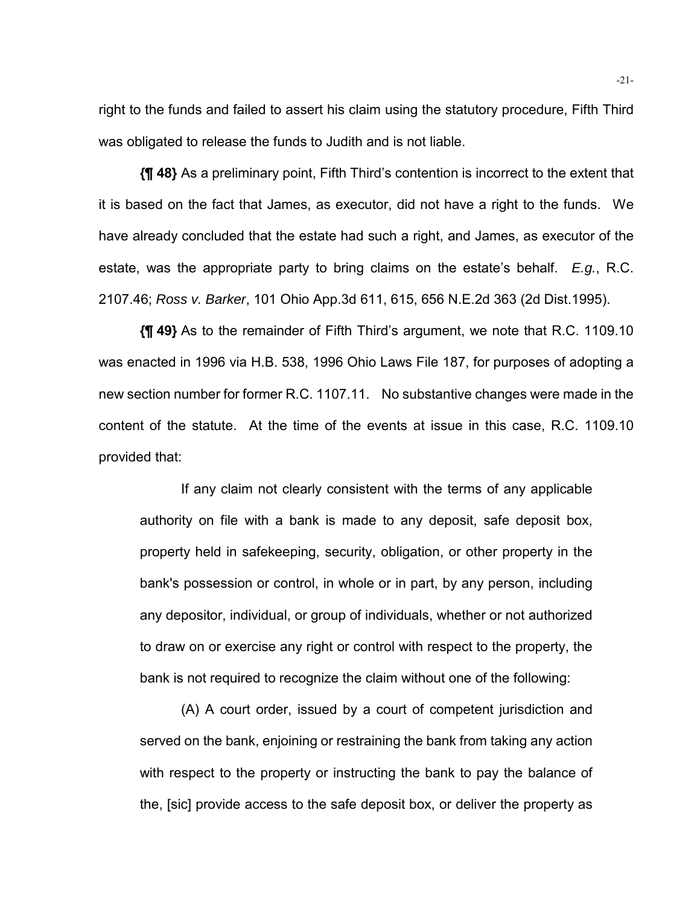right to the funds and failed to assert his claim using the statutory procedure, Fifth Third was obligated to release the funds to Judith and is not liable.

**{¶ 48}** As a preliminary point, Fifth Third's contention is incorrect to the extent that it is based on the fact that James, as executor, did not have a right to the funds. We have already concluded that the estate had such a right, and James, as executor of the estate, was the appropriate party to bring claims on the estate's behalf. *E.g.*, R.C. 2107.46; *Ross v. Barker*, 101 Ohio App.3d 611, 615, 656 N.E.2d 363 (2d Dist.1995).

**{¶ 49}** As to the remainder of Fifth Third's argument, we note that R.C. 1109.10 was enacted in 1996 via H.B. 538, 1996 Ohio Laws File 187, for purposes of adopting a new section number for former R.C. 1107.11. No substantive changes were made in the content of the statute. At the time of the events at issue in this case, R.C. 1109.10 provided that:

If any claim not clearly consistent with the terms of any applicable authority on file with a bank is made to any deposit, safe deposit box, property held in safekeeping, security, obligation, or other property in the bank's possession or control, in whole or in part, by any person, including any depositor, individual, or group of individuals, whether or not authorized to draw on or exercise any right or control with respect to the property, the bank is not required to recognize the claim without one of the following:

(A) A court order, issued by a court of competent jurisdiction and served on the bank, enjoining or restraining the bank from taking any action with respect to the property or instructing the bank to pay the balance of the, [sic] provide access to the safe deposit box, or deliver the property as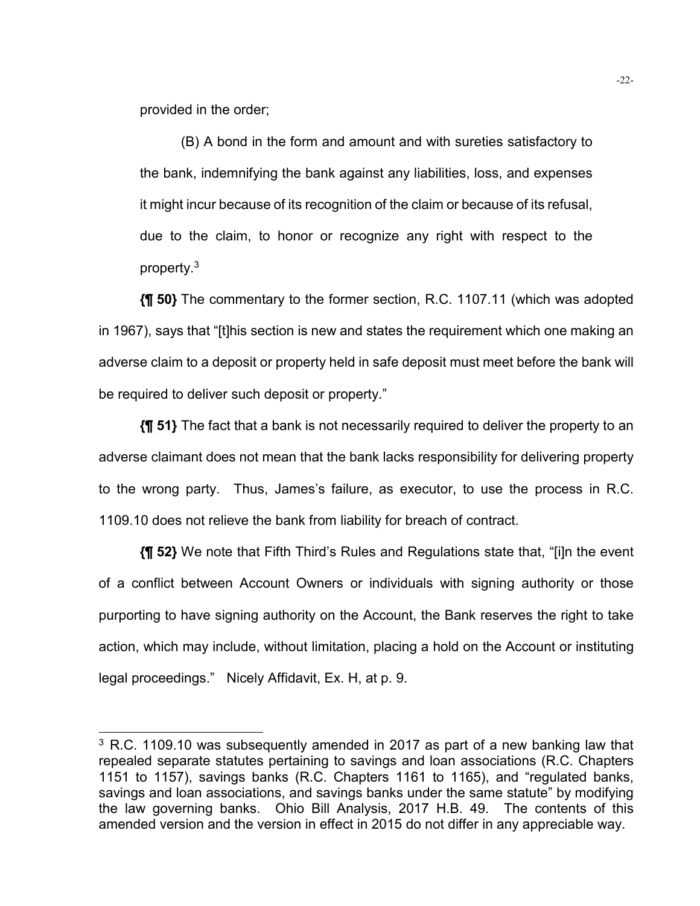provided in the order;

l

(B) A bond in the form and amount and with sureties satisfactory to the bank, indemnifying the bank against any liabilities, loss, and expenses it might incur because of its recognition of the claim or because of its refusal, due to the claim, to honor or recognize any right with respect to the property.3

**{¶ 50}** The commentary to the former section, R.C. 1107.11 (which was adopted in 1967), says that "[t]his section is new and states the requirement which one making an adverse claim to a deposit or property held in safe deposit must meet before the bank will be required to deliver such deposit or property."

**{¶ 51}** The fact that a bank is not necessarily required to deliver the property to an adverse claimant does not mean that the bank lacks responsibility for delivering property to the wrong party. Thus, James's failure, as executor, to use the process in R.C. 1109.10 does not relieve the bank from liability for breach of contract.

**{¶ 52}** We note that Fifth Third's Rules and Regulations state that, "[i]n the event of a conflict between Account Owners or individuals with signing authority or those purporting to have signing authority on the Account, the Bank reserves the right to take action, which may include, without limitation, placing a hold on the Account or instituting legal proceedings." Nicely Affidavit, Ex. H, at p. 9.

 $3$  R.C. 1109.10 was subsequently amended in 2017 as part of a new banking law that repealed separate statutes pertaining to savings and loan associations (R.C. Chapters 1151 to 1157), savings banks (R.C. Chapters 1161 to 1165), and "regulated banks, savings and loan associations, and savings banks under the same statute" by modifying the law governing banks. Ohio Bill Analysis, 2017 H.B. 49. The contents of this amended version and the version in effect in 2015 do not differ in any appreciable way.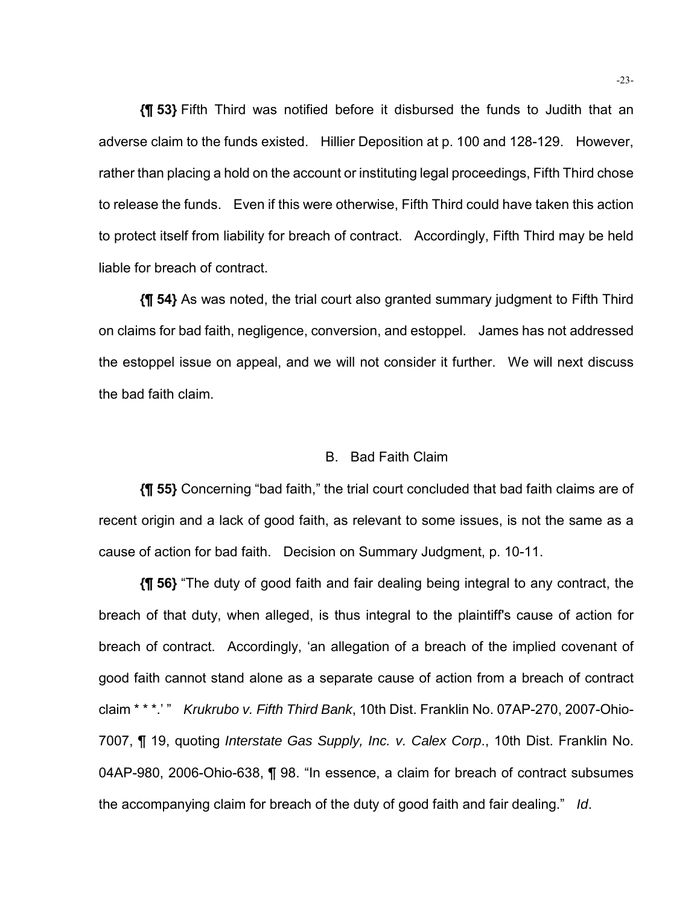**{¶ 53}** Fifth Third was notified before it disbursed the funds to Judith that an adverse claim to the funds existed. Hillier Deposition at p. 100 and 128-129. However, rather than placing a hold on the account or instituting legal proceedings, Fifth Third chose to release the funds. Even if this were otherwise, Fifth Third could have taken this action to protect itself from liability for breach of contract. Accordingly, Fifth Third may be held liable for breach of contract.

**{¶ 54}** As was noted, the trial court also granted summary judgment to Fifth Third on claims for bad faith, negligence, conversion, and estoppel. James has not addressed the estoppel issue on appeal, and we will not consider it further. We will next discuss the bad faith claim.

### B. Bad Faith Claim

**{¶ 55}** Concerning "bad faith," the trial court concluded that bad faith claims are of recent origin and a lack of good faith, as relevant to some issues, is not the same as a cause of action for bad faith. Decision on Summary Judgment, p. 10-11.

**{¶ 56}** "The duty of good faith and fair dealing being integral to any contract, the breach of that duty, when alleged, is thus integral to the plaintiff's cause of action for breach of contract. Accordingly, 'an allegation of a breach of the implied covenant of good faith cannot stand alone as a separate cause of action from a breach of contract claim \* \* \*.' " *Krukrubo v. Fifth Third Bank*, 10th Dist. Franklin No. 07AP-270, 2007-Ohio-7007, ¶ 19, quoting *Interstate Gas Supply, Inc. v. Calex Corp*., 10th Dist. Franklin No. 04AP-980, 2006-Ohio-638, ¶ 98. "In essence, a claim for breach of contract subsumes the accompanying claim for breach of the duty of good faith and fair dealing." *Id*.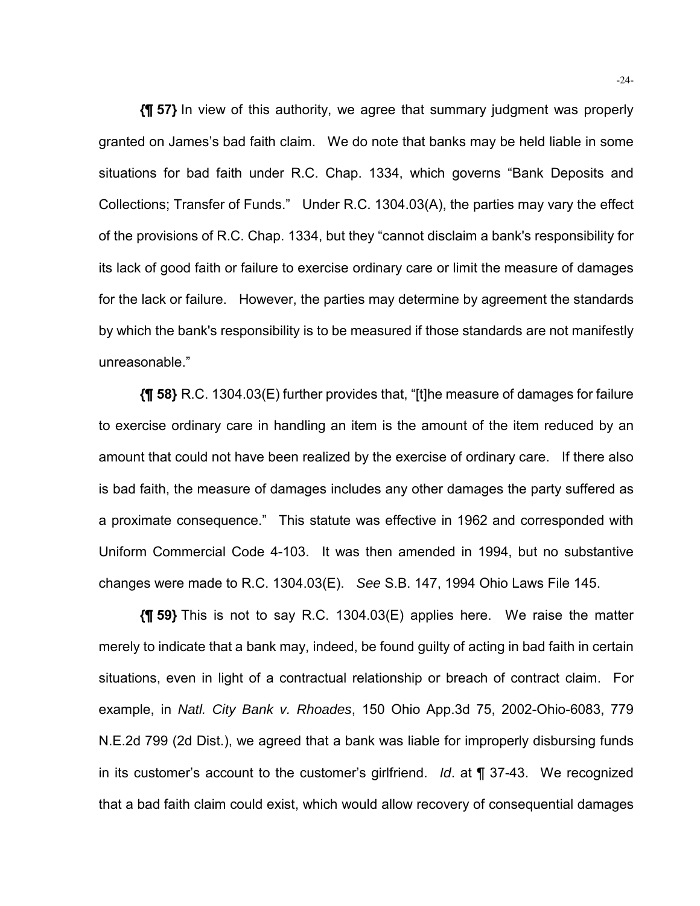**{¶ 57}** In view of this authority, we agree that summary judgment was properly granted on James's bad faith claim. We do note that banks may be held liable in some situations for bad faith under R.C. Chap. 1334, which governs "Bank Deposits and Collections; Transfer of Funds." Under R.C. 1304.03(A), the parties may vary the effect of the provisions of R.C. Chap. 1334, but they "cannot disclaim a bank's responsibility for its lack of good faith or failure to exercise ordinary care or limit the measure of damages for the lack or failure. However, the parties may determine by agreement the standards by which the bank's responsibility is to be measured if those standards are not manifestly unreasonable."

**{¶ 58}** R.C. 1304.03(E) further provides that, "[t]he measure of damages for failure to exercise ordinary care in handling an item is the amount of the item reduced by an amount that could not have been realized by the exercise of ordinary care. If there also is bad faith, the measure of damages includes any other damages the party suffered as a proximate consequence." This statute was effective in 1962 and corresponded with Uniform Commercial Code 4-103. It was then amended in 1994, but no substantive changes were made to R.C. 1304.03(E). *See* S.B. 147, 1994 Ohio Laws File 145.

**{¶ 59}** This is not to say R.C. 1304.03(E) applies here. We raise the matter merely to indicate that a bank may, indeed, be found guilty of acting in bad faith in certain situations, even in light of a contractual relationship or breach of contract claim. For example, in *Natl. City Bank v. Rhoades*, 150 Ohio App.3d 75, 2002-Ohio-6083, 779 N.E.2d 799 (2d Dist.), we agreed that a bank was liable for improperly disbursing funds in its customer's account to the customer's girlfriend. *Id*. at ¶ 37-43. We recognized that a bad faith claim could exist, which would allow recovery of consequential damages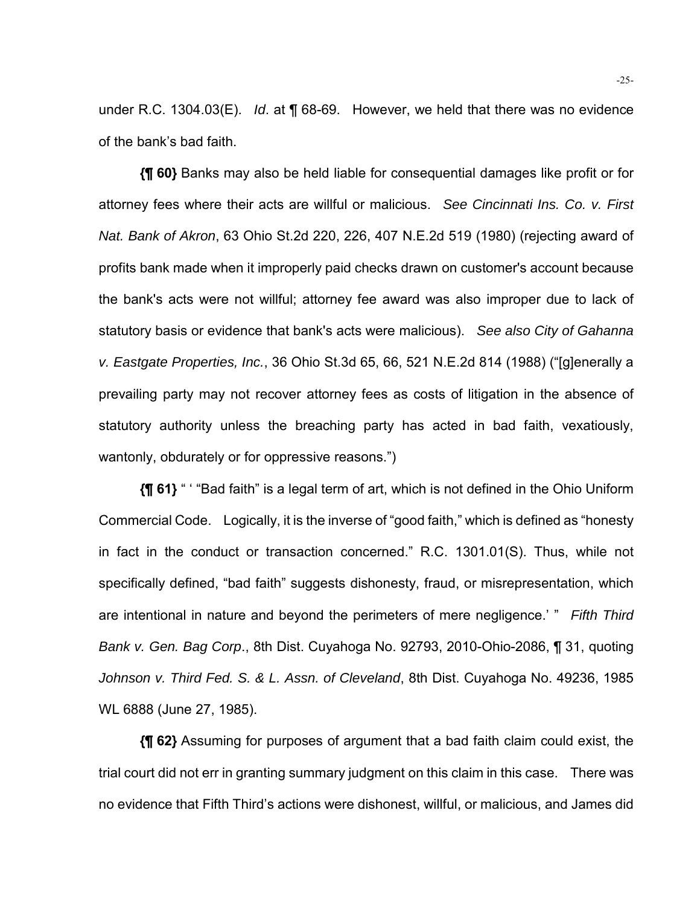under R.C. 1304.03(E). *Id*. at ¶ 68-69. However, we held that there was no evidence of the bank's bad faith.

**{¶ 60}** Banks may also be held liable for consequential damages like profit or for attorney fees where their acts are willful or malicious. *See Cincinnati Ins. Co. v. First Nat. Bank of Akron*, 63 Ohio St.2d 220, 226, 407 N.E.2d 519 (1980) (rejecting award of profits bank made when it improperly paid checks drawn on customer's account because the bank's acts were not willful; attorney fee award was also improper due to lack of statutory basis or evidence that bank's acts were malicious). *See also City of Gahanna v. Eastgate Properties, Inc.*, 36 Ohio St.3d 65, 66, 521 N.E.2d 814 (1988) ("[g]enerally a prevailing party may not recover attorney fees as costs of litigation in the absence of statutory authority unless the breaching party has acted in bad faith, vexatiously, wantonly, obdurately or for oppressive reasons.")

**{¶ 61}** " ' "Bad faith" is a legal term of art, which is not defined in the Ohio Uniform Commercial Code. Logically, it is the inverse of "good faith," which is defined as "honesty in fact in the conduct or transaction concerned." R.C. 1301.01(S). Thus, while not specifically defined, "bad faith" suggests dishonesty, fraud, or misrepresentation, which are intentional in nature and beyond the perimeters of mere negligence.' " *Fifth Third Bank v. Gen. Bag Corp*., 8th Dist. Cuyahoga No. 92793, 2010-Ohio-2086, ¶ 31, quoting *Johnson v. Third Fed. S. & L. Assn. of Cleveland*, 8th Dist. Cuyahoga No. 49236, 1985 WL 6888 (June 27, 1985).

**{¶ 62}** Assuming for purposes of argument that a bad faith claim could exist, the trial court did not err in granting summary judgment on this claim in this case. There was no evidence that Fifth Third's actions were dishonest, willful, or malicious, and James did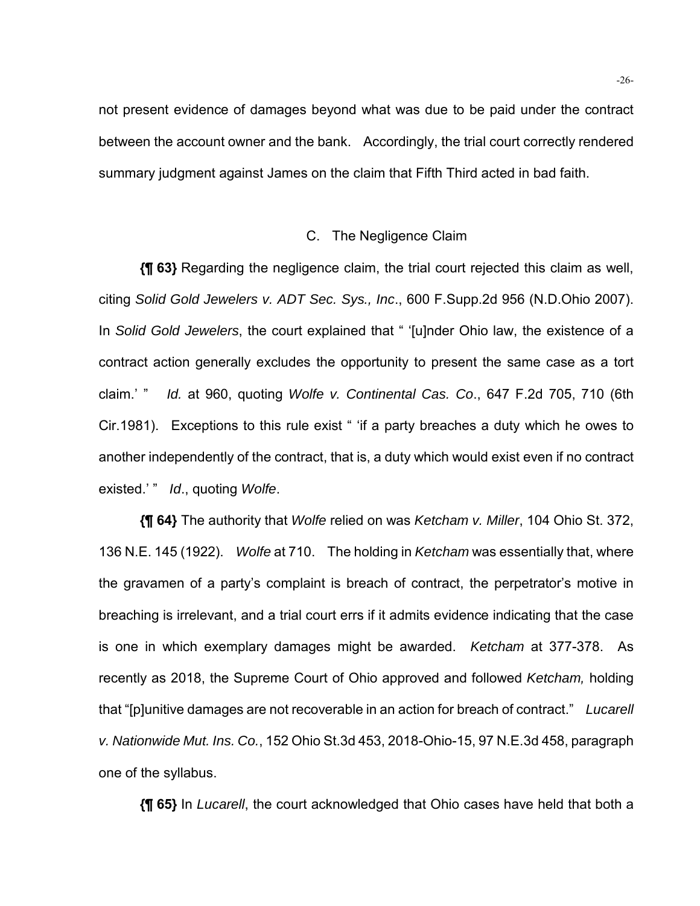not present evidence of damages beyond what was due to be paid under the contract between the account owner and the bank. Accordingly, the trial court correctly rendered summary judgment against James on the claim that Fifth Third acted in bad faith.

### C. The Negligence Claim

**{¶ 63}** Regarding the negligence claim, the trial court rejected this claim as well, citing *Solid Gold Jewelers v. ADT Sec. Sys., Inc*., 600 F.Supp.2d 956 (N.D.Ohio 2007). In *Solid Gold Jewelers*, the court explained that " '[u]nder Ohio law, the existence of a contract action generally excludes the opportunity to present the same case as a tort claim.' " *Id.* at 960, quoting *Wolfe v. Continental Cas. Co*., 647 F.2d 705, 710 (6th Cir.1981). Exceptions to this rule exist " 'if a party breaches a duty which he owes to another independently of the contract, that is, a duty which would exist even if no contract existed.' " *Id*., quoting *Wolfe*.

**{¶ 64}** The authority that *Wolfe* relied on was *Ketcham v. Miller*, 104 Ohio St. 372, 136 N.E. 145 (1922). *Wolfe* at 710. The holding in *Ketcham* was essentially that, where the gravamen of a party's complaint is breach of contract, the perpetrator's motive in breaching is irrelevant, and a trial court errs if it admits evidence indicating that the case is one in which exemplary damages might be awarded. *Ketcham* at 377-378. As recently as 2018, the Supreme Court of Ohio approved and followed *Ketcham,* holding that "[p]unitive damages are not recoverable in an action for breach of contract." *Lucarell v. Nationwide Mut. Ins. Co.*, 152 Ohio St.3d 453, 2018-Ohio-15, 97 N.E.3d 458, paragraph one of the syllabus.

**{¶ 65}** In *Lucarell*, the court acknowledged that Ohio cases have held that both a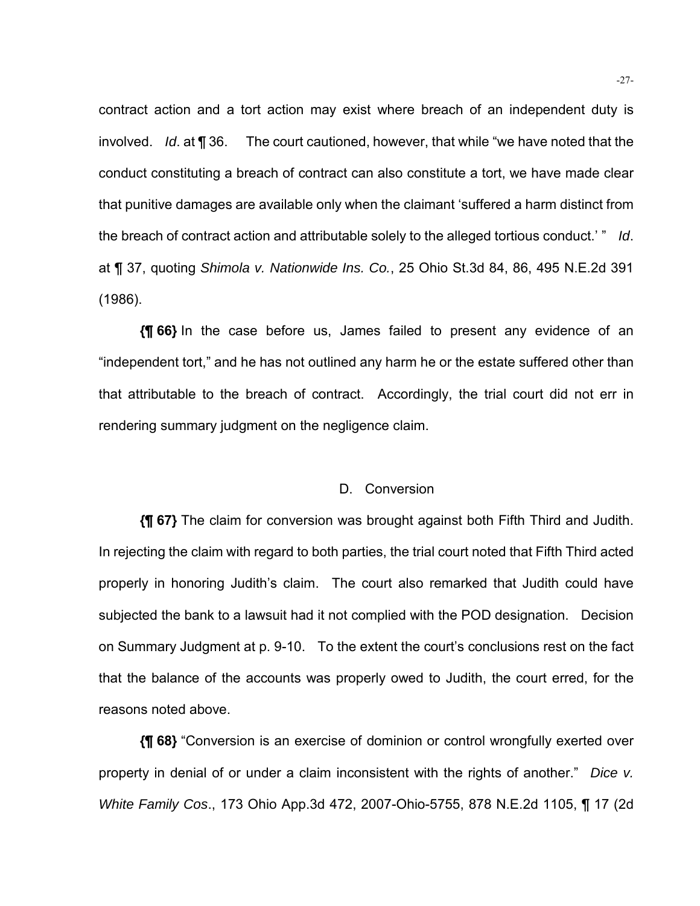contract action and a tort action may exist where breach of an independent duty is involved. *Id*. at ¶ 36. The court cautioned, however, that while "we have noted that the conduct constituting a breach of contract can also constitute a tort, we have made clear that punitive damages are available only when the claimant 'suffered a harm distinct from the breach of contract action and attributable solely to the alleged tortious conduct.' " *Id*. at ¶ 37, quoting *Shimola v. Nationwide Ins. Co.*, 25 Ohio St.3d 84, 86, 495 N.E.2d 391 (1986).

**{¶ 66}** In the case before us, James failed to present any evidence of an "independent tort," and he has not outlined any harm he or the estate suffered other than that attributable to the breach of contract. Accordingly, the trial court did not err in rendering summary judgment on the negligence claim.

### D. Conversion

**{¶ 67}** The claim for conversion was brought against both Fifth Third and Judith. In rejecting the claim with regard to both parties, the trial court noted that Fifth Third acted properly in honoring Judith's claim. The court also remarked that Judith could have subjected the bank to a lawsuit had it not complied with the POD designation. Decision on Summary Judgment at p. 9-10. To the extent the court's conclusions rest on the fact that the balance of the accounts was properly owed to Judith, the court erred, for the reasons noted above.

**{¶ 68}** "Conversion is an exercise of dominion or control wrongfully exerted over property in denial of or under a claim inconsistent with the rights of another." *Dice v. White Family Cos*., 173 Ohio App.3d 472, 2007-Ohio-5755, 878 N.E.2d 1105, ¶ 17 (2d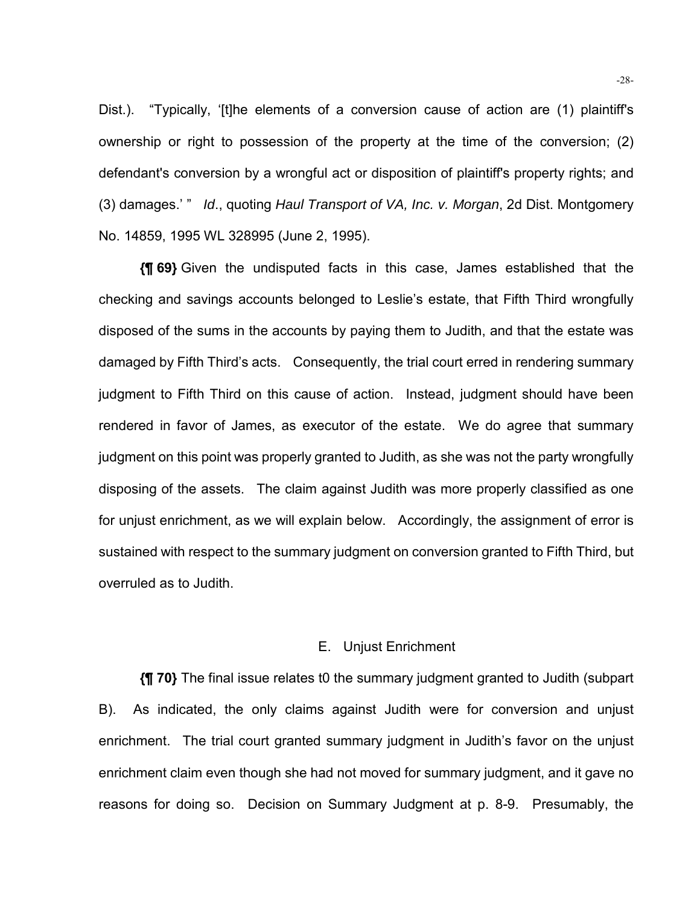Dist.). "Typically, '[t]he elements of a conversion cause of action are (1) plaintiff's ownership or right to possession of the property at the time of the conversion; (2) defendant's conversion by a wrongful act or disposition of plaintiff's property rights; and (3) damages.' " *Id*., quoting *Haul Transport of VA, Inc. v. Morgan*, 2d Dist. Montgomery No. 14859, 1995 WL 328995 (June 2, 1995).

**{¶ 69}** Given the undisputed facts in this case, James established that the checking and savings accounts belonged to Leslie's estate, that Fifth Third wrongfully disposed of the sums in the accounts by paying them to Judith, and that the estate was damaged by Fifth Third's acts. Consequently, the trial court erred in rendering summary judgment to Fifth Third on this cause of action. Instead, judgment should have been rendered in favor of James, as executor of the estate. We do agree that summary judgment on this point was properly granted to Judith, as she was not the party wrongfully disposing of the assets. The claim against Judith was more properly classified as one for unjust enrichment, as we will explain below. Accordingly, the assignment of error is sustained with respect to the summary judgment on conversion granted to Fifth Third, but overruled as to Judith.

### E. Unjust Enrichment

**{¶ 70}** The final issue relates t0 the summary judgment granted to Judith (subpart B). As indicated, the only claims against Judith were for conversion and unjust enrichment. The trial court granted summary judgment in Judith's favor on the unjust enrichment claim even though she had not moved for summary judgment, and it gave no reasons for doing so. Decision on Summary Judgment at p. 8-9. Presumably, the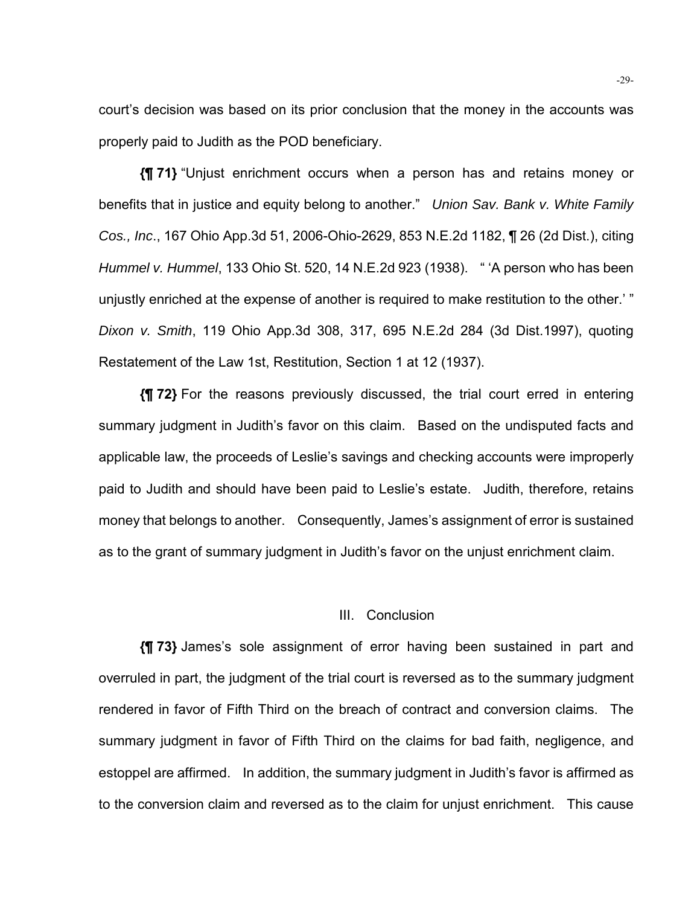court's decision was based on its prior conclusion that the money in the accounts was properly paid to Judith as the POD beneficiary.

**{¶ 71}** "Unjust enrichment occurs when a person has and retains money or benefits that in justice and equity belong to another." *Union Sav. Bank v. White Family Cos., Inc*., 167 Ohio App.3d 51, 2006-Ohio-2629, 853 N.E.2d 1182, ¶ 26 (2d Dist.), citing *Hummel v. Hummel*, 133 Ohio St. 520, 14 N.E.2d 923 (1938). " 'A person who has been unjustly enriched at the expense of another is required to make restitution to the other.' " *Dixon v. Smith*, 119 Ohio App.3d 308, 317, 695 N.E.2d 284 (3d Dist.1997), quoting Restatement of the Law 1st, Restitution, Section 1 at 12 (1937).

**{¶ 72}** For the reasons previously discussed, the trial court erred in entering summary judgment in Judith's favor on this claim. Based on the undisputed facts and applicable law, the proceeds of Leslie's savings and checking accounts were improperly paid to Judith and should have been paid to Leslie's estate. Judith, therefore, retains money that belongs to another. Consequently, James's assignment of error is sustained as to the grant of summary judgment in Judith's favor on the unjust enrichment claim.

### III. Conclusion

**{¶ 73}** James's sole assignment of error having been sustained in part and overruled in part, the judgment of the trial court is reversed as to the summary judgment rendered in favor of Fifth Third on the breach of contract and conversion claims. The summary judgment in favor of Fifth Third on the claims for bad faith, negligence, and estoppel are affirmed. In addition, the summary judgment in Judith's favor is affirmed as to the conversion claim and reversed as to the claim for unjust enrichment. This cause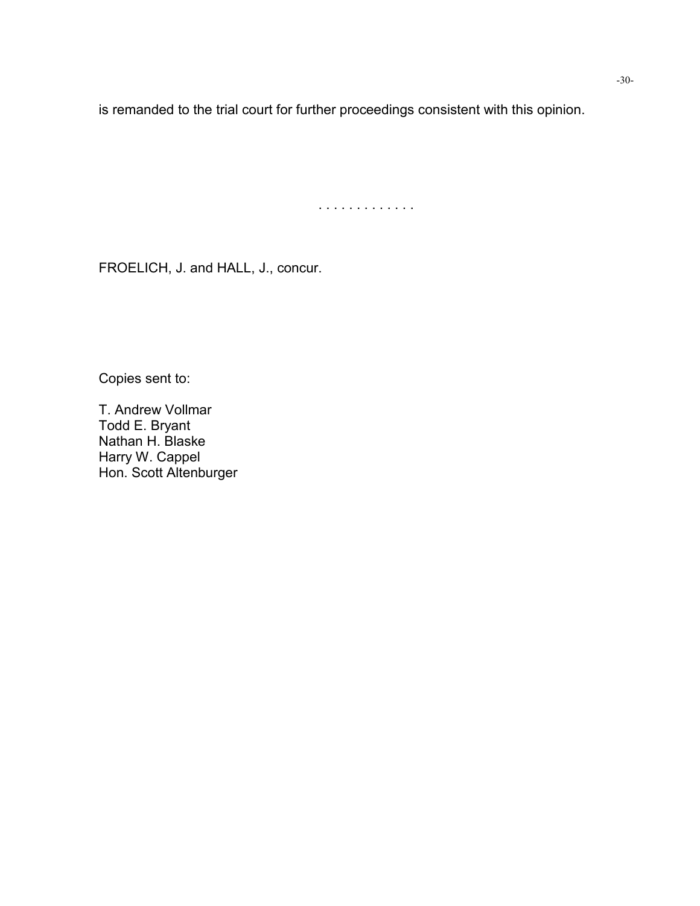is remanded to the trial court for further proceedings consistent with this opinion.

. . . . . . . . . . . . .

FROELICH, J. and HALL, J., concur.

Copies sent to:

T. Andrew Vollmar Todd E. Bryant Nathan H. Blaske Harry W. Cappel Hon. Scott Altenburger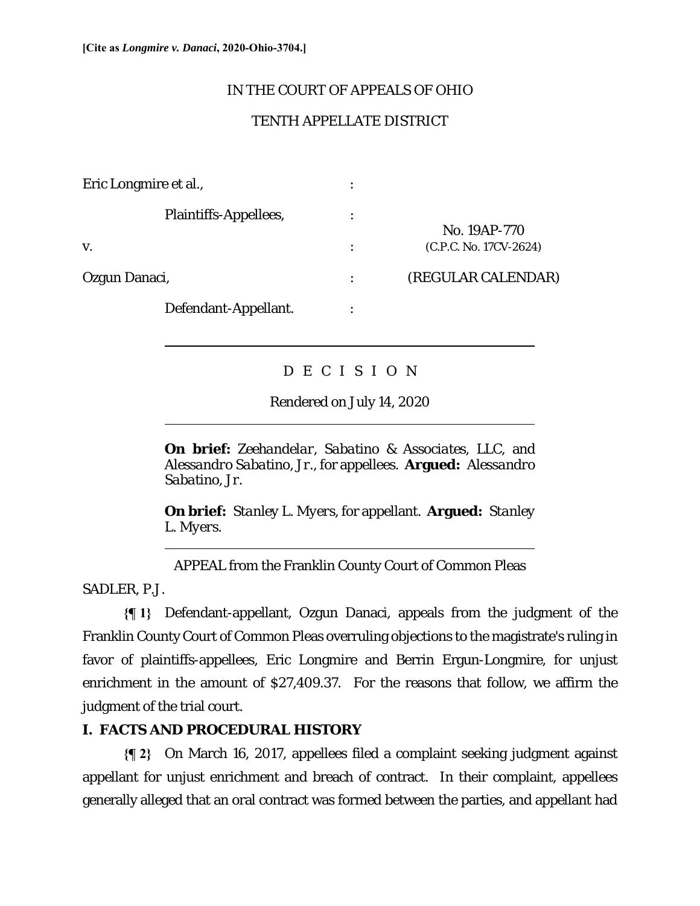$\overline{a}$ 

 $\overline{a}$ 

l

## IN THE COURT OF APPEALS OF OHIO

# TENTH APPELLATE DISTRICT

| Eric Longmire et al.,       |   |                                        |
|-----------------------------|---|----------------------------------------|
| Plaintiffs-Appellees,<br>V. | ٠ | No. 19AP-770<br>(C.P.C. No. 17CV-2624) |
| Ozgun Danaci,               |   | (REGULAR CALENDAR)                     |
| Defendant-Appellant.        |   |                                        |

# D E C I S I O N

Rendered on July 14, 2020

**On brief:** *Zeehandelar*, *Sabatino & Associates*, *LLC*, and *Alessandro Sabatino*, *Jr.*, for appellees. **Argued:** *Alessandro Sabatino*, *Jr.*

**On brief:** *Stanley L. Myers*, for appellant. **Argued:** *Stanley L. Myers*.

APPEAL from the Franklin County Court of Common Pleas

SADLER, P.J.

**{¶ 1}** Defendant-appellant, Ozgun Danaci, appeals from the judgment of the Franklin County Court of Common Pleas overruling objections to the magistrate's ruling in favor of plaintiffs-appellees, Eric Longmire and Berrin Ergun-Longmire, for unjust enrichment in the amount of \$27,409.37. For the reasons that follow, we affirm the judgment of the trial court.

# **I. FACTS AND PROCEDURAL HISTORY**

**{¶ 2}** On March 16, 2017, appellees filed a complaint seeking judgment against appellant for unjust enrichment and breach of contract. In their complaint, appellees generally alleged that an oral contract was formed between the parties, and appellant had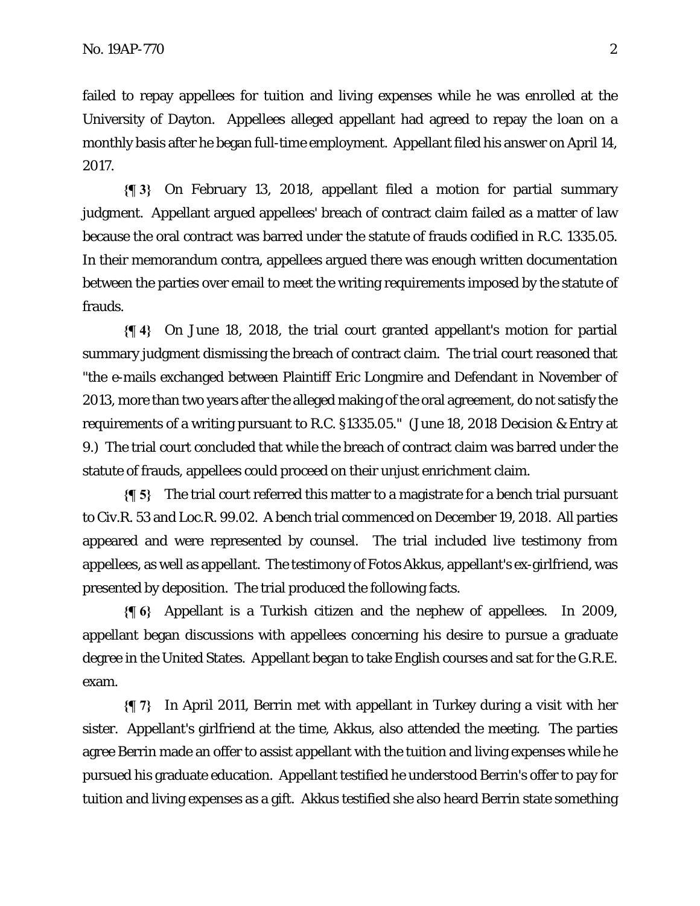failed to repay appellees for tuition and living expenses while he was enrolled at the University of Dayton. Appellees alleged appellant had agreed to repay the loan on a monthly basis after he began full-time employment. Appellant filed his answer on April 14, 2017.

**{¶ 3}** On February 13, 2018, appellant filed a motion for partial summary judgment. Appellant argued appellees' breach of contract claim failed as a matter of law because the oral contract was barred under the statute of frauds codified in R.C. 1335.05. In their memorandum contra, appellees argued there was enough written documentation between the parties over email to meet the writing requirements imposed by the statute of frauds.

**{¶ 4}** On June 18, 2018, the trial court granted appellant's motion for partial summary judgment dismissing the breach of contract claim. The trial court reasoned that "the e-mails exchanged between Plaintiff Eric Longmire and Defendant in November of 2013, more than two years after the alleged making of the oral agreement, do not satisfy the requirements of a writing pursuant to R.C. §1335.05." (June 18, 2018 Decision & Entry at 9.) The trial court concluded that while the breach of contract claim was barred under the statute of frauds, appellees could proceed on their unjust enrichment claim.

**{¶ 5}** The trial court referred this matter to a magistrate for a bench trial pursuant to Civ.R. 53 and Loc.R. 99.02. A bench trial commenced on December 19, 2018. All parties appeared and were represented by counsel. The trial included live testimony from appellees, as well as appellant. The testimony of Fotos Akkus, appellant's ex-girlfriend, was presented by deposition. The trial produced the following facts.

**{¶ 6}** Appellant is a Turkish citizen and the nephew of appellees. In 2009, appellant began discussions with appellees concerning his desire to pursue a graduate degree in the United States. Appellant began to take English courses and sat for the G.R.E. exam.

**{¶ 7}** In April 2011, Berrin met with appellant in Turkey during a visit with her sister. Appellant's girlfriend at the time, Akkus, also attended the meeting. The parties agree Berrin made an offer to assist appellant with the tuition and living expenses while he pursued his graduate education. Appellant testified he understood Berrin's offer to pay for tuition and living expenses as a gift. Akkus testified she also heard Berrin state something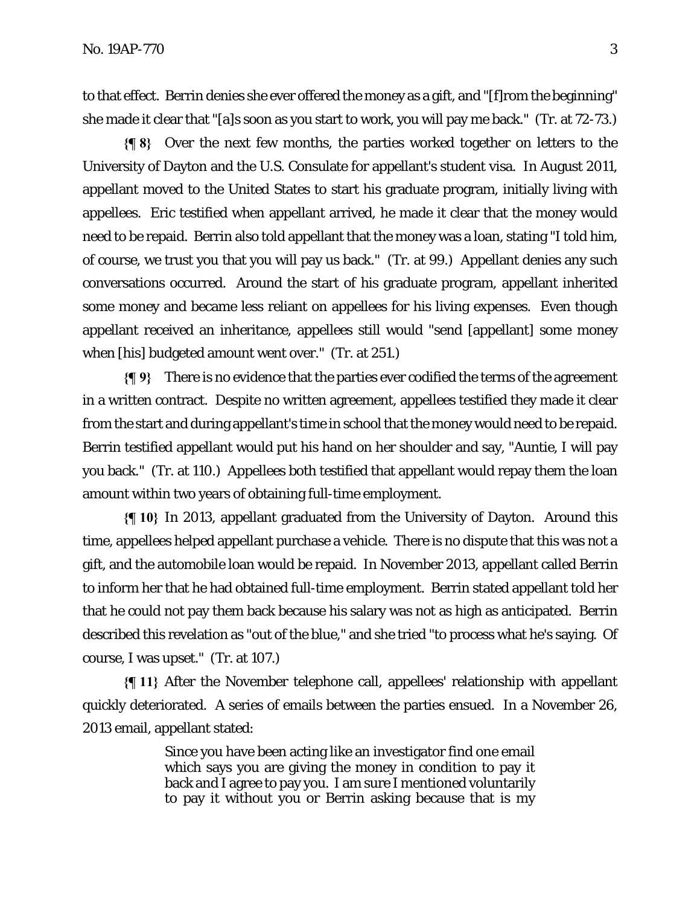to that effect. Berrin denies she ever offered the money as a gift, and "[f]rom the beginning" she made it clear that "[a]s soon as you start to work, you will pay me back." (Tr. at 72-73.)

**{¶ 8}** Over the next few months, the parties worked together on letters to the University of Dayton and the U.S. Consulate for appellant's student visa. In August 2011, appellant moved to the United States to start his graduate program, initially living with appellees. Eric testified when appellant arrived, he made it clear that the money would need to be repaid. Berrin also told appellant that the money was a loan, stating "I told him, of course, we trust you that you will pay us back." (Tr. at 99.) Appellant denies any such conversations occurred. Around the start of his graduate program, appellant inherited some money and became less reliant on appellees for his living expenses. Even though appellant received an inheritance, appellees still would "send [appellant] some money when [his] budgeted amount went over." (Tr. at 251.)

**{¶ 9}** There is no evidence that the parties ever codified the terms of the agreement in a written contract. Despite no written agreement, appellees testified they made it clear from the start and during appellant's time in school that the money would need to be repaid. Berrin testified appellant would put his hand on her shoulder and say, "Auntie, I will pay you back." (Tr. at 110.) Appellees both testified that appellant would repay them the loan amount within two years of obtaining full-time employment.

**{¶ 10}** In 2013, appellant graduated from the University of Dayton. Around this time, appellees helped appellant purchase a vehicle. There is no dispute that this was not a gift, and the automobile loan would be repaid. In November 2013, appellant called Berrin to inform her that he had obtained full-time employment. Berrin stated appellant told her that he could not pay them back because his salary was not as high as anticipated. Berrin described this revelation as "out of the blue," and she tried "to process what he's saying. Of course, I was upset." (Tr. at 107.)

**{¶ 11}** After the November telephone call, appellees' relationship with appellant quickly deteriorated. A series of emails between the parties ensued. In a November 26, 2013 email, appellant stated:

> Since you have been acting like an investigator find one email which says you are giving the money in condition to pay it back and I agree to pay you. I am sure I mentioned voluntarily to pay it without you or Berrin asking because that is my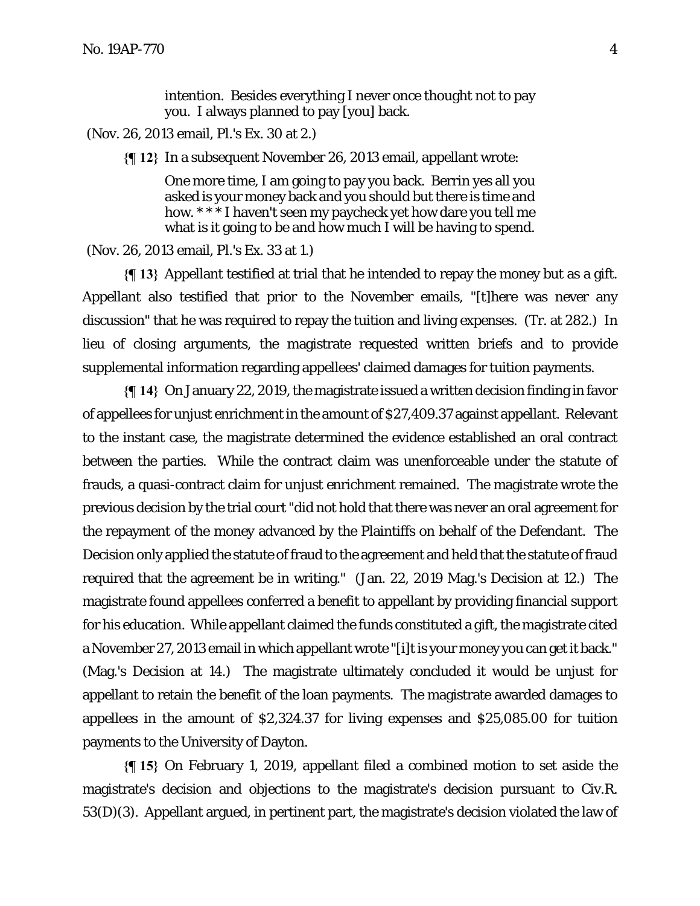intention. Besides everything I never once thought not to pay you. I always planned to pay [you] back.

(Nov. 26, 2013 email, Pl.'s Ex. 30 at 2.)

**{¶ 12}** In a subsequent November 26, 2013 email, appellant wrote:

One more time, I am going to pay you back. Berrin yes all you asked is your money back and you should but there is time and how. \* \* \* I haven't seen my paycheck yet how dare you tell me what is it going to be and how much I will be having to spend.

(Nov. 26, 2013 email, Pl.'s Ex. 33 at 1.)

**{¶ 13}** Appellant testified at trial that he intended to repay the money but as a gift. Appellant also testified that prior to the November emails, "[t]here was never any discussion" that he was required to repay the tuition and living expenses. (Tr. at 282.) In lieu of closing arguments, the magistrate requested written briefs and to provide supplemental information regarding appellees' claimed damages for tuition payments.

**{¶ 14}** On January 22, 2019, the magistrate issued a written decision finding in favor of appellees for unjust enrichment in the amount of \$27,409.37 against appellant. Relevant to the instant case, the magistrate determined the evidence established an oral contract between the parties. While the contract claim was unenforceable under the statute of frauds, a quasi-contract claim for unjust enrichment remained. The magistrate wrote the previous decision by the trial court "did not hold that there was never an oral agreement for the repayment of the money advanced by the Plaintiffs on behalf of the Defendant. The Decision only applied the statute of fraud to the agreement and held that the statute of fraud required that the agreement be in writing." (Jan. 22, 2019 Mag.'s Decision at 12.) The magistrate found appellees conferred a benefit to appellant by providing financial support for his education. While appellant claimed the funds constituted a gift, the magistrate cited a November 27, 2013 email in which appellant wrote "[i]t is your money you can get it back." (Mag.'s Decision at 14.) The magistrate ultimately concluded it would be unjust for appellant to retain the benefit of the loan payments. The magistrate awarded damages to appellees in the amount of \$2,324.37 for living expenses and \$25,085.00 for tuition payments to the University of Dayton.

**{¶ 15}** On February 1, 2019, appellant filed a combined motion to set aside the magistrate's decision and objections to the magistrate's decision pursuant to Civ.R. 53(D)(3). Appellant argued, in pertinent part, the magistrate's decision violated the law of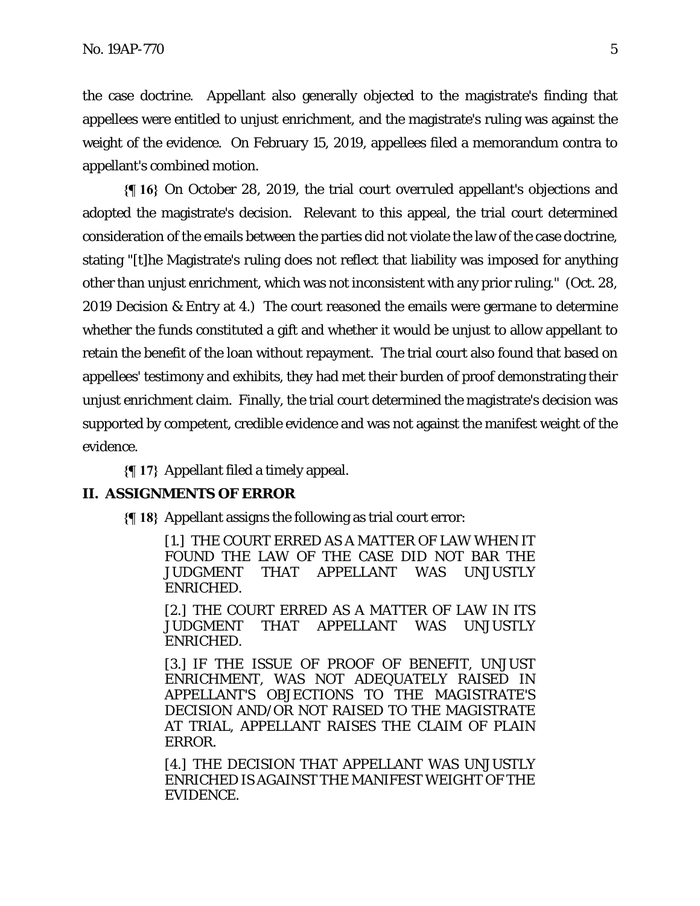the case doctrine. Appellant also generally objected to the magistrate's finding that appellees were entitled to unjust enrichment, and the magistrate's ruling was against the weight of the evidence. On February 15, 2019, appellees filed a memorandum contra to appellant's combined motion.

**{¶ 16}** On October 28, 2019, the trial court overruled appellant's objections and adopted the magistrate's decision. Relevant to this appeal, the trial court determined consideration of the emails between the parties did not violate the law of the case doctrine, stating "[t]he Magistrate's ruling does not reflect that liability was imposed for anything other than unjust enrichment, which was not inconsistent with any prior ruling." (Oct. 28, 2019 Decision & Entry at 4.) The court reasoned the emails were germane to determine whether the funds constituted a gift and whether it would be unjust to allow appellant to retain the benefit of the loan without repayment. The trial court also found that based on appellees' testimony and exhibits, they had met their burden of proof demonstrating their unjust enrichment claim. Finally, the trial court determined the magistrate's decision was supported by competent, credible evidence and was not against the manifest weight of the evidence.

**{¶ 17}** Appellant filed a timely appeal.

## **II. ASSIGNMENTS OF ERROR**

**{¶ 18}** Appellant assigns the following as trial court error:

[1.] THE COURT ERRED AS A MATTER OF LAW WHEN IT FOUND THE LAW OF THE CASE DID NOT BAR THE JUDGMENT THAT APPELLANT WAS UNJUSTLY ENRICHED.

[2.] THE COURT ERRED AS A MATTER OF LAW IN ITS JUDGMENT THAT APPELLANT WAS UNJUSTLY ENRICHED.

[3.] IF THE ISSUE OF PROOF OF BENEFIT, UNJUST ENRICHMENT, WAS NOT ADEQUATELY RAISED IN APPELLANT'S OBJECTIONS TO THE MAGISTRATE'S DECISION AND/OR NOT RAISED TO THE MAGISTRATE AT TRIAL, APPELLANT RAISES THE CLAIM OF PLAIN ERROR.

[4.] THE DECISION THAT APPELLANT WAS UNJUSTLY ENRICHED IS AGAINST THE MANIFEST WEIGHT OF THE EVIDENCE.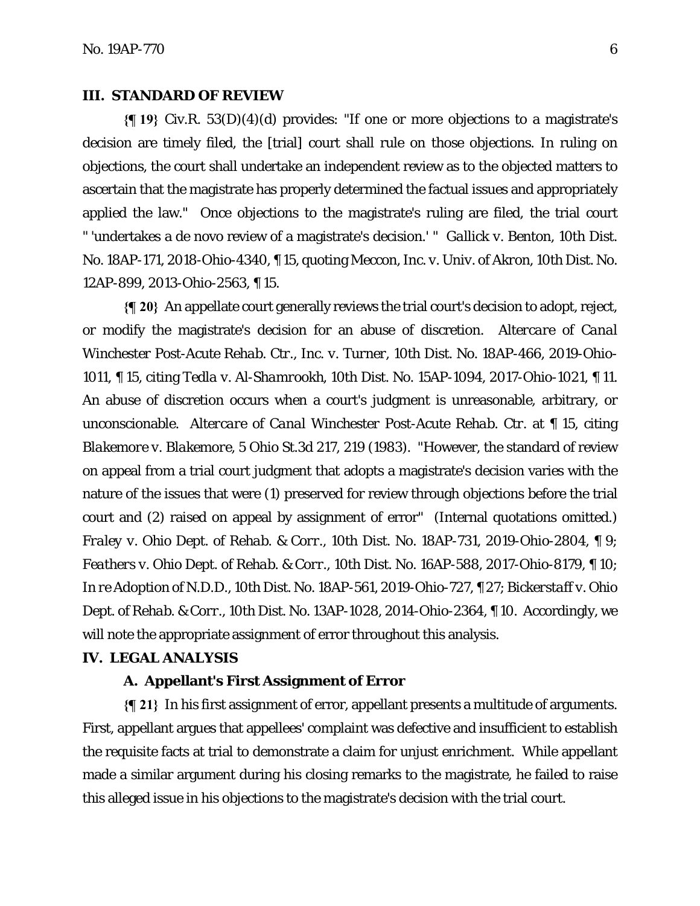## **III. STANDARD OF REVIEW**

**{¶ 19}** Civ.R. 53(D)(4)(d) provides: "If one or more objections to a magistrate's decision are timely filed, the [trial] court shall rule on those objections. In ruling on objections, the court shall undertake an independent review as to the objected matters to ascertain that the magistrate has properly determined the factual issues and appropriately applied the law." Once objections to the magistrate's ruling are filed, the trial court " 'undertakes a de novo review of a magistrate's decision.' " *Gallick v. Benton*, 10th Dist. No. 18AP-171, 2018-Ohio-4340, ¶ 15, quoting *Meccon, Inc. v. Univ. of Akron*, 10th Dist. No. 12AP-899, 2013-Ohio-2563, ¶ 15.

**{¶ 20}** An appellate court generally reviews the trial court's decision to adopt, reject, or modify the magistrate's decision for an abuse of discretion. *Altercare of Canal Winchester Post-Acute Rehab. Ctr., Inc. v. Turner*, 10th Dist. No. 18AP-466, 2019-Ohio-1011, ¶ 15, citing *Tedla v. Al-Shamrookh*, 10th Dist. No. 15AP-1094, 2017-Ohio-1021, ¶ 11. An abuse of discretion occurs when a court's judgment is unreasonable, arbitrary, or unconscionable. *Altercare of Canal Winchester Post-Acute Rehab. Ctr.* at ¶ 15, citing *Blakemore v. Blakemore*, 5 Ohio St.3d 217, 219 (1983). "However, the standard of review on appeal from a trial court judgment that adopts a magistrate's decision varies with the nature of the issues that were (1) preserved for review through objections before the trial court and (2) raised on appeal by assignment of error" (Internal quotations omitted.) *Fraley v. Ohio Dept. of Rehab. & Corr.*, 10th Dist. No. 18AP-731, 2019-Ohio-2804, ¶ 9; *Feathers v. Ohio Dept. of Rehab. & Corr*., 10th Dist. No. 16AP-588, 2017-Ohio-8179, ¶ 10; *In re Adoption of N.D.D*., 10th Dist. No. 18AP-561, 2019-Ohio-727, ¶ 27; *Bickerstaff v. Ohio Dept. of Rehab. & Corr*., 10th Dist. No. 13AP-1028, 2014-Ohio-2364, ¶ 10. Accordingly, we will note the appropriate assignment of error throughout this analysis.

## **IV. LEGAL ANALYSIS**

## **A. Appellant's First Assignment of Error**

**{¶ 21}** In his first assignment of error, appellant presents a multitude of arguments. First, appellant argues that appellees' complaint was defective and insufficient to establish the requisite facts at trial to demonstrate a claim for unjust enrichment. While appellant made a similar argument during his closing remarks to the magistrate, he failed to raise this alleged issue in his objections to the magistrate's decision with the trial court.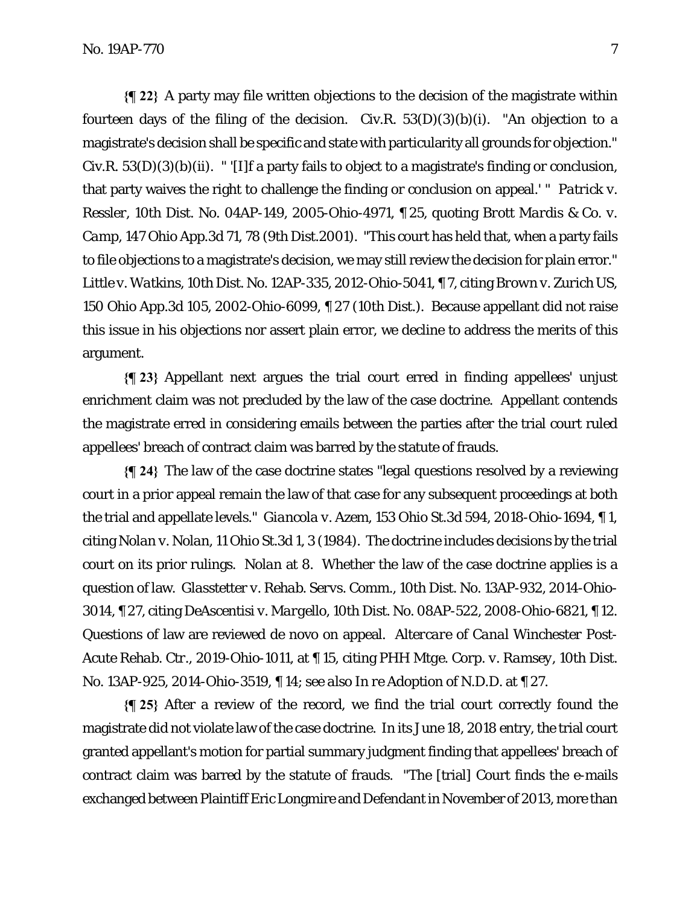**{¶ 22}** A party may file written objections to the decision of the magistrate within fourteen days of the filing of the decision. Civ.R.  $53(D)(3)(b)(i)$ . "An objection to a magistrate's decision shall be specific and state with particularity all grounds for objection." Civ.R. 53(D)(3)(b)(ii). " '[I]f a party fails to object to a magistrate's finding or conclusion, that party waives the right to challenge the finding or conclusion on appeal.' " *Patrick v. Ressler*, 10th Dist. No. 04AP-149, 2005-Ohio-4971, ¶ 25, quoting *Brott Mardis & Co. v. Camp*, 147 Ohio App.3d 71, 78 (9th Dist.2001). "This court has held that, when a party fails to file objections to a magistrate's decision, we may still review the decision for plain error." *Little v. Watkins*, 10th Dist. No. 12AP-335, 2012-Ohio-5041, ¶ 7, citing *Brown v. Zurich US*, 150 Ohio App.3d 105, 2002-Ohio-6099, ¶ 27 (10th Dist.). Because appellant did not raise this issue in his objections nor assert plain error, we decline to address the merits of this argument.

**{¶ 23}** Appellant next argues the trial court erred in finding appellees' unjust enrichment claim was not precluded by the law of the case doctrine. Appellant contends the magistrate erred in considering emails between the parties after the trial court ruled appellees' breach of contract claim was barred by the statute of frauds.

**{¶ 24}** The law of the case doctrine states "legal questions resolved by a reviewing court in a prior appeal remain the law of that case for any subsequent proceedings at both the trial and appellate levels." *Giancola v. Azem*, 153 Ohio St.3d 594, 2018-Ohio-1694, ¶ 1, citing *Nolan v. Nolan*, 11 Ohio St.3d 1, 3 (1984). The doctrine includes decisions by the trial court on its prior rulings. *Nolan* at 8. Whether the law of the case doctrine applies is a question of law. *Glasstetter v. Rehab. Servs. Comm.*, 10th Dist. No. 13AP-932, 2014-Ohio-3014, ¶ 27, citing *DeAscentisi v. Margello*, 10th Dist. No. 08AP-522, 2008-Ohio-6821, ¶ 12. Questions of law are reviewed de novo on appeal. *Altercare of Canal Winchester Post-Acute Rehab. Ctr*., 2019-Ohio-1011, at ¶ 15, citing *PHH Mtge. Corp. v. Ramsey*, 10th Dist. No. 13AP-925, 2014-Ohio-3519, ¶ 14; *see also In re Adoption of N.D.D*. at ¶ 27.

**{¶ 25}** After a review of the record, we find the trial court correctly found the magistrate did not violate law of the case doctrine. In its June 18, 2018 entry, the trial court granted appellant's motion for partial summary judgment finding that appellees' breach of contract claim was barred by the statute of frauds. "The [trial] Court finds the e-mails exchanged between Plaintiff Eric Longmire and Defendant in November of 2013, more than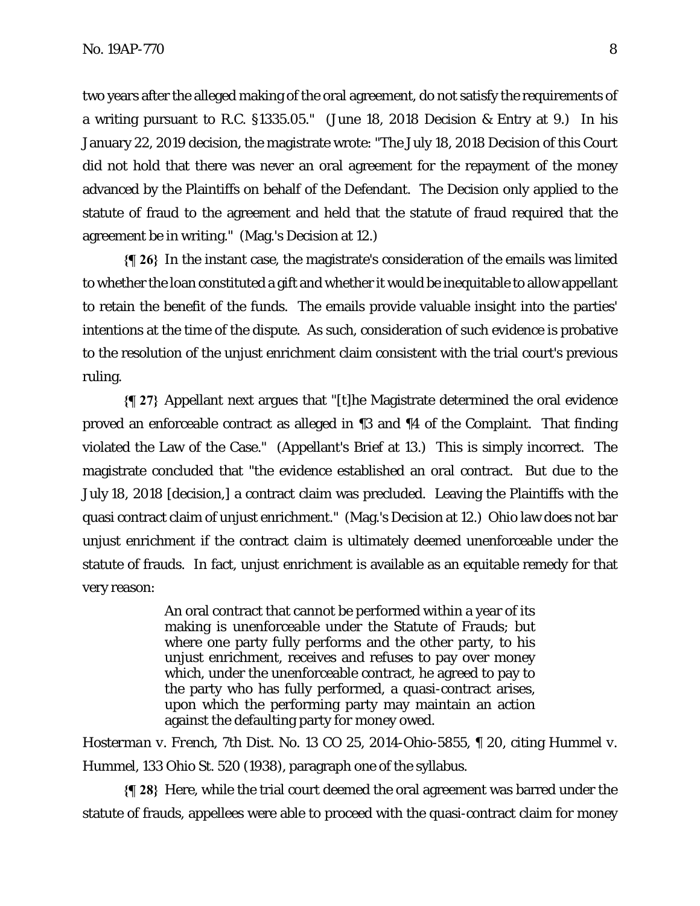two years after the alleged making of the oral agreement, do not satisfy the requirements of a writing pursuant to R.C. §1335.05." (June 18, 2018 Decision & Entry at 9.) In his January 22, 2019 decision, the magistrate wrote: "The July 18, 2018 Decision of this Court did not hold that there was never an oral agreement for the repayment of the money advanced by the Plaintiffs on behalf of the Defendant. The Decision only applied to the statute of fraud to the agreement and held that the statute of fraud required that the agreement be in writing." (Mag.'s Decision at 12.)

**{¶ 26}** In the instant case, the magistrate's consideration of the emails was limited to whether the loan constituted a gift and whether it would be inequitable to allow appellant to retain the benefit of the funds. The emails provide valuable insight into the parties' intentions at the time of the dispute. As such, consideration of such evidence is probative to the resolution of the unjust enrichment claim consistent with the trial court's previous ruling.

**{¶ 27}** Appellant next argues that "[t]he Magistrate determined the oral evidence proved an enforceable contract as alleged in ¶3 and ¶4 of the Complaint. That finding violated the Law of the Case." (Appellant's Brief at 13.) This is simply incorrect. The magistrate concluded that "the evidence established an oral contract. But due to the July 18, 2018 [decision,] a contract claim was precluded. Leaving the Plaintiffs with the quasi contract claim of unjust enrichment." (Mag.'s Decision at 12.) Ohio law does not bar unjust enrichment if the contract claim is ultimately deemed unenforceable under the statute of frauds. In fact, unjust enrichment is available as an equitable remedy for that very reason:

> An oral contract that cannot be performed within a year of its making is unenforceable under the Statute of Frauds; but where one party fully performs and the other party, to his unjust enrichment, receives and refuses to pay over money which, under the unenforceable contract, he agreed to pay to the party who has fully performed, a quasi-contract arises, upon which the performing party may maintain an action against the defaulting party for money owed.

*Hosterman v. French*, 7th Dist. No. 13 CO 25, 2014-Ohio-5855, ¶ 20, citing *Hummel v. Hummel*, 133 Ohio St. 520 (1938), paragraph one of the syllabus.

**{¶ 28}** Here, while the trial court deemed the oral agreement was barred under the statute of frauds, appellees were able to proceed with the quasi-contract claim for money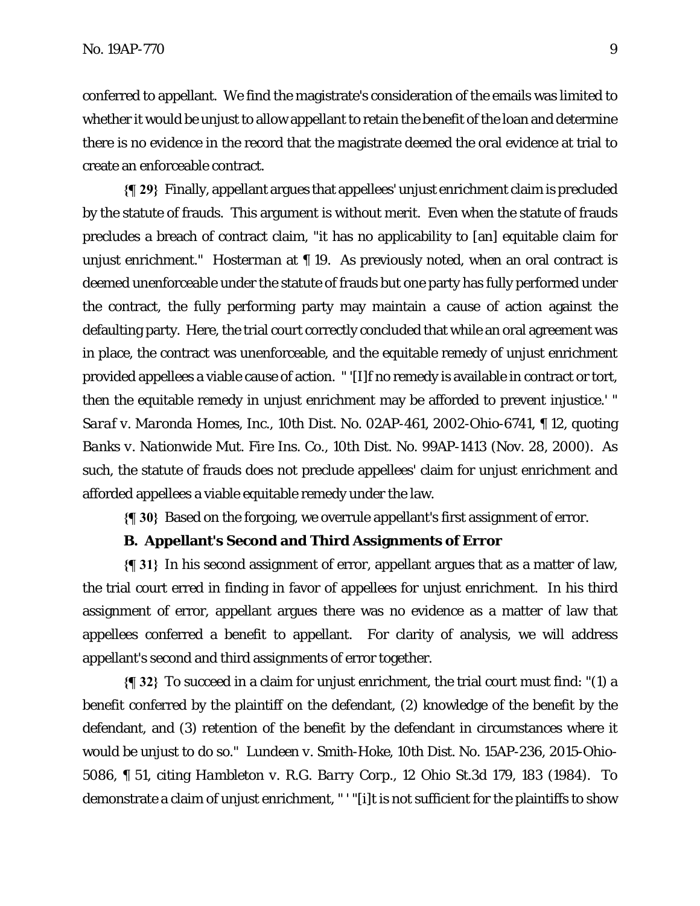conferred to appellant. We find the magistrate's consideration of the emails was limited to whether it would be unjust to allow appellant to retain the benefit of the loan and determine there is no evidence in the record that the magistrate deemed the oral evidence at trial to create an enforceable contract.

**{¶ 29}** Finally, appellant argues that appellees' unjust enrichment claim is precluded by the statute of frauds. This argument is without merit. Even when the statute of frauds precludes a breach of contract claim, "it has no applicability to [an] equitable claim for unjust enrichment." *Hosterman* at ¶ 19. As previously noted, when an oral contract is deemed unenforceable under the statute of frauds but one party has fully performed under the contract, the fully performing party may maintain a cause of action against the defaulting party. Here, the trial court correctly concluded that while an oral agreement was in place, the contract was unenforceable, and the equitable remedy of unjust enrichment provided appellees a viable cause of action. " '[I]f no remedy is available in contract or tort, then the equitable remedy in unjust enrichment may be afforded to prevent injustice.' " *Saraf v. Maronda Homes, Inc*., 10th Dist. No. 02AP-461, 2002-Ohio-6741, ¶ 12, quoting *Banks v. Nationwide Mut. Fire Ins. Co.*, 10th Dist. No. 99AP-1413 (Nov. 28, 2000). As such, the statute of frauds does not preclude appellees' claim for unjust enrichment and afforded appellees a viable equitable remedy under the law.

**{¶ 30}** Based on the forgoing, we overrule appellant's first assignment of error.

## **B. Appellant's Second and Third Assignments of Error**

**{¶ 31}** In his second assignment of error, appellant argues that as a matter of law, the trial court erred in finding in favor of appellees for unjust enrichment. In his third assignment of error, appellant argues there was no evidence as a matter of law that appellees conferred a benefit to appellant. For clarity of analysis, we will address appellant's second and third assignments of error together.

**{¶ 32}** To succeed in a claim for unjust enrichment, the trial court must find: "(1) a benefit conferred by the plaintiff on the defendant, (2) knowledge of the benefit by the defendant, and (3) retention of the benefit by the defendant in circumstances where it would be unjust to do so." *Lundeen v. Smith-Hoke*, 10th Dist. No. 15AP-236, 2015-Ohio-5086, ¶ 51, citing *Hambleton v. R.G. Barry Corp*., 12 Ohio St.3d 179, 183 (1984). To demonstrate a claim of unjust enrichment, " ' "[i]t is not sufficient for the plaintiffs to show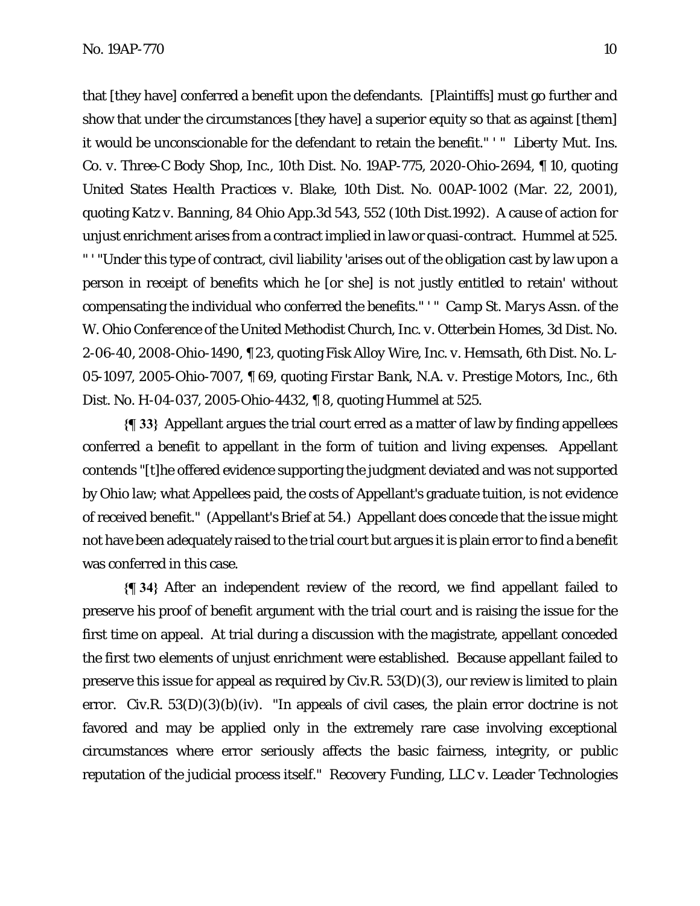that [they have] conferred a benefit upon the defendants. [Plaintiffs] must go further and show that under the circumstances [they have] a superior equity so that as against [them] it would be unconscionable for the defendant to retain the benefit." ' " *Liberty Mut. Ins. Co. v. Three-C Body Shop, Inc*., 10th Dist. No. 19AP-775, 2020-Ohio-2694, ¶ 10, quoting *United States Health Practices v. Blake*, 10th Dist. No. 00AP-1002 (Mar. 22, 2001), quoting *Katz v. Banning*, 84 Ohio App.3d 543, 552 (10th Dist.1992). A cause of action for unjust enrichment arises from a contract implied in law or quasi-contract. *Hummel* at 525. " ' "Under this type of contract, civil liability 'arises out of the obligation cast by law upon a person in receipt of benefits which he [or she] is not justly entitled to retain' without compensating the individual who conferred the benefits." ' " *Camp St. Marys Assn. of the W. Ohio Conference of the United Methodist Church, Inc. v. Otterbein Homes*, 3d Dist. No. 2-06-40, 2008-Ohio-1490, ¶ 23, quoting *Fisk Alloy Wire, Inc. v. Hemsath,* 6th Dist. No. L-05-1097, 2005-Ohio-7007, ¶ 69, quoting *Firstar Bank, N.A. v. Prestige Motors, Inc.*, 6th Dist. No. H-04-037, 2005-Ohio-4432, ¶ 8, quoting *Hummel* at 525.

**{¶ 33}** Appellant argues the trial court erred as a matter of law by finding appellees conferred a benefit to appellant in the form of tuition and living expenses. Appellant contends "[t]he offered evidence supporting the judgment deviated and was not supported by Ohio law; what Appellees paid, the costs of Appellant's graduate tuition, is not evidence of received benefit." (Appellant's Brief at 54.) Appellant does concede that the issue might not have been adequately raised to the trial court but argues it is plain error to find a benefit was conferred in this case.

**{¶ 34}** After an independent review of the record, we find appellant failed to preserve his proof of benefit argument with the trial court and is raising the issue for the first time on appeal. At trial during a discussion with the magistrate, appellant conceded the first two elements of unjust enrichment were established. Because appellant failed to preserve this issue for appeal as required by Civ.R. 53(D)(3), our review is limited to plain error. Civ.R.  $53(D)(3)(b)(iv)$ . "In appeals of civil cases, the plain error doctrine is not favored and may be applied only in the extremely rare case involving exceptional circumstances where error seriously affects the basic fairness, integrity, or public reputation of the judicial process itself." *Recovery Funding, LLC v. Leader Technologies*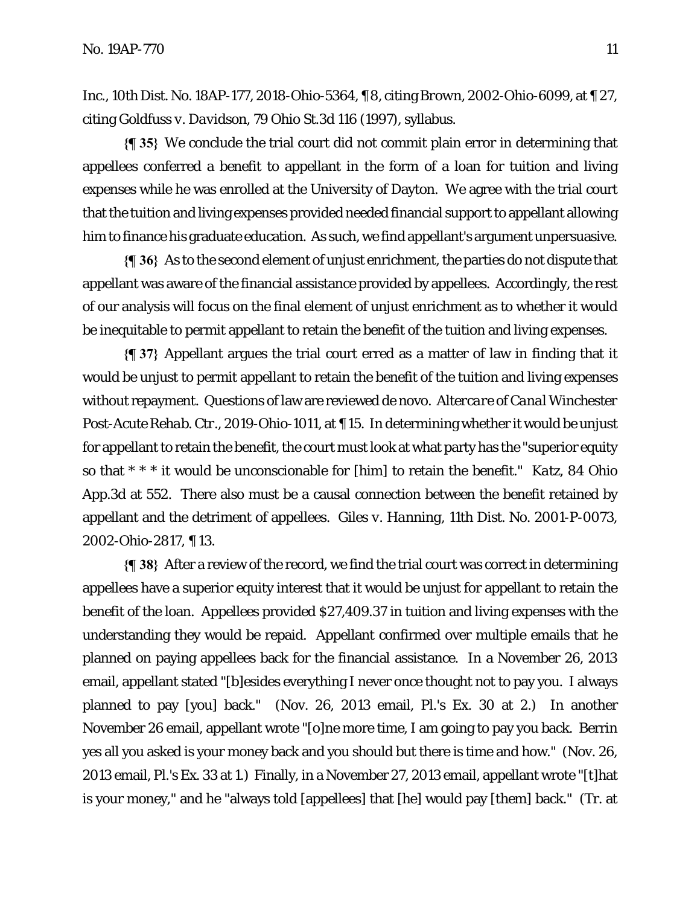*Inc*., 10th Dist. No. 18AP-177, 2018-Ohio-5364, ¶ 8, citing *Brown*, 2002-Ohio-6099, at ¶ 27, citing *Goldfuss v. Davidson*, 79 Ohio St.3d 116 (1997), syllabus.

**{¶ 35}** We conclude the trial court did not commit plain error in determining that appellees conferred a benefit to appellant in the form of a loan for tuition and living expenses while he was enrolled at the University of Dayton. We agree with the trial court that the tuition and living expenses provided needed financial support to appellant allowing him to finance his graduate education. As such, we find appellant's argument unpersuasive.

**{¶ 36}** As to the second element of unjust enrichment, the parties do not dispute that appellant was aware of the financial assistance provided by appellees. Accordingly, the rest of our analysis will focus on the final element of unjust enrichment as to whether it would be inequitable to permit appellant to retain the benefit of the tuition and living expenses.

**{¶ 37}** Appellant argues the trial court erred as a matter of law in finding that it would be unjust to permit appellant to retain the benefit of the tuition and living expenses without repayment. Questions of law are reviewed de novo. *Altercare of Canal Winchester Post-Acute Rehab. Ctr*., 2019-Ohio-1011, at ¶ 15. In determining whether it would be unjust for appellant to retain the benefit, the court must look at what party has the "superior equity so that \* \* \* it would be unconscionable for [him] to retain the benefit." *Katz*, 84 Ohio App.3d at 552. There also must be a causal connection between the benefit retained by appellant and the detriment of appellees. *Giles v. Hanning*, 11th Dist. No. 2001-P-0073, 2002-Ohio-2817, ¶ 13.

**{¶ 38}** After a review of the record, we find the trial court was correct in determining appellees have a superior equity interest that it would be unjust for appellant to retain the benefit of the loan. Appellees provided \$27,409.37 in tuition and living expenses with the understanding they would be repaid. Appellant confirmed over multiple emails that he planned on paying appellees back for the financial assistance. In a November 26, 2013 email, appellant stated "[b]esides everything I never once thought not to pay you. I always planned to pay [you] back." (Nov. 26, 2013 email, Pl.'s Ex. 30 at 2.) In another November 26 email, appellant wrote "[o]ne more time, I am going to pay you back. Berrin yes all you asked is your money back and you should but there is time and how." (Nov. 26, 2013 email, Pl.'s Ex. 33 at 1.) Finally, in a November 27, 2013 email, appellant wrote "[t]hat is your money," and he "always told [appellees] that [he] would pay [them] back." (Tr. at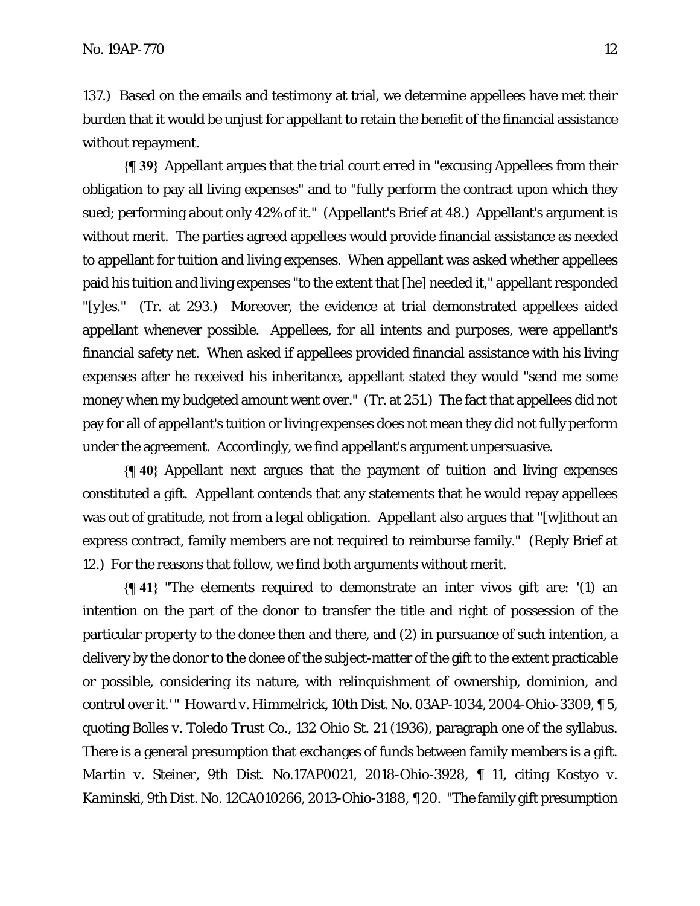137.) Based on the emails and testimony at trial, we determine appellees have met their burden that it would be unjust for appellant to retain the benefit of the financial assistance without repayment.

**{¶ 39}** Appellant argues that the trial court erred in "excusing Appellees from their obligation to pay all living expenses" and to "fully perform the contract upon which they sued; performing about only 42% of it." (Appellant's Brief at 48.) Appellant's argument is without merit. The parties agreed appellees would provide financial assistance as needed to appellant for tuition and living expenses. When appellant was asked whether appellees paid his tuition and living expenses "to the extent that [he] needed it," appellant responded "[y]es." (Tr. at 293.) Moreover, the evidence at trial demonstrated appellees aided appellant whenever possible. Appellees, for all intents and purposes, were appellant's financial safety net. When asked if appellees provided financial assistance with his living expenses after he received his inheritance, appellant stated they would "send me some money when my budgeted amount went over." (Tr. at 251.) The fact that appellees did not pay for all of appellant's tuition or living expenses does not mean they did not fully perform under the agreement. Accordingly, we find appellant's argument unpersuasive.

**{¶ 40}** Appellant next argues that the payment of tuition and living expenses constituted a gift. Appellant contends that any statements that he would repay appellees was out of gratitude, not from a legal obligation. Appellant also argues that "[w]ithout an express contract, family members are not required to reimburse family." (Reply Brief at 12.) For the reasons that follow, we find both arguments without merit.

**{¶ 41}** "The elements required to demonstrate an inter vivos gift are: '(1) an intention on the part of the donor to transfer the title and right of possession of the particular property to the donee then and there, and (2) in pursuance of such intention, a delivery by the donor to the donee of the subject-matter of the gift to the extent practicable or possible, considering its nature, with relinquishment of ownership, dominion, and control over it.' " *Howard v. Himmelrick*, 10th Dist. No. 03AP-1034, 2004-Ohio-3309, ¶ 5, quoting *Bolles v. Toledo Trust Co*., 132 Ohio St. 21 (1936), paragraph one of the syllabus. There is a general presumption that exchanges of funds between family members is a gift. *Martin v. Steiner*, 9th Dist. No.17AP0021, 2018-Ohio-3928, ¶ 11, citing *Kostyo v. Kaminski*, 9th Dist. No. 12CA010266, 2013-Ohio-3188, ¶ 20. "The family gift presumption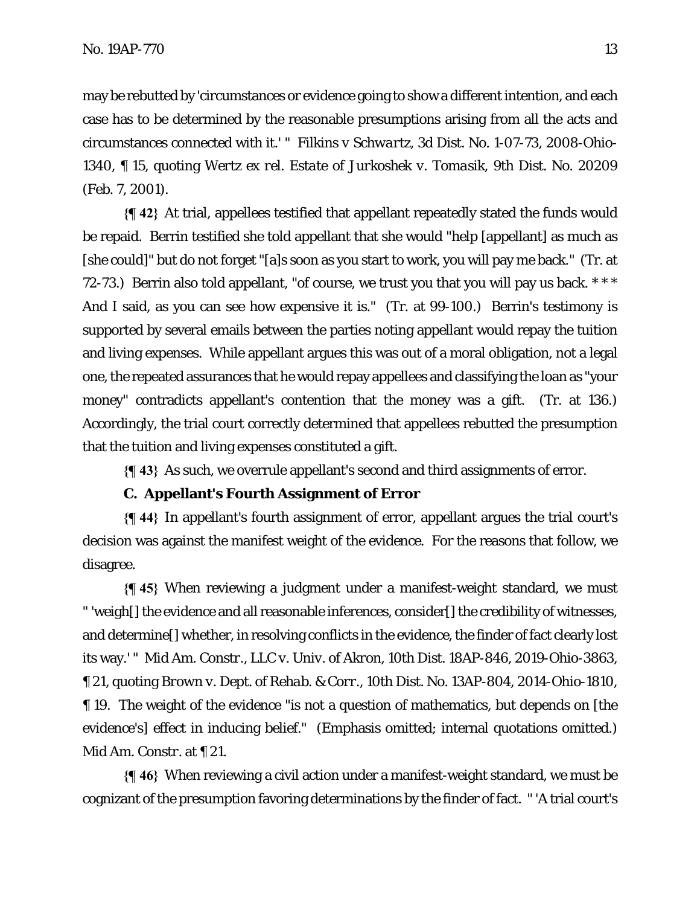may be rebutted by 'circumstances or evidence going to show a different intention, and each case has to be determined by the reasonable presumptions arising from all the acts and circumstances connected with it.' " *Filkins v Schwartz*, 3d Dist. No. 1-07-73, 2008-Ohio-1340, ¶ 15, quoting *Wertz ex rel. Estate of Jurkoshek v. Tomasik*, 9th Dist. No. 20209 (Feb. 7, 2001).

**{¶ 42}** At trial, appellees testified that appellant repeatedly stated the funds would be repaid. Berrin testified she told appellant that she would "help [appellant] as much as [she could]" but do not forget "[a]s soon as you start to work, you will pay me back." (Tr. at 72-73.) Berrin also told appellant, "of course, we trust you that you will pay us back. \*\*\* And I said, as you can see how expensive it is." (Tr. at 99-100.) Berrin's testimony is supported by several emails between the parties noting appellant would repay the tuition and living expenses. While appellant argues this was out of a moral obligation, not a legal one, the repeated assurances that he would repay appellees and classifying the loan as "your money" contradicts appellant's contention that the money was a gift. (Tr. at 136.) Accordingly, the trial court correctly determined that appellees rebutted the presumption that the tuition and living expenses constituted a gift.

**{¶ 43}** As such, we overrule appellant's second and third assignments of error.

## **C. Appellant's Fourth Assignment of Error**

**{¶ 44}** In appellant's fourth assignment of error, appellant argues the trial court's decision was against the manifest weight of the evidence. For the reasons that follow, we disagree.

**{¶ 45}** When reviewing a judgment under a manifest-weight standard, we must " 'weigh[] the evidence and all reasonable inferences, consider[] the credibility of witnesses, and determine[] whether, in resolving conflicts in the evidence, the finder of fact clearly lost its way.' " *Mid Am. Constr., LLC v. Univ. of Akron*, 10th Dist. 18AP-846, 2019-Ohio-3863, ¶ 21, quoting *Brown v. Dept. of Rehab. & Corr*., 10th Dist. No. 13AP-804, 2014-Ohio-1810, ¶ 19. The weight of the evidence "is not a question of mathematics, but depends on [the evidence's] effect in inducing belief." (Emphasis omitted; internal quotations omitted.) *Mid Am. Constr.* at ¶ 21.

**{¶ 46}** When reviewing a civil action under a manifest-weight standard, we must be cognizant of the presumption favoring determinations by the finder of fact. " 'A trial court's